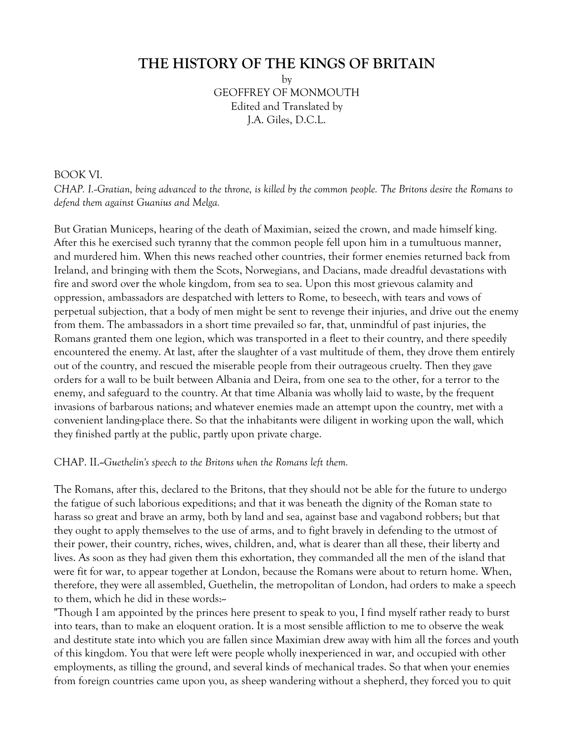# **THE HISTORY OF THE KINGS OF BRITAIN**

by

GEOFFREY OF MONMOUTH Edited and Translated by J.A. Giles, D.C.L.

### BOOK VI.

*CHAP. I.--Gratian, being advanced to the throne, is killed by the common people. The Britons desire the Romans to defend them against Guanius and Melga.* 

But Gratian Municeps, hearing of the death of Maximian, seized the crown, and made himself king. After this he exercised such tyranny that the common people fell upon him in a tumultuous manner, and murdered him. When this news reached other countries, their former enemies returned back from Ireland, and bringing with them the Scots, Norwegians, and Dacians, made dreadful devastations with fire and sword over the whole kingdom, from sea to sea. Upon this most grievous calamity and oppression, ambassadors are despatched with letters to Rome, to beseech, with tears and vows of perpetual subjection, that a body of men might be sent to revenge their injuries, and drive out the enemy from them. The ambassadors in a short time prevailed so far, that, unmindful of past injuries, the Romans granted them one legion, which was transported in a fleet to their country, and there speedily encountered the enemy. At last, after the slaughter of a vast multitude of them, they drove them entirely out of the country, and rescued the miserable people from their outrageous cruelty. Then they gave orders for a wall to be built between Albania and Deira, from one sea to the other, for a terror to the enemy, and safeguard to the country. At that time Albania was wholly laid to waste, by the frequent invasions of barbarous nations; and whatever enemies made an attempt upon the country, met with a convenient landing-place there. So that the inhabitants were diligent in working upon the wall, which they finished partly at the public, partly upon private charge.

#### CHAP. II.--*Guethelin's speech to the Britons when the Romans left them.*

The Romans, after this, declared to the Britons, that they should not be able for the future to undergo the fatigue of such laborious expeditions; and that it was beneath the dignity of the Roman state to harass so great and brave an army, both by land and sea, against base and vagabond robbers; but that they ought to apply themselves to the use of arms, and to fight bravely in defending to the utmost of their power, their country, riches, wives, children, and, what is dearer than all these, their liberty and lives. As soon as they had given them this exhortation, they commanded all the men of the island that were fit for war, to appear together at London, because the Romans were about to return home. When, therefore, they were all assembled, Guethelin, the metropolitan of London, had orders to make a speech to them, which he did in these words:

"Though I am appointed by the princes here present to speak to you, I find myself rather ready to burst into tears, than to make an eloquent oration. It is a most sensible affliction to me to observe the weak and destitute state into which you are fallen since Maximian drew away with him all the forces and youth of this kingdom. You that were left were people wholly inexperienced in war, and occupied with other employments, as tilling the ground, and several kinds of mechanical trades. So that when your enemies from foreign countries came upon you, as sheep wandering without a shepherd, they forced you to quit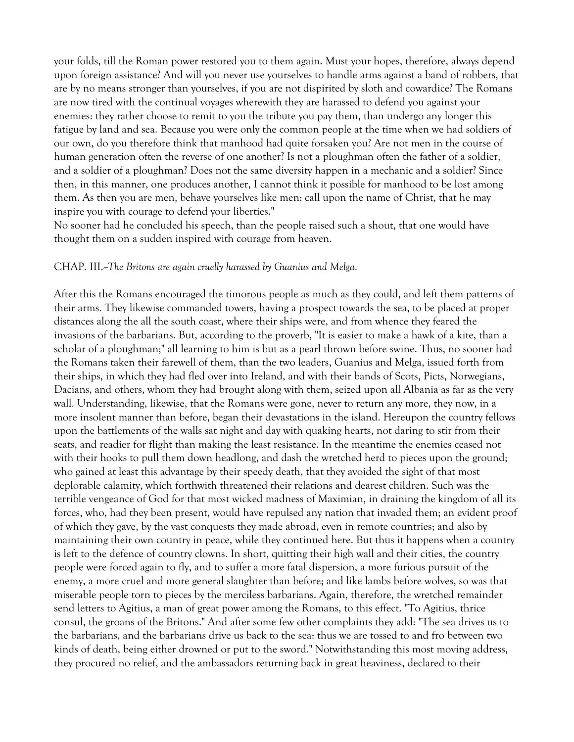your folds, till the Roman power restored you to them again. Must your hopes, therefore, always depend upon foreign assistance? And will you never use yourselves to handle arms against a band of robbers, that are by no means stronger than yourselves, if you are not dispirited by sloth and cowardice? The Romans are now tired with the continual voyages wherewith they are harassed to defend you against your enemies: they rather choose to remit to you the tribute you pay them, than undergo any longer this fatigue by land and sea. Because you were only the common people at the time when we had soldiers of our own, do you therefore think that manhood had quite forsaken you? Are not men in the course of human generation often the reverse of one another? Is not a ploughman often the father of a soldier, and a soldier of a ploughman? Does not the same diversity happen in a mechanic and a soldier? Since then, in this manner, one produces another, I cannot think it possible for manhood to be lost among them. As then you are men, behave yourselves like men: call upon the name of Christ, that he may inspire you with courage to defend your liberties."

No sooner had he concluded his speech, than the people raised such a shout, that one would have thought them on a sudden inspired with courage from heaven.

#### CHAP. III.--*The Britons are again cruelly harassed by Guanius and Melga.*

After this the Romans encouraged the timorous people as much as they could, and left them patterns of their arms. They likewise commanded towers, having a prospect towards the sea, to be placed at proper distances along the all the south coast, where their ships were, and from whence they feared the invasions of the barbarians. But, according to the proverb, "It is easier to make a hawk of a kite, than a scholar of a ploughman;" all learning to him is but as a pearl thrown before swine. Thus, no sooner had the Romans taken their farewell of them, than the two leaders, Guanius and Melga, issued forth from their ships, in which they had fled over into Ireland, and with their bands of Scots, Picts, Norwegians, Dacians, and others, whom they had brought along with them, seized upon all Albania as far as the very wall. Understanding, likewise, that the Romans were gone, never to return any more, they now, in a more insolent manner than before, began their devastations in the island. Hereupon the country fellows upon the battlements of the walls sat night and day with quaking hearts, not daring to stir from their seats, and readier for flight than making the least resistance. In the meantime the enemies ceased not with their hooks to pull them down headlong, and dash the wretched herd to pieces upon the ground; who gained at least this advantage by their speedy death, that they avoided the sight of that most deplorable calamity, which forthwith threatened their relations and dearest children. Such was the terrible vengeance of God for that most wicked madness of Maximian, in draining the kingdom of all its forces, who, had they been present, would have repulsed any nation that invaded them; an evident proof of which they gave, by the vast conquests they made abroad, even in remote countries; and also by maintaining their own country in peace, while they continued here. But thus it happens when a country is left to the defence of country clowns. In short, quitting their high wall and their cities, the country people were forced again to fly, and to suffer a more fatal dispersion, a more furious pursuit of the enemy, a more cruel and more general slaughter than before; and like lambs before wolves, so was that miserable people torn to pieces by the merciless barbarians. Again, therefore, the wretched remainder send letters to Agitius, a man of great power among the Romans, to this effect. "To Agitius, thrice consul, the groans of the Britons." And after some few other complaints they add: "The sea drives us to the barbarians, and the barbarians drive us back to the sea: thus we are tossed to and fro between two kinds of death, being either drowned or put to the sword." Notwithstanding this most moving address, they procured no relief, and the ambassadors returning back in great heaviness, declared to their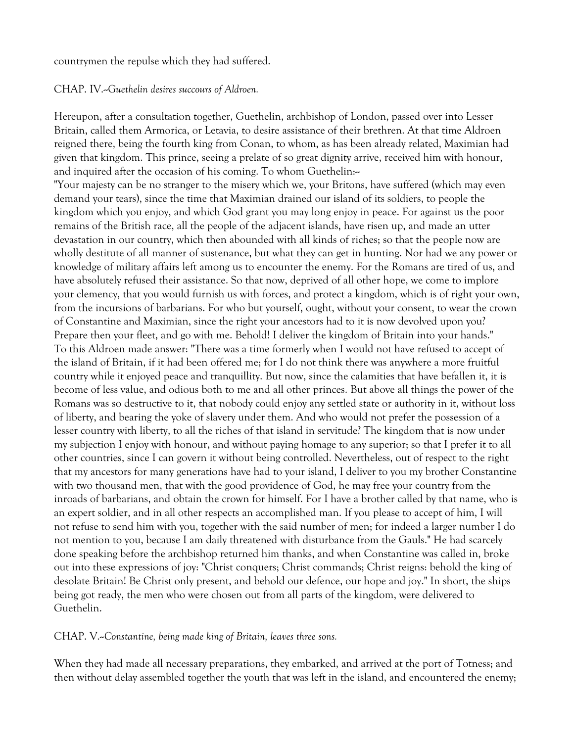countrymen the repulse which they had suffered.

#### CHAP. IV.--*Guethelin desires succours of Aldroen.*

Hereupon, after a consultation together, Guethelin, archbishop of London, passed over into Lesser Britain, called them Armorica, or Letavia, to desire assistance of their brethren. At that time Aldroen reigned there, being the fourth king from Conan, to whom, as has been already related, Maximian had given that kingdom. This prince, seeing a prelate of so great dignity arrive, received him with honour, and inquired after the occasion of his coming. To whom Guethelin:-

"Your majesty can be no stranger to the misery which we, your Britons, have suffered (which may even demand your tears), since the time that Maximian drained our island of its soldiers, to people the kingdom which you enjoy, and which God grant you may long enjoy in peace. For against us the poor remains of the British race, all the people of the adjacent islands, have risen up, and made an utter devastation in our country, which then abounded with all kinds of riches; so that the people now are wholly destitute of all manner of sustenance, but what they can get in hunting. Nor had we any power or knowledge of military affairs left among us to encounter the enemy. For the Romans are tired of us, and have absolutely refused their assistance. So that now, deprived of all other hope, we come to implore your clemency, that you would furnish us with forces, and protect a kingdom, which is of right your own, from the incursions of barbarians. For who but yourself, ought, without your consent, to wear the crown of Constantine and Maximian, since the right your ancestors had to it is now devolved upon you? Prepare then your fleet, and go with me. Behold! I deliver the kingdom of Britain into your hands." To this Aldroen made answer: "There was a time formerly when I would not have refused to accept of the island of Britain, if it had been offered me; for I do not think there was anywhere a more fruitful country while it enjoyed peace and tranquillity. But now, since the calamities that have befallen it, it is become of less value, and odious both to me and all other princes. But above all things the power of the Romans was so destructive to it, that nobody could enjoy any settled state or authority in it, without loss of liberty, and bearing the yoke of slavery under them. And who would not prefer the possession of a lesser country with liberty, to all the riches of that island in servitude? The kingdom that is now under my subjection I enjoy with honour, and without paying homage to any superior; so that I prefer it to all other countries, since I can govern it without being controlled. Nevertheless, out of respect to the right that my ancestors for many generations have had to your island, I deliver to you my brother Constantine with two thousand men, that with the good providence of God, he may free your country from the inroads of barbarians, and obtain the crown for himself. For I have a brother called by that name, who is an expert soldier, and in all other respects an accomplished man. If you please to accept of him, I will not refuse to send him with you, together with the said number of men; for indeed a larger number I do not mention to you, because I am daily threatened with disturbance from the Gauls." He had scarcely done speaking before the archbishop returned him thanks, and when Constantine was called in, broke out into these expressions of joy: "Christ conquers; Christ commands; Christ reigns: behold the king of desolate Britain! Be Christ only present, and behold our defence, our hope and joy." In short, the ships being got ready, the men who were chosen out from all parts of the kingdom, were delivered to Guethelin.

CHAP. V.--*Constantine, being made king of Britain, leaves three sons.* 

When they had made all necessary preparations, they embarked, and arrived at the port of Totness; and then without delay assembled together the youth that was left in the island, and encountered the enemy;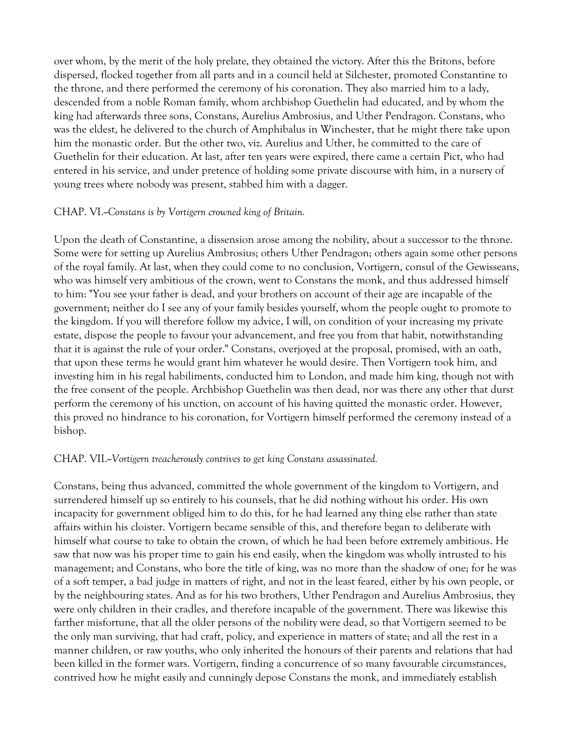over whom, by the merit of the holy prelate, they obtained the victory. After this the Britons, before dispersed, flocked together from all parts and in a council held at Silchester, promoted Constantine to the throne, and there performed the ceremony of his coronation. They also married him to a lady, descended from a noble Roman family, whom archbishop Guethelin had educated, and by whom the king had afterwards three sons, Constans, Aurelius Ambrosius, and Uther Pendragon. Constans, who was the eldest, he delivered to the church of Amphibalus in Winchester, that he might there take upon him the monastic order. But the other two, viz. Aurelius and Uther, he committed to the care of Guethelin for their education. At last, after ten years were expired, there came a certain Pict, who had entered in his service, and under pretence of holding some private discourse with him, in a nursery of young trees where nobody was present, stabbed him with a dagger.

### CHAP. VI.--*Constans is by Vortigern crowned king of Britain.*

Upon the death of Constantine, a dissension arose among the nobility, about a successor to the throne. Some were for setting up Aurelius Ambrosius; others Uther Pendragon; others again some other persons of the royal family. At last, when they could come to no conclusion, Vortigern, consul of the Gewisseans, who was himself very ambitious of the crown, went to Constans the monk, and thus addressed himself to him: "You see your father is dead, and your brothers on account of their age are incapable of the government; neither do I see any of your family besides yourself, whom the people ought to promote to the kingdom. If you will therefore follow my advice, I will, on condition of your increasing my private estate, dispose the people to favour your advancement, and free you from that habit, notwithstanding that it is against the rule of your order." Constans, overjoyed at the proposal, promised, with an oath, that upon these terms he would grant him whatever he would desire. Then Vortigern took him, and investing him in his regal habiliments, conducted him to London, and made him king, though not with the free consent of the people. Archbishop Guethelin was then dead, nor was there any other that durst perform the ceremony of his unction, on account of his having quitted the monastic order. However, this proved no hindrance to his coronation, for Vortigern himself performed the ceremony instead of a bishop.

#### CHAP. VII.--*Vortigern treacherously contrives to get king Constans assassinated.*

Constans, being thus advanced, committed the whole government of the kingdom to Vortigern, and surrendered himself up so entirely to his counsels, that he did nothing without his order. His own incapacity for government obliged him to do this, for he had learned any thing else rather than state affairs within his cloister. Vortigern became sensible of this, and therefore began to deliberate with himself what course to take to obtain the crown, of which he had been before extremely ambitious. He saw that now was his proper time to gain his end easily, when the kingdom was wholly intrusted to his management; and Constans, who bore the title of king, was no more than the shadow of one; for he was of a soft temper, a bad judge in matters of right, and not in the least feared, either by his own people, or by the neighbouring states. And as for his two brothers, Uther Pendragon and Aurelius Ambrosius, they were only children in their cradles, and therefore incapable of the government. There was likewise this farther misfortune, that all the older persons of the nobility were dead, so that Vortigern seemed to be the only man surviving, that had craft, policy, and experience in matters of state; and all the rest in a manner children, or raw youths, who only inherited the honours of their parents and relations that had been killed in the former wars. Vortigern, finding a concurrence of so many favourable circumstances, contrived how he might easily and cunningly depose Constans the monk, and immediately establish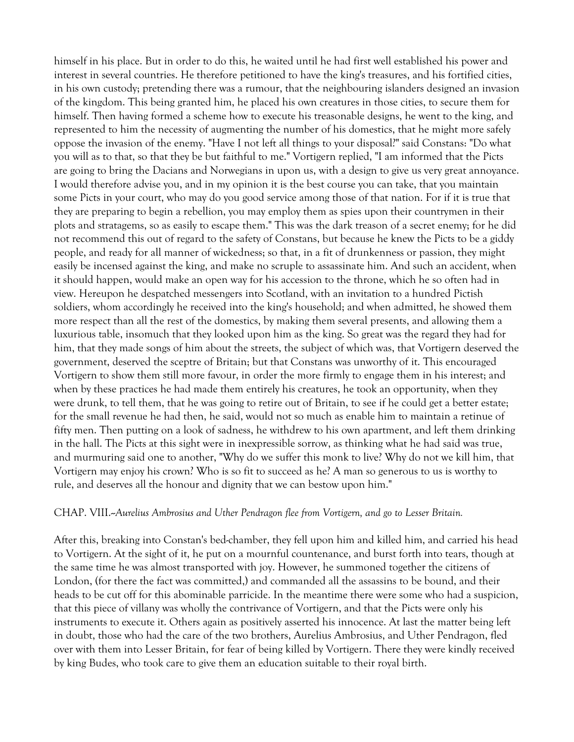himself in his place. But in order to do this, he waited until he had first well established his power and interest in several countries. He therefore petitioned to have the king's treasures, and his fortified cities, in his own custody; pretending there was a rumour, that the neighbouring islanders designed an invasion of the kingdom. This being granted him, he placed his own creatures in those cities, to secure them for himself. Then having formed a scheme how to execute his treasonable designs, he went to the king, and represented to him the necessity of augmenting the number of his domestics, that he might more safely oppose the invasion of the enemy. "Have I not left all things to your disposal?" said Constans: "Do what you will as to that, so that they be but faithful to me." Vortigern replied, "I am informed that the Picts are going to bring the Dacians and Norwegians in upon us, with a design to give us very great annoyance. I would therefore advise you, and in my opinion it is the best course you can take, that you maintain some Picts in your court, who may do you good service among those of that nation. For if it is true that they are preparing to begin a rebellion, you may employ them as spies upon their countrymen in their plots and stratagems, so as easily to escape them." This was the dark treason of a secret enemy; for he did not recommend this out of regard to the safety of Constans, but because he knew the Picts to be a giddy people, and ready for all manner of wickedness; so that, in a fit of drunkenness or passion, they might easily be incensed against the king, and make no scruple to assassinate him. And such an accident, when it should happen, would make an open way for his accession to the throne, which he so often had in view. Hereupon he despatched messengers into Scotland, with an invitation to a hundred Pictish soldiers, whom accordingly he received into the king's household; and when admitted, he showed them more respect than all the rest of the domestics, by making them several presents, and allowing them a luxurious table, insomuch that they looked upon him as the king. So great was the regard they had for him, that they made songs of him about the streets, the subject of which was, that Vortigern deserved the government, deserved the sceptre of Britain; but that Constans was unworthy of it. This encouraged Vortigern to show them still more favour, in order the more firmly to engage them in his interest; and when by these practices he had made them entirely his creatures, he took an opportunity, when they were drunk, to tell them, that he was going to retire out of Britain, to see if he could get a better estate; for the small revenue he had then, he said, would not so much as enable him to maintain a retinue of fifty men. Then putting on a look of sadness, he withdrew to his own apartment, and left them drinking in the hall. The Picts at this sight were in inexpressible sorrow, as thinking what he had said was true, and murmuring said one to another, "Why do we suffer this monk to live? Why do not we kill him, that Vortigern may enjoy his crown? Who is so fit to succeed as he? A man so generous to us is worthy to rule, and deserves all the honour and dignity that we can bestow upon him."

#### CHAP. VIII.--*Aurelius Ambrosius and Uther Pendragon flee from Vortigern, and go to Lesser Britain.*

After this, breaking into Constan's bed-chamber, they fell upon him and killed him, and carried his head to Vortigern. At the sight of it, he put on a mournful countenance, and burst forth into tears, though at the same time he was almost transported with joy. However, he summoned together the citizens of London, (for there the fact was committed,) and commanded all the assassins to be bound, and their heads to be cut off for this abominable parricide. In the meantime there were some who had a suspicion, that this piece of villany was wholly the contrivance of Vortigern, and that the Picts were only his instruments to execute it. Others again as positively asserted his innocence. At last the matter being left in doubt, those who had the care of the two brothers, Aurelius Ambrosius, and Uther Pendragon, fled over with them into Lesser Britain, for fear of being killed by Vortigern. There they were kindly received by king Budes, who took care to give them an education suitable to their royal birth.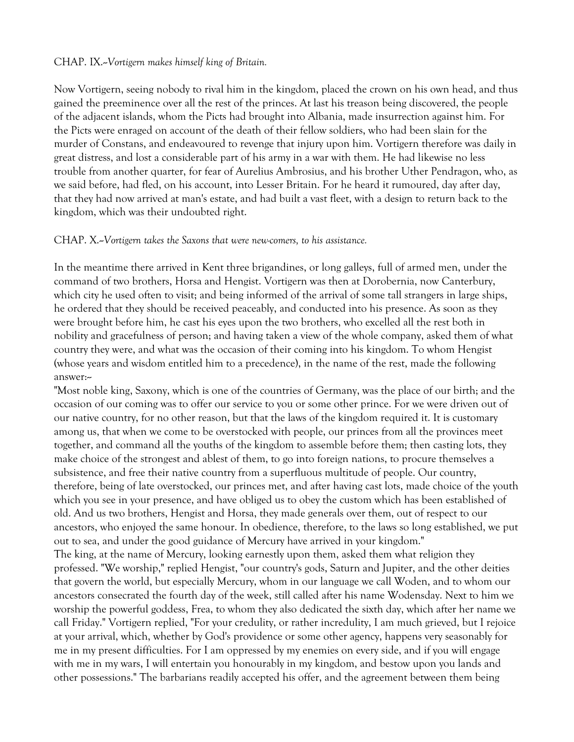### CHAP. IX.--*Vortigern makes himself king of Britain.*

Now Vortigern, seeing nobody to rival him in the kingdom, placed the crown on his own head, and thus gained the preeminence over all the rest of the princes. At last his treason being discovered, the people of the adjacent islands, whom the Picts had brought into Albania, made insurrection against him. For the Picts were enraged on account of the death of their fellow soldiers, who had been slain for the murder of Constans, and endeavoured to revenge that injury upon him. Vortigern therefore was daily in great distress, and lost a considerable part of his army in a war with them. He had likewise no less trouble from another quarter, for fear of Aurelius Ambrosius, and his brother Uther Pendragon, who, as we said before, had fled, on his account, into Lesser Britain. For he heard it rumoured, day after day, that they had now arrived at man's estate, and had built a vast fleet, with a design to return back to the kingdom, which was their undoubted right.

#### CHAP. X.--*Vortigern takes the Saxons that were new-comers, to his assistance.*

In the meantime there arrived in Kent three brigandines, or long galleys, full of armed men, under the command of two brothers, Horsa and Hengist. Vortigern was then at Dorobernia, now Canterbury, which city he used often to visit; and being informed of the arrival of some tall strangers in large ships, he ordered that they should be received peaceably, and conducted into his presence. As soon as they were brought before him, he cast his eyes upon the two brothers, who excelled all the rest both in nobility and gracefulness of person; and having taken a view of the whole company, asked them of what country they were, and what was the occasion of their coming into his kingdom. To whom Hengist (whose years and wisdom entitled him to a precedence), in the name of the rest, made the following answer:--

"Most noble king, Saxony, which is one of the countries of Germany, was the place of our birth; and the occasion of our coming was to offer our service to you or some other prince. For we were driven out of our native country, for no other reason, but that the laws of the kingdom required it. It is customary among us, that when we come to be overstocked with people, our princes from all the provinces meet together, and command all the youths of the kingdom to assemble before them; then casting lots, they make choice of the strongest and ablest of them, to go into foreign nations, to procure themselves a subsistence, and free their native country from a superfluous multitude of people. Our country, therefore, being of late overstocked, our princes met, and after having cast lots, made choice of the youth which you see in your presence, and have obliged us to obey the custom which has been established of old. And us two brothers, Hengist and Horsa, they made generals over them, out of respect to our ancestors, who enjoyed the same honour. In obedience, therefore, to the laws so long established, we put out to sea, and under the good guidance of Mercury have arrived in your kingdom." The king, at the name of Mercury, looking earnestly upon them, asked them what religion they professed. "We worship," replied Hengist, "our country's gods, Saturn and Jupiter, and the other deities that govern the world, but especially Mercury, whom in our language we call Woden, and to whom our ancestors consecrated the fourth day of the week, still called after his name Wodensday. Next to him we worship the powerful goddess, Frea, to whom they also dedicated the sixth day, which after her name we call Friday." Vortigern replied, "For your credulity, or rather incredulity, I am much grieved, but I rejoice at your arrival, which, whether by God's providence or some other agency, happens very seasonably for me in my present difficulties. For I am oppressed by my enemies on every side, and if you will engage with me in my wars, I will entertain you honourably in my kingdom, and bestow upon you lands and other possessions." The barbarians readily accepted his offer, and the agreement between them being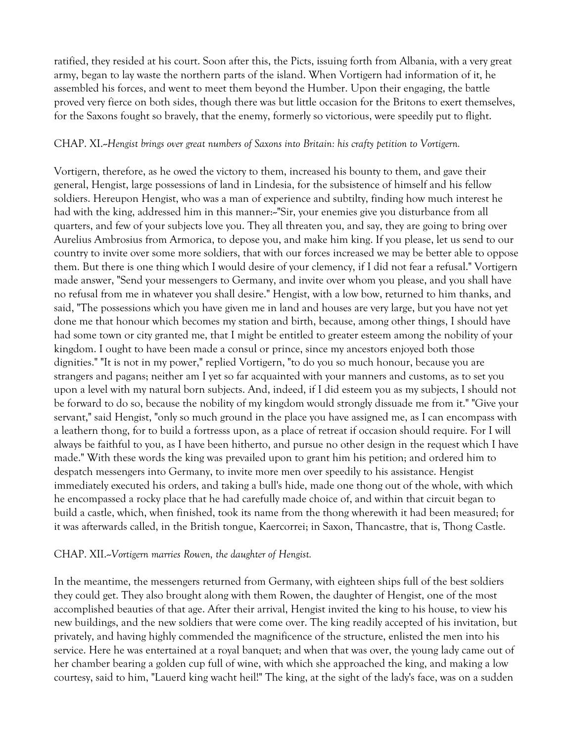ratified, they resided at his court. Soon after this, the Picts, issuing forth from Albania, with a very great army, began to lay waste the northern parts of the island. When Vortigern had information of it, he assembled his forces, and went to meet them beyond the Humber. Upon their engaging, the battle proved very fierce on both sides, though there was but little occasion for the Britons to exert themselves, for the Saxons fought so bravely, that the enemy, formerly so victorious, were speedily put to flight.

#### CHAP. XI.--*Hengist brings over great numbers of Saxons into Britain: his crafty petition to Vortigern.*

Vortigern, therefore, as he owed the victory to them, increased his bounty to them, and gave their general, Hengist, large possessions of land in Lindesia, for the subsistence of himself and his fellow soldiers. Hereupon Hengist, who was a man of experience and subtilty, finding how much interest he had with the king, addressed him in this manner:-"Sir, your enemies give you disturbance from all quarters, and few of your subjects love you. They all threaten you, and say, they are going to bring over Aurelius Ambrosius from Armorica, to depose you, and make him king. If you please, let us send to our country to invite over some more soldiers, that with our forces increased we may be better able to oppose them. But there is one thing which I would desire of your clemency, if I did not fear a refusal." Vortigern made answer, "Send your messengers to Germany, and invite over whom you please, and you shall have no refusal from me in whatever you shall desire." Hengist, with a low bow, returned to him thanks, and said, "The possessions which you have given me in land and houses are very large, but you have not yet done me that honour which becomes my station and birth, because, among other things, I should have had some town or city granted me, that I might be entitled to greater esteem among the nobility of your kingdom. I ought to have been made a consul or prince, since my ancestors enjoyed both those dignities." "It is not in my power," replied Vortigern, "to do you so much honour, because you are strangers and pagans; neither am I yet so far acquainted with your manners and customs, as to set you upon a level with my natural born subjects. And, indeed, if I did esteem you as my subjects, I should not be forward to do so, because the nobility of my kingdom would strongly dissuade me from it." "Give your servant," said Hengist, "only so much ground in the place you have assigned me, as I can encompass with a leathern thong, for to build a fortresss upon, as a place of retreat if occasion should require. For I will always be faithful to you, as I have been hitherto, and pursue no other design in the request which I have made." With these words the king was prevailed upon to grant him his petition; and ordered him to despatch messengers into Germany, to invite more men over speedily to his assistance. Hengist immediately executed his orders, and taking a bull's hide, made one thong out of the whole, with which he encompassed a rocky place that he had carefully made choice of, and within that circuit began to build a castle, which, when finished, took its name from the thong wherewith it had been measured; for it was afterwards called, in the British tongue, Kaercorrei; in Saxon, Thancastre, that is, Thong Castle.

#### CHAP. XII.--*Vortigern marries Rowen, the daughter of Hengist.*

In the meantime, the messengers returned from Germany, with eighteen ships full of the best soldiers they could get. They also brought along with them Rowen, the daughter of Hengist, one of the most accomplished beauties of that age. After their arrival, Hengist invited the king to his house, to view his new buildings, and the new soldiers that were come over. The king readily accepted of his invitation, but privately, and having highly commended the magnificence of the structure, enlisted the men into his service. Here he was entertained at a royal banquet; and when that was over, the young lady came out of her chamber bearing a golden cup full of wine, with which she approached the king, and making a low courtesy, said to him, "Lauerd king wacht heil!" The king, at the sight of the lady's face, was on a sudden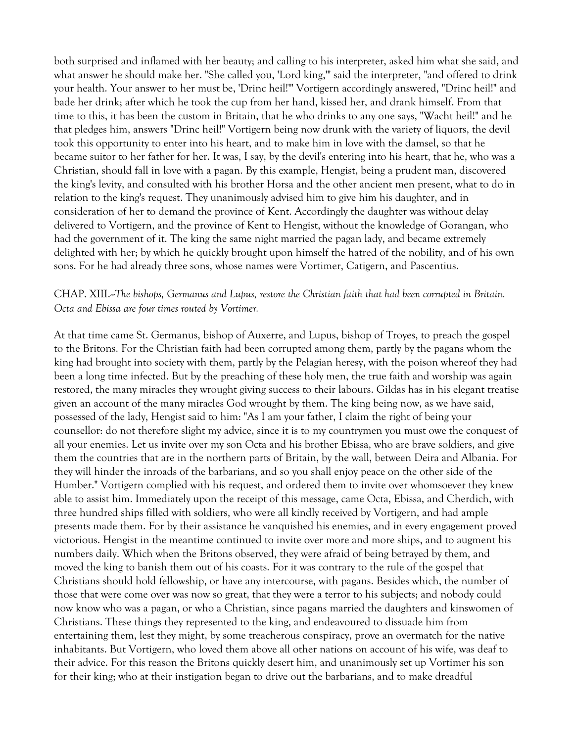both surprised and inflamed with her beauty; and calling to his interpreter, asked him what she said, and what answer he should make her. "She called you, 'Lord king,'" said the interpreter, "and offered to drink your health. Your answer to her must be, 'Drinc heil!'" Vortigern accordingly answered, "Drinc heil!" and bade her drink; after which he took the cup from her hand, kissed her, and drank himself. From that time to this, it has been the custom in Britain, that he who drinks to any one says, "Wacht heil!" and he that pledges him, answers "Drinc heil!" Vortigern being now drunk with the variety of liquors, the devil took this opportunity to enter into his heart, and to make him in love with the damsel, so that he became suitor to her father for her. It was, I say, by the devil's entering into his heart, that he, who was a Christian, should fall in love with a pagan. By this example, Hengist, being a prudent man, discovered the king's levity, and consulted with his brother Horsa and the other ancient men present, what to do in relation to the king's request. They unanimously advised him to give him his daughter, and in consideration of her to demand the province of Kent. Accordingly the daughter was without delay delivered to Vortigern, and the province of Kent to Hengist, without the knowledge of Gorangan, who had the government of it. The king the same night married the pagan lady, and became extremely delighted with her; by which he quickly brought upon himself the hatred of the nobility, and of his own sons. For he had already three sons, whose names were Vortimer, Catigern, and Pascentius.

### CHAP. XIII.--*The bishops, Germanus and Lupus, restore the Christian faith that had been corrupted in Britain. Octa and Ebissa are four times routed by Vortimer.*

At that time came St. Germanus, bishop of Auxerre, and Lupus, bishop of Troyes, to preach the gospel to the Britons. For the Christian faith had been corrupted among them, partly by the pagans whom the king had brought into society with them, partly by the Pelagian heresy, with the poison whereof they had been a long time infected. But by the preaching of these holy men, the true faith and worship was again restored, the many miracles they wrought giving success to their labours. Gildas has in his elegant treatise given an account of the many miracles God wrought by them. The king being now, as we have said, possessed of the lady, Hengist said to him: "As I am your father, I claim the right of being your counsellor: do not therefore slight my advice, since it is to my countrymen you must owe the conquest of all your enemies. Let us invite over my son Octa and his brother Ebissa, who are brave soldiers, and give them the countries that are in the northern parts of Britain, by the wall, between Deira and Albania. For they will hinder the inroads of the barbarians, and so you shall enjoy peace on the other side of the Humber." Vortigern complied with his request, and ordered them to invite over whomsoever they knew able to assist him. Immediately upon the receipt of this message, came Octa, Ebissa, and Cherdich, with three hundred ships filled with soldiers, who were all kindly received by Vortigern, and had ample presents made them. For by their assistance he vanquished his enemies, and in every engagement proved victorious. Hengist in the meantime continued to invite over more and more ships, and to augment his numbers daily. Which when the Britons observed, they were afraid of being betrayed by them, and moved the king to banish them out of his coasts. For it was contrary to the rule of the gospel that Christians should hold fellowship, or have any intercourse, with pagans. Besides which, the number of those that were come over was now so great, that they were a terror to his subjects; and nobody could now know who was a pagan, or who a Christian, since pagans married the daughters and kinswomen of Christians. These things they represented to the king, and endeavoured to dissuade him from entertaining them, lest they might, by some treacherous conspiracy, prove an overmatch for the native inhabitants. But Vortigern, who loved them above all other nations on account of his wife, was deaf to their advice. For this reason the Britons quickly desert him, and unanimously set up Vortimer his son for their king; who at their instigation began to drive out the barbarians, and to make dreadful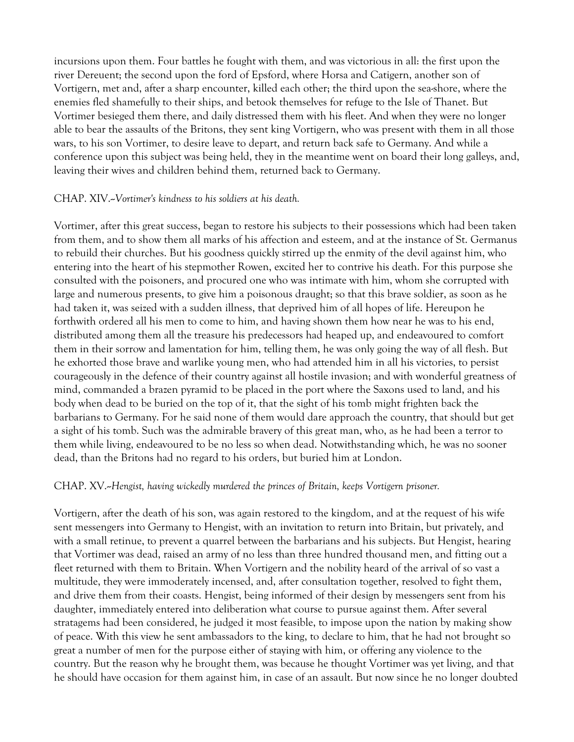incursions upon them. Four battles he fought with them, and was victorious in all: the first upon the river Dereuent; the second upon the ford of Epsford, where Horsa and Catigern, another son of Vortigern, met and, after a sharp encounter, killed each other; the third upon the sea-shore, where the enemies fled shamefully to their ships, and betook themselves for refuge to the Isle of Thanet. But Vortimer besieged them there, and daily distressed them with his fleet. And when they were no longer able to bear the assaults of the Britons, they sent king Vortigern, who was present with them in all those wars, to his son Vortimer, to desire leave to depart, and return back safe to Germany. And while a conference upon this subject was being held, they in the meantime went on board their long galleys, and, leaving their wives and children behind them, returned back to Germany.

#### CHAP. XIV.--*Vortimer's kindness to his soldiers at his death.*

Vortimer, after this great success, began to restore his subjects to their possessions which had been taken from them, and to show them all marks of his affection and esteem, and at the instance of St. Germanus to rebuild their churches. But his goodness quickly stirred up the enmity of the devil against him, who entering into the heart of his stepmother Rowen, excited her to contrive his death. For this purpose she consulted with the poisoners, and procured one who was intimate with him, whom she corrupted with large and numerous presents, to give him a poisonous draught; so that this brave soldier, as soon as he had taken it, was seized with a sudden illness, that deprived him of all hopes of life. Hereupon he forthwith ordered all his men to come to him, and having shown them how near he was to his end, distributed among them all the treasure his predecessors had heaped up, and endeavoured to comfort them in their sorrow and lamentation for him, telling them, he was only going the way of all flesh. But he exhorted those brave and warlike young men, who had attended him in all his victories, to persist courageously in the defence of their country against all hostile invasion; and with wonderful greatness of mind, commanded a brazen pyramid to be placed in the port where the Saxons used to land, and his body when dead to be buried on the top of it, that the sight of his tomb might frighten back the barbarians to Germany. For he said none of them would dare approach the country, that should but get a sight of his tomb. Such was the admirable bravery of this great man, who, as he had been a terror to them while living, endeavoured to be no less so when dead. Notwithstanding which, he was no sooner dead, than the Britons had no regard to his orders, but buried him at London.

#### CHAP. XV.--*Hengist, having wickedly murdered the princes of Britain, keeps Vortigern prisoner.*

Vortigern, after the death of his son, was again restored to the kingdom, and at the request of his wife sent messengers into Germany to Hengist, with an invitation to return into Britain, but privately, and with a small retinue, to prevent a quarrel between the barbarians and his subjects. But Hengist, hearing that Vortimer was dead, raised an army of no less than three hundred thousand men, and fitting out a fleet returned with them to Britain. When Vortigern and the nobility heard of the arrival of so vast a multitude, they were immoderately incensed, and, after consultation together, resolved to fight them, and drive them from their coasts. Hengist, being informed of their design by messengers sent from his daughter, immediately entered into deliberation what course to pursue against them. After several stratagems had been considered, he judged it most feasible, to impose upon the nation by making show of peace. With this view he sent ambassadors to the king, to declare to him, that he had not brought so great a number of men for the purpose either of staying with him, or offering any violence to the country. But the reason why he brought them, was because he thought Vortimer was yet living, and that he should have occasion for them against him, in case of an assault. But now since he no longer doubted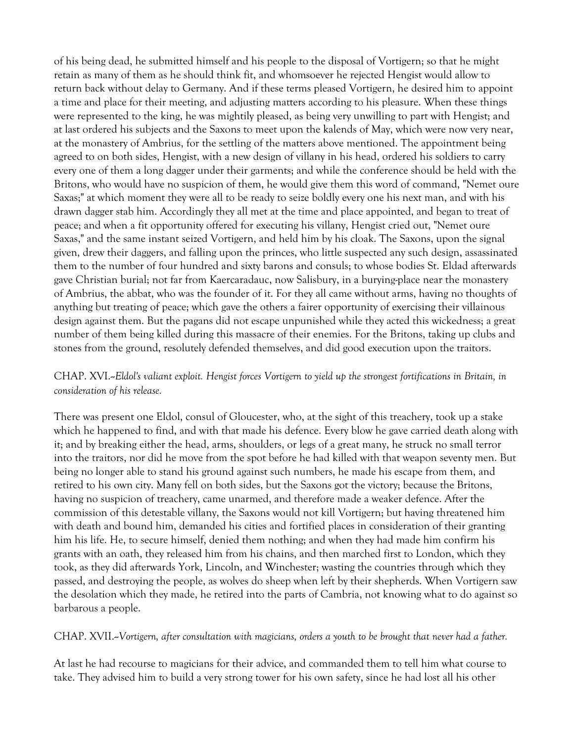of his being dead, he submitted himself and his people to the disposal of Vortigern; so that he might retain as many of them as he should think fit, and whomsoever he rejected Hengist would allow to return back without delay to Germany. And if these terms pleased Vortigern, he desired him to appoint a time and place for their meeting, and adjusting matters according to his pleasure. When these things were represented to the king, he was mightily pleased, as being very unwilling to part with Hengist; and at last ordered his subjects and the Saxons to meet upon the kalends of May, which were now very near, at the monastery of Ambrius, for the settling of the matters above mentioned. The appointment being agreed to on both sides, Hengist, with a new design of villany in his head, ordered his soldiers to carry every one of them a long dagger under their garments; and while the conference should be held with the Britons, who would have no suspicion of them, he would give them this word of command, "Nemet oure Saxas;" at which moment they were all to be ready to seize boldly every one his next man, and with his drawn dagger stab him. Accordingly they all met at the time and place appointed, and began to treat of peace; and when a fit opportunity offered for executing his villany, Hengist cried out, "Nemet oure Saxas," and the same instant seized Vortigern, and held him by his cloak. The Saxons, upon the signal given, drew their daggers, and falling upon the princes, who little suspected any such design, assassinated them to the number of four hundred and sixty barons and consuls; to whose bodies St. Eldad afterwards gave Christian burial; not far from Kaercaradauc, now Salisbury, in a burying-place near the monastery of Ambrius, the abbat, who was the founder of it. For they all came without arms, having no thoughts of anything but treating of peace; which gave the others a fairer opportunity of exercising their villainous design against them. But the pagans did not escape unpunished while they acted this wickedness; a great number of them being killed during this massacre of their enemies. For the Britons, taking up clubs and stones from the ground, resolutely defended themselves, and did good execution upon the traitors.

# CHAP. XVI.--*Eldol's valiant exploit. Hengist forces Vortigern to yield up the strongest fortifications in Britain, in consideration of his release.*

There was present one Eldol, consul of Gloucester, who, at the sight of this treachery, took up a stake which he happened to find, and with that made his defence. Every blow he gave carried death along with it; and by breaking either the head, arms, shoulders, or legs of a great many, he struck no small terror into the traitors, nor did he move from the spot before he had killed with that weapon seventy men. But being no longer able to stand his ground against such numbers, he made his escape from them, and retired to his own city. Many fell on both sides, but the Saxons got the victory; because the Britons, having no suspicion of treachery, came unarmed, and therefore made a weaker defence. After the commission of this detestable villany, the Saxons would not kill Vortigern; but having threatened him with death and bound him, demanded his cities and fortified places in consideration of their granting him his life. He, to secure himself, denied them nothing; and when they had made him confirm his grants with an oath, they released him from his chains, and then marched first to London, which they took, as they did afterwards York, Lincoln, and Winchester; wasting the countries through which they passed, and destroying the people, as wolves do sheep when left by their shepherds. When Vortigern saw the desolation which they made, he retired into the parts of Cambria, not knowing what to do against so barbarous a people.

CHAP. XVII.--*Vortigern, after consultation with magicians, orders a youth to be brought that never had a father.*

At last he had recourse to magicians for their advice, and commanded them to tell him what course to take. They advised him to build a very strong tower for his own safety, since he had lost all his other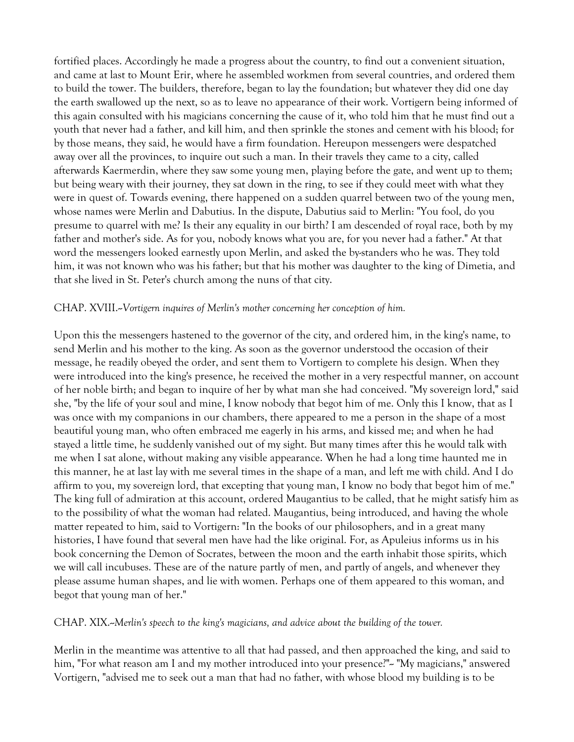fortified places. Accordingly he made a progress about the country, to find out a convenient situation, and came at last to Mount Erir, where he assembled workmen from several countries, and ordered them to build the tower. The builders, therefore, began to lay the foundation; but whatever they did one day the earth swallowed up the next, so as to leave no appearance of their work. Vortigern being informed of this again consulted with his magicians concerning the cause of it, who told him that he must find out a youth that never had a father, and kill him, and then sprinkle the stones and cement with his blood; for by those means, they said, he would have a firm foundation. Hereupon messengers were despatched away over all the provinces, to inquire out such a man. In their travels they came to a city, called afterwards Kaermerdin, where they saw some young men, playing before the gate, and went up to them; but being weary with their journey, they sat down in the ring, to see if they could meet with what they were in quest of. Towards evening, there happened on a sudden quarrel between two of the young men, whose names were Merlin and Dabutius. In the dispute, Dabutius said to Merlin: "You fool, do you presume to quarrel with me? Is their any equality in our birth? I am descended of royal race, both by my father and mother's side. As for you, nobody knows what you are, for you never had a father." At that word the messengers looked earnestly upon Merlin, and asked the by-standers who he was. They told him, it was not known who was his father; but that his mother was daughter to the king of Dimetia, and that she lived in St. Peter's church among the nuns of that city.

#### CHAP. XVIII.--*Vortigern inquires of Merlin's mother concerning her conception of him.*

Upon this the messengers hastened to the governor of the city, and ordered him, in the king's name, to send Merlin and his mother to the king. As soon as the governor understood the occasion of their message, he readily obeyed the order, and sent them to Vortigern to complete his design. When they were introduced into the king's presence, he received the mother in a very respectful manner, on account of her noble birth; and began to inquire of her by what man she had conceived. "My sovereign lord," said she, "by the life of your soul and mine, I know nobody that begot him of me. Only this I know, that as I was once with my companions in our chambers, there appeared to me a person in the shape of a most beautiful young man, who often embraced me eagerly in his arms, and kissed me; and when he had stayed a little time, he suddenly vanished out of my sight. But many times after this he would talk with me when I sat alone, without making any visible appearance. When he had a long time haunted me in this manner, he at last lay with me several times in the shape of a man, and left me with child. And I do affirm to you, my sovereign lord, that excepting that young man, I know no body that begot him of me." The king full of admiration at this account, ordered Maugantius to be called, that he might satisfy him as to the possibility of what the woman had related. Maugantius, being introduced, and having the whole matter repeated to him, said to Vortigern: "In the books of our philosophers, and in a great many histories, I have found that several men have had the like original. For, as Apuleius informs us in his book concerning the Demon of Socrates, between the moon and the earth inhabit those spirits, which we will call incubuses. These are of the nature partly of men, and partly of angels, and whenever they please assume human shapes, and lie with women. Perhaps one of them appeared to this woman, and begot that young man of her."

CHAP. XIX.--*Merlin's speech to the king's magicians, and advice about the building of the tower.*

Merlin in the meantime was attentive to all that had passed, and then approached the king, and said to him, "For what reason am I and my mother introduced into your presence?"~ "My magicians," answered Vortigern, "advised me to seek out a man that had no father, with whose blood my building is to be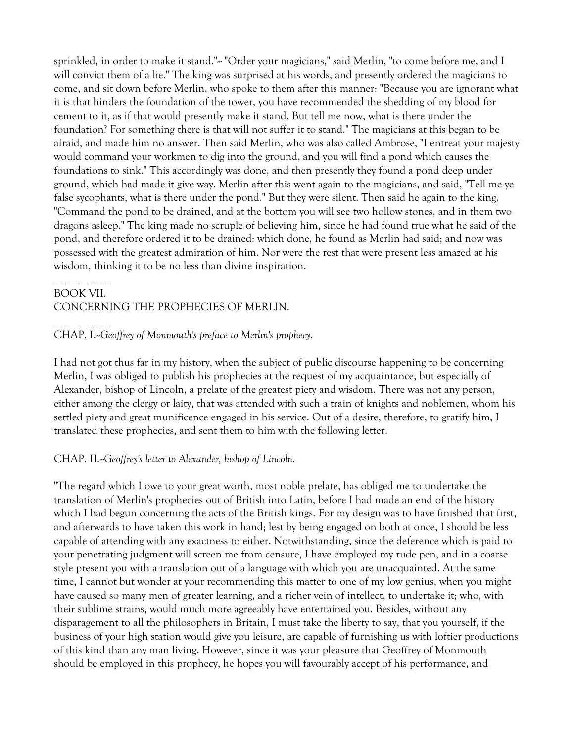sprinkled, in order to make it stand."~ "Order your magicians," said Merlin, "to come before me, and I will convict them of a lie." The king was surprised at his words, and presently ordered the magicians to come, and sit down before Merlin, who spoke to them after this manner: "Because you are ignorant what it is that hinders the foundation of the tower, you have recommended the shedding of my blood for cement to it, as if that would presently make it stand. But tell me now, what is there under the foundation? For something there is that will not suffer it to stand." The magicians at this began to be afraid, and made him no answer. Then said Merlin, who was also called Ambrose, "I entreat your majesty would command your workmen to dig into the ground, and you will find a pond which causes the foundations to sink." This accordingly was done, and then presently they found a pond deep under ground, which had made it give way. Merlin after this went again to the magicians, and said, "Tell me ye false sycophants, what is there under the pond." But they were silent. Then said he again to the king, "Command the pond to be drained, and at the bottom you will see two hollow stones, and in them two dragons asleep." The king made no scruple of believing him, since he had found true what he said of the pond, and therefore ordered it to be drained: which done, he found as Merlin had said; and now was possessed with the greatest admiration of him. Nor were the rest that were present less amazed at his wisdom, thinking it to be no less than divine inspiration.

### BOOK VII. CONCERNING THE PROPHECIES OF MERLIN.

\_\_\_\_\_\_\_\_\_\_

\_\_\_\_\_\_\_\_\_\_

### CHAP. I.--*Geoffrey of Monmouth's preface to Merlin's prophecy.*

I had not got thus far in my history, when the subject of public discourse happening to be concerning Merlin, I was obliged to publish his prophecies at the request of my acquaintance, but especially of Alexander, bishop of Lincoln, a prelate of the greatest piety and wisdom. There was not any person, either among the clergy or laity, that was attended with such a train of knights and noblemen, whom his settled piety and great munificence engaged in his service. Out of a desire, therefore, to gratify him, I translated these prophecies, and sent them to him with the following letter.

### CHAP. II.--*Geoffrey's letter to Alexander, bishop of Lincoln.*

"The regard which I owe to your great worth, most noble prelate, has obliged me to undertake the translation of Merlin's prophecies out of British into Latin, before I had made an end of the history which I had begun concerning the acts of the British kings. For my design was to have finished that first, and afterwards to have taken this work in hand; lest by being engaged on both at once, I should be less capable of attending with any exactness to either. Notwithstanding, since the deference which is paid to your penetrating judgment will screen me from censure, I have employed my rude pen, and in a coarse style present you with a translation out of a language with which you are unacquainted. At the same time, I cannot but wonder at your recommending this matter to one of my low genius, when you might have caused so many men of greater learning, and a richer vein of intellect, to undertake it; who, with their sublime strains, would much more agreeably have entertained you. Besides, without any disparagement to all the philosophers in Britain, I must take the liberty to say, that you yourself, if the business of your high station would give you leisure, are capable of furnishing us with loftier productions of this kind than any man living. However, since it was your pleasure that Geoffrey of Monmouth should be employed in this prophecy, he hopes you will favourably accept of his performance, and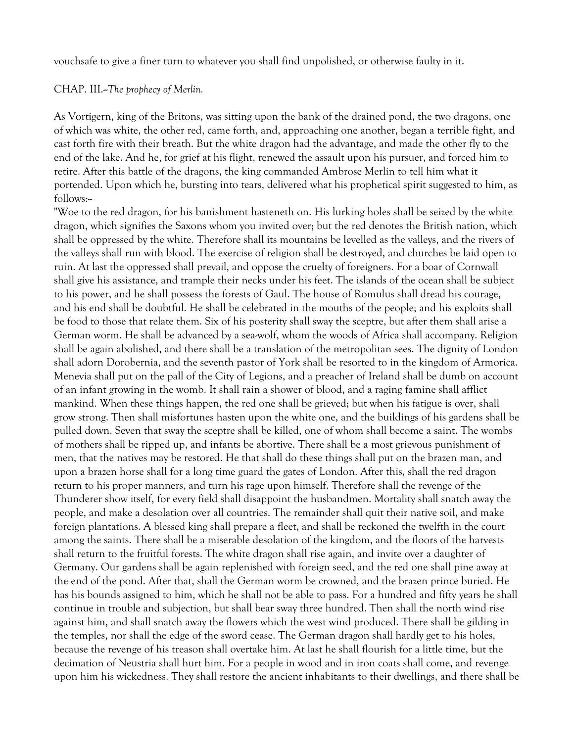vouchsafe to give a finer turn to whatever you shall find unpolished, or otherwise faulty in it.

CHAP. III.--*The prophecy of Merlin.*

As Vortigern, king of the Britons, was sitting upon the bank of the drained pond, the two dragons, one of which was white, the other red, came forth, and, approaching one another, began a terrible fight, and cast forth fire with their breath. But the white dragon had the advantage, and made the other fly to the end of the lake. And he, for grief at his flight, renewed the assault upon his pursuer, and forced him to retire. After this battle of the dragons, the king commanded Ambrose Merlin to tell him what it portended. Upon which he, bursting into tears, delivered what his prophetical spirit suggested to him, as follows:--

"Woe to the red dragon, for his banishment hasteneth on. His lurking holes shall be seized by the white dragon, which signifies the Saxons whom you invited over; but the red denotes the British nation, which shall be oppressed by the white. Therefore shall its mountains be levelled as the valleys, and the rivers of the valleys shall run with blood. The exercise of religion shall be destroyed, and churches be laid open to ruin. At last the oppressed shall prevail, and oppose the cruelty of foreigners. For a boar of Cornwall shall give his assistance, and trample their necks under his feet. The islands of the ocean shall be subject to his power, and he shall possess the forests of Gaul. The house of Romulus shall dread his courage, and his end shall be doubtful. He shall be celebrated in the mouths of the people; and his exploits shall be food to those that relate them. Six of his posterity shall sway the sceptre, but after them shall arise a German worm. He shall be advanced by a sea-wolf, whom the woods of Africa shall accompany. Religion shall be again abolished, and there shall be a translation of the metropolitan sees. The dignity of London shall adorn Dorobernia, and the seventh pastor of York shall be resorted to in the kingdom of Armorica. Menevia shall put on the pall of the City of Legions, and a preacher of Ireland shall be dumb on account of an infant growing in the womb. It shall rain a shower of blood, and a raging famine shall afflict mankind. When these things happen, the red one shall be grieved; but when his fatigue is over, shall grow strong. Then shall misfortunes hasten upon the white one, and the buildings of his gardens shall be pulled down. Seven that sway the sceptre shall be killed, one of whom shall become a saint. The wombs of mothers shall be ripped up, and infants be abortive. There shall be a most grievous punishment of men, that the natives may be restored. He that shall do these things shall put on the brazen man, and upon a brazen horse shall for a long time guard the gates of London. After this, shall the red dragon return to his proper manners, and turn his rage upon himself. Therefore shall the revenge of the Thunderer show itself, for every field shall disappoint the husbandmen. Mortality shall snatch away the people, and make a desolation over all countries. The remainder shall quit their native soil, and make foreign plantations. A blessed king shall prepare a fleet, and shall be reckoned the twelfth in the court among the saints. There shall be a miserable desolation of the kingdom, and the floors of the harvests shall return to the fruitful forests. The white dragon shall rise again, and invite over a daughter of Germany. Our gardens shall be again replenished with foreign seed, and the red one shall pine away at the end of the pond. After that, shall the German worm be crowned, and the brazen prince buried. He has his bounds assigned to him, which he shall not be able to pass. For a hundred and fifty years he shall continue in trouble and subjection, but shall bear sway three hundred. Then shall the north wind rise against him, and shall snatch away the flowers which the west wind produced. There shall be gilding in the temples, nor shall the edge of the sword cease. The German dragon shall hardly get to his holes, because the revenge of his treason shall overtake him. At last he shall flourish for a little time, but the decimation of Neustria shall hurt him. For a people in wood and in iron coats shall come, and revenge upon him his wickedness. They shall restore the ancient inhabitants to their dwellings, and there shall be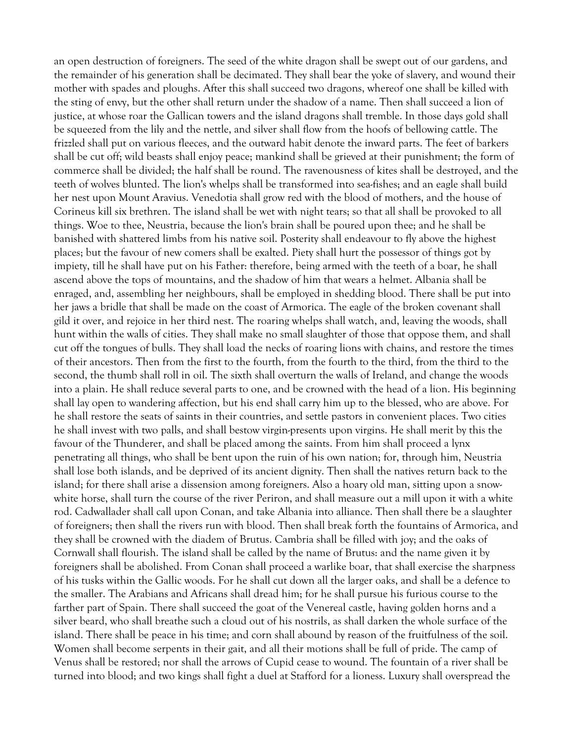an open destruction of foreigners. The seed of the white dragon shall be swept out of our gardens, and the remainder of his generation shall be decimated. They shall bear the yoke of slavery, and wound their mother with spades and ploughs. After this shall succeed two dragons, whereof one shall be killed with the sting of envy, but the other shall return under the shadow of a name. Then shall succeed a lion of justice, at whose roar the Gallican towers and the island dragons shall tremble. In those days gold shall be squeezed from the lily and the nettle, and silver shall flow from the hoofs of bellowing cattle. The frizzled shall put on various fleeces, and the outward habit denote the inward parts. The feet of barkers shall be cut off; wild beasts shall enjoy peace; mankind shall be grieved at their punishment; the form of commerce shall be divided; the half shall be round. The ravenousness of kites shall be destroyed, and the teeth of wolves blunted. The lion's whelps shall be transformed into sea-fishes; and an eagle shall build her nest upon Mount Aravius. Venedotia shall grow red with the blood of mothers, and the house of Corineus kill six brethren. The island shall be wet with night tears; so that all shall be provoked to all things. Woe to thee, Neustria, because the lion's brain shall be poured upon thee; and he shall be banished with shattered limbs from his native soil. Posterity shall endeavour to fly above the highest places; but the favour of new comers shall be exalted. Piety shall hurt the possessor of things got by impiety, till he shall have put on his Father: therefore, being armed with the teeth of a boar, he shall ascend above the tops of mountains, and the shadow of him that wears a helmet. Albania shall be enraged, and, assembling her neighbours, shall be employed in shedding blood. There shall be put into her jaws a bridle that shall be made on the coast of Armorica. The eagle of the broken covenant shall gild it over, and rejoice in her third nest. The roaring whelps shall watch, and, leaving the woods, shall hunt within the walls of cities. They shall make no small slaughter of those that oppose them, and shall cut off the tongues of bulls. They shall load the necks of roaring lions with chains, and restore the times of their ancestors. Then from the first to the fourth, from the fourth to the third, from the third to the second, the thumb shall roll in oil. The sixth shall overturn the walls of Ireland, and change the woods into a plain. He shall reduce several parts to one, and be crowned with the head of a lion. His beginning shall lay open to wandering affection, but his end shall carry him up to the blessed, who are above. For he shall restore the seats of saints in their countries, and settle pastors in convenient places. Two cities he shall invest with two palls, and shall bestow virgin-presents upon virgins. He shall merit by this the favour of the Thunderer, and shall be placed among the saints. From him shall proceed a lynx penetrating all things, who shall be bent upon the ruin of his own nation; for, through him, Neustria shall lose both islands, and be deprived of its ancient dignity. Then shall the natives return back to the island; for there shall arise a dissension among foreigners. Also a hoary old man, sitting upon a snowwhite horse, shall turn the course of the river Periron, and shall measure out a mill upon it with a white rod. Cadwallader shall call upon Conan, and take Albania into alliance. Then shall there be a slaughter of foreigners; then shall the rivers run with blood. Then shall break forth the fountains of Armorica, and they shall be crowned with the diadem of Brutus. Cambria shall be filled with joy; and the oaks of Cornwall shall flourish. The island shall be called by the name of Brutus: and the name given it by foreigners shall be abolished. From Conan shall proceed a warlike boar, that shall exercise the sharpness of his tusks within the Gallic woods. For he shall cut down all the larger oaks, and shall be a defence to the smaller. The Arabians and Africans shall dread him; for he shall pursue his furious course to the farther part of Spain. There shall succeed the goat of the Venereal castle, having golden horns and a silver beard, who shall breathe such a cloud out of his nostrils, as shall darken the whole surface of the island. There shall be peace in his time; and corn shall abound by reason of the fruitfulness of the soil. Women shall become serpents in their gait, and all their motions shall be full of pride. The camp of Venus shall be restored; nor shall the arrows of Cupid cease to wound. The fountain of a river shall be turned into blood; and two kings shall fight a duel at Stafford for a lioness. Luxury shall overspread the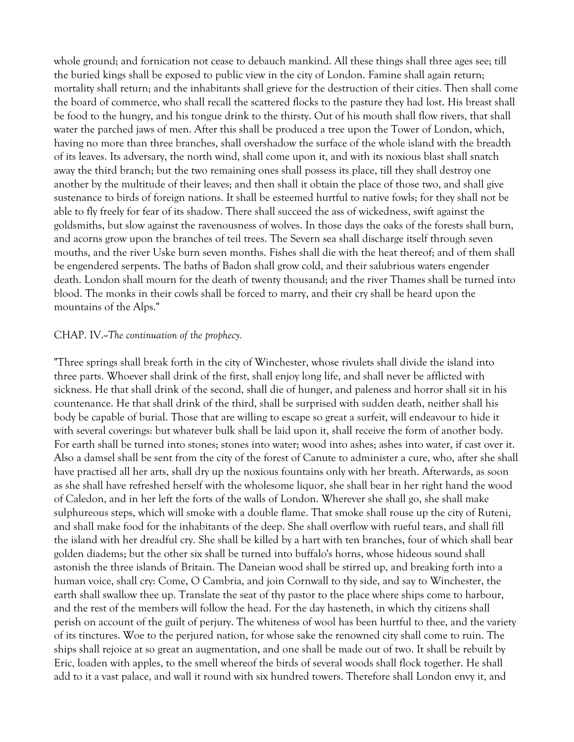whole ground; and fornication not cease to debauch mankind. All these things shall three ages see; till the buried kings shall be exposed to public view in the city of London. Famine shall again return; mortality shall return; and the inhabitants shall grieve for the destruction of their cities. Then shall come the board of commerce, who shall recall the scattered flocks to the pasture they had lost. His breast shall be food to the hungry, and his tongue drink to the thirsty. Out of his mouth shall flow rivers, that shall water the parched jaws of men. After this shall be produced a tree upon the Tower of London, which, having no more than three branches, shall overshadow the surface of the whole island with the breadth of its leaves. Its adversary, the north wind, shall come upon it, and with its noxious blast shall snatch away the third branch; but the two remaining ones shall possess its place, till they shall destroy one another by the multitude of their leaves; and then shall it obtain the place of those two, and shall give sustenance to birds of foreign nations. It shall be esteemed hurtful to native fowls; for they shall not be able to fly freely for fear of its shadow. There shall succeed the ass of wickedness, swift against the goldsmiths, but slow against the ravenousness of wolves. In those days the oaks of the forests shall burn, and acorns grow upon the branches of teil trees. The Severn sea shall discharge itself through seven mouths, and the river Uske burn seven months. Fishes shall die with the heat thereof; and of them shall be engendered serpents. The baths of Badon shall grow cold, and their salubrious waters engender death. London shall mourn for the death of twenty thousand; and the river Thames shall be turned into blood. The monks in their cowls shall be forced to marry, and their cry shall be heard upon the mountains of the Alps."

#### CHAP. IV.--*The continuation of the prophecy.*

"Three springs shall break forth in the city of Winchester, whose rivulets shall divide the island into three parts. Whoever shall drink of the first, shall enjoy long life, and shall never be afflicted with sickness. He that shall drink of the second, shall die of hunger, and paleness and horror shall sit in his countenance. He that shall drink of the third, shall be surprised with sudden death, neither shall his body be capable of burial. Those that are willing to escape so great a surfeit, will endeavour to hide it with several coverings: but whatever bulk shall be laid upon it, shall receive the form of another body. For earth shall be turned into stones; stones into water; wood into ashes; ashes into water, if cast over it. Also a damsel shall be sent from the city of the forest of Canute to administer a cure, who, after she shall have practised all her arts, shall dry up the noxious fountains only with her breath. Afterwards, as soon as she shall have refreshed herself with the wholesome liquor, she shall bear in her right hand the wood of Caledon, and in her left the forts of the walls of London. Wherever she shall go, she shall make sulphureous steps, which will smoke with a double flame. That smoke shall rouse up the city of Ruteni, and shall make food for the inhabitants of the deep. She shall overflow with rueful tears, and shall fill the island with her dreadful cry. She shall be killed by a hart with ten branches, four of which shall bear golden diadems; but the other six shall be turned into buffalo's horns, whose hideous sound shall astonish the three islands of Britain. The Daneian wood shall be stirred up, and breaking forth into a human voice, shall cry: Come, O Cambria, and join Cornwall to thy side, and say to Winchester, the earth shall swallow thee up. Translate the seat of thy pastor to the place where ships come to harbour, and the rest of the members will follow the head. For the day hasteneth, in which thy citizens shall perish on account of the guilt of perjury. The whiteness of wool has been hurtful to thee, and the variety of its tinctures. Woe to the perjured nation, for whose sake the renowned city shall come to ruin. The ships shall rejoice at so great an augmentation, and one shall be made out of two. It shall be rebuilt by Eric, loaden with apples, to the smell whereof the birds of several woods shall flock together. He shall add to it a vast palace, and wall it round with six hundred towers. Therefore shall London envy it, and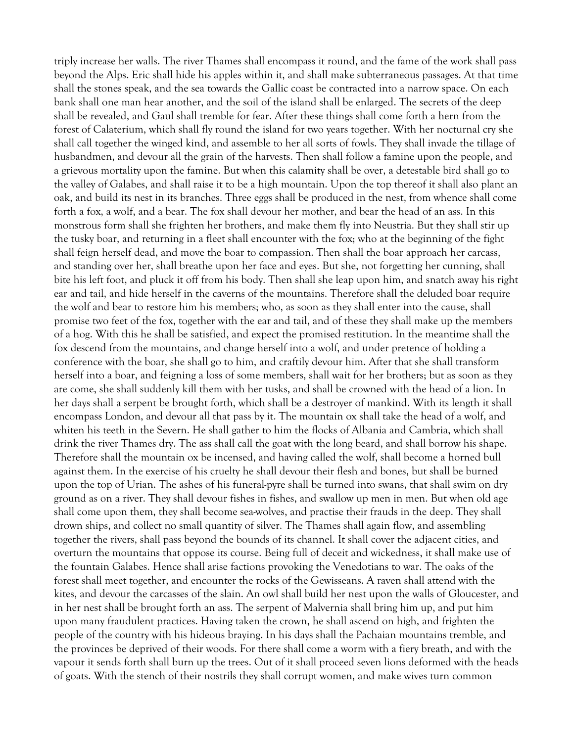triply increase her walls. The river Thames shall encompass it round, and the fame of the work shall pass beyond the Alps. Eric shall hide his apples within it, and shall make subterraneous passages. At that time shall the stones speak, and the sea towards the Gallic coast be contracted into a narrow space. On each bank shall one man hear another, and the soil of the island shall be enlarged. The secrets of the deep shall be revealed, and Gaul shall tremble for fear. After these things shall come forth a hern from the forest of Calaterium, which shall fly round the island for two years together. With her nocturnal cry she shall call together the winged kind, and assemble to her all sorts of fowls. They shall invade the tillage of husbandmen, and devour all the grain of the harvests. Then shall follow a famine upon the people, and a grievous mortality upon the famine. But when this calamity shall be over, a detestable bird shall go to the valley of Galabes, and shall raise it to be a high mountain. Upon the top thereof it shall also plant an oak, and build its nest in its branches. Three eggs shall be produced in the nest, from whence shall come forth a fox, a wolf, and a bear. The fox shall devour her mother, and bear the head of an ass. In this monstrous form shall she frighten her brothers, and make them fly into Neustria. But they shall stir up the tusky boar, and returning in a fleet shall encounter with the fox; who at the beginning of the fight shall feign herself dead, and move the boar to compassion. Then shall the boar approach her carcass, and standing over her, shall breathe upon her face and eyes. But she, not forgetting her cunning, shall bite his left foot, and pluck it off from his body. Then shall she leap upon him, and snatch away his right ear and tail, and hide herself in the caverns of the mountains. Therefore shall the deluded boar require the wolf and bear to restore him his members; who, as soon as they shall enter into the cause, shall promise two feet of the fox, together with the ear and tail, and of these they shall make up the members of a hog. With this he shall be satisfied, and expect the promised restitution. In the meantime shall the fox descend from the mountains, and change herself into a wolf, and under pretence of holding a conference with the boar, she shall go to him, and craftily devour him. After that she shall transform herself into a boar, and feigning a loss of some members, shall wait for her brothers; but as soon as they are come, she shall suddenly kill them with her tusks, and shall be crowned with the head of a lion. In her days shall a serpent be brought forth, which shall be a destroyer of mankind. With its length it shall encompass London, and devour all that pass by it. The mountain ox shall take the head of a wolf, and whiten his teeth in the Severn. He shall gather to him the flocks of Albania and Cambria, which shall drink the river Thames dry. The ass shall call the goat with the long beard, and shall borrow his shape. Therefore shall the mountain ox be incensed, and having called the wolf, shall become a horned bull against them. In the exercise of his cruelty he shall devour their flesh and bones, but shall be burned upon the top of Urian. The ashes of his funeral-pyre shall be turned into swans, that shall swim on dry ground as on a river. They shall devour fishes in fishes, and swallow up men in men. But when old age shall come upon them, they shall become sea-wolves, and practise their frauds in the deep. They shall drown ships, and collect no small quantity of silver. The Thames shall again flow, and assembling together the rivers, shall pass beyond the bounds of its channel. It shall cover the adjacent cities, and overturn the mountains that oppose its course. Being full of deceit and wickedness, it shall make use of the fountain Galabes. Hence shall arise factions provoking the Venedotians to war. The oaks of the forest shall meet together, and encounter the rocks of the Gewisseans. A raven shall attend with the kites, and devour the carcasses of the slain. An owl shall build her nest upon the walls of Gloucester, and in her nest shall be brought forth an ass. The serpent of Malvernia shall bring him up, and put him upon many fraudulent practices. Having taken the crown, he shall ascend on high, and frighten the people of the country with his hideous braying. In his days shall the Pachaian mountains tremble, and the provinces be deprived of their woods. For there shall come a worm with a fiery breath, and with the vapour it sends forth shall burn up the trees. Out of it shall proceed seven lions deformed with the heads of goats. With the stench of their nostrils they shall corrupt women, and make wives turn common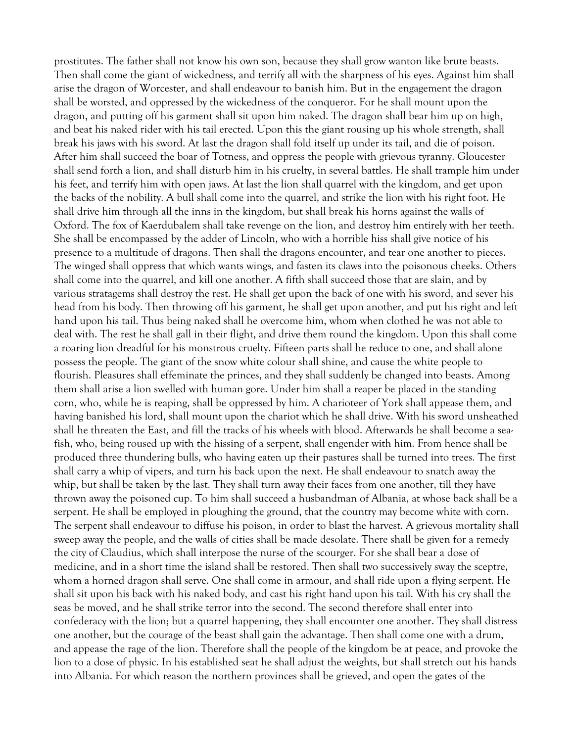prostitutes. The father shall not know his own son, because they shall grow wanton like brute beasts. Then shall come the giant of wickedness, and terrify all with the sharpness of his eyes. Against him shall arise the dragon of Worcester, and shall endeavour to banish him. But in the engagement the dragon shall be worsted, and oppressed by the wickedness of the conqueror. For he shall mount upon the dragon, and putting off his garment shall sit upon him naked. The dragon shall bear him up on high, and beat his naked rider with his tail erected. Upon this the giant rousing up his whole strength, shall break his jaws with his sword. At last the dragon shall fold itself up under its tail, and die of poison. After him shall succeed the boar of Totness, and oppress the people with grievous tyranny. Gloucester shall send forth a lion, and shall disturb him in his cruelty, in several battles. He shall trample him under his feet, and terrify him with open jaws. At last the lion shall quarrel with the kingdom, and get upon the backs of the nobility. A bull shall come into the quarrel, and strike the lion with his right foot. He shall drive him through all the inns in the kingdom, but shall break his horns against the walls of Oxford. The fox of Kaerdubalem shall take revenge on the lion, and destroy him entirely with her teeth. She shall be encompassed by the adder of Lincoln, who with a horrible hiss shall give notice of his presence to a multitude of dragons. Then shall the dragons encounter, and tear one another to pieces. The winged shall oppress that which wants wings, and fasten its claws into the poisonous cheeks. Others shall come into the quarrel, and kill one another. A fifth shall succeed those that are slain, and by various stratagems shall destroy the rest. He shall get upon the back of one with his sword, and sever his head from his body. Then throwing off his garment, he shall get upon another, and put his right and left hand upon his tail. Thus being naked shall he overcome him, whom when clothed he was not able to deal with. The rest he shall gall in their flight, and drive them round the kingdom. Upon this shall come a roaring lion dreadful for his monstrous cruelty. Fifteen parts shall he reduce to one, and shall alone possess the people. The giant of the snow white colour shall shine, and cause the white people to flourish. Pleasures shall effeminate the princes, and they shall suddenly be changed into beasts. Among them shall arise a lion swelled with human gore. Under him shall a reaper be placed in the standing corn, who, while he is reaping, shall be oppressed by him. A charioteer of York shall appease them, and having banished his lord, shall mount upon the chariot which he shall drive. With his sword unsheathed shall he threaten the East, and fill the tracks of his wheels with blood. Afterwards he shall become a seafish, who, being roused up with the hissing of a serpent, shall engender with him. From hence shall be produced three thundering bulls, who having eaten up their pastures shall be turned into trees. The first shall carry a whip of vipers, and turn his back upon the next. He shall endeavour to snatch away the whip, but shall be taken by the last. They shall turn away their faces from one another, till they have thrown away the poisoned cup. To him shall succeed a husbandman of Albania, at whose back shall be a serpent. He shall be employed in ploughing the ground, that the country may become white with corn. The serpent shall endeavour to diffuse his poison, in order to blast the harvest. A grievous mortality shall sweep away the people, and the walls of cities shall be made desolate. There shall be given for a remedy the city of Claudius, which shall interpose the nurse of the scourger. For she shall bear a dose of medicine, and in a short time the island shall be restored. Then shall two successively sway the sceptre, whom a horned dragon shall serve. One shall come in armour, and shall ride upon a flying serpent. He shall sit upon his back with his naked body, and cast his right hand upon his tail. With his cry shall the seas be moved, and he shall strike terror into the second. The second therefore shall enter into confederacy with the lion; but a quarrel happening, they shall encounter one another. They shall distress one another, but the courage of the beast shall gain the advantage. Then shall come one with a drum, and appease the rage of the lion. Therefore shall the people of the kingdom be at peace, and provoke the lion to a dose of physic. In his established seat he shall adjust the weights, but shall stretch out his hands into Albania. For which reason the northern provinces shall be grieved, and open the gates of the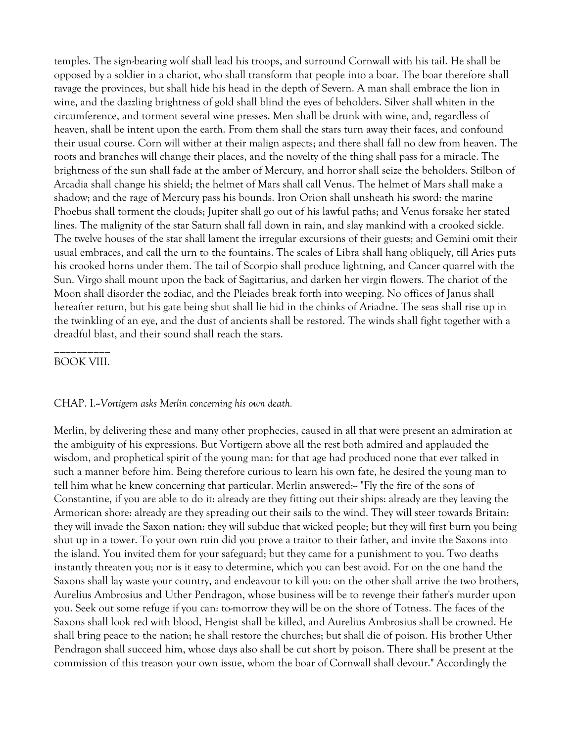temples. The sign-bearing wolf shall lead his troops, and surround Cornwall with his tail. He shall be opposed by a soldier in a chariot, who shall transform that people into a boar. The boar therefore shall ravage the provinces, but shall hide his head in the depth of Severn. A man shall embrace the lion in wine, and the dazzling brightness of gold shall blind the eyes of beholders. Silver shall whiten in the circumference, and torment several wine presses. Men shall be drunk with wine, and, regardless of heaven, shall be intent upon the earth. From them shall the stars turn away their faces, and confound their usual course. Corn will wither at their malign aspects; and there shall fall no dew from heaven. The roots and branches will change their places, and the novelty of the thing shall pass for a miracle. The brightness of the sun shall fade at the amber of Mercury, and horror shall seize the beholders. Stilbon of Arcadia shall change his shield; the helmet of Mars shall call Venus. The helmet of Mars shall make a shadow; and the rage of Mercury pass his bounds. Iron Orion shall unsheath his sword: the marine Phoebus shall torment the clouds; Jupiter shall go out of his lawful paths; and Venus forsake her stated lines. The malignity of the star Saturn shall fall down in rain, and slay mankind with a crooked sickle. The twelve houses of the star shall lament the irregular excursions of their guests; and Gemini omit their usual embraces, and call the urn to the fountains. The scales of Libra shall hang obliquely, till Aries puts his crooked horns under them. The tail of Scorpio shall produce lightning, and Cancer quarrel with the Sun. Virgo shall mount upon the back of Sagittarius, and darken her virgin flowers. The chariot of the Moon shall disorder the zodiac, and the Pleiades break forth into weeping. No offices of Janus shall hereafter return, but his gate being shut shall lie hid in the chinks of Ariadne. The seas shall rise up in the twinkling of an eye, and the dust of ancients shall be restored. The winds shall fight together with a dreadful blast, and their sound shall reach the stars.

### \_\_\_\_\_\_\_\_\_\_ BOOK VIII.

#### CHAP. I.--*Vortigern asks Merlin concerning his own death.*

Merlin, by delivering these and many other prophecies, caused in all that were present an admiration at the ambiguity of his expressions. But Vortigern above all the rest both admired and applauded the wisdom, and prophetical spirit of the young man: for that age had produced none that ever talked in such a manner before him. Being therefore curious to learn his own fate, he desired the young man to tell him what he knew concerning that particular. Merlin answered:-- "Fly the fire of the sons of Constantine, if you are able to do it: already are they fitting out their ships: already are they leaving the Armorican shore: already are they spreading out their sails to the wind. They will steer towards Britain: they will invade the Saxon nation: they will subdue that wicked people; but they will first burn you being shut up in a tower. To your own ruin did you prove a traitor to their father, and invite the Saxons into the island. You invited them for your safeguard; but they came for a punishment to you. Two deaths instantly threaten you; nor is it easy to determine, which you can best avoid. For on the one hand the Saxons shall lay waste your country, and endeavour to kill you: on the other shall arrive the two brothers, Aurelius Ambrosius and Uther Pendragon, whose business will be to revenge their father's murder upon you. Seek out some refuge if you can: to-morrow they will be on the shore of Totness. The faces of the Saxons shall look red with blood, Hengist shall be killed, and Aurelius Ambrosius shall be crowned. He shall bring peace to the nation; he shall restore the churches; but shall die of poison. His brother Uther Pendragon shall succeed him, whose days also shall be cut short by poison. There shall be present at the commission of this treason your own issue, whom the boar of Cornwall shall devour." Accordingly the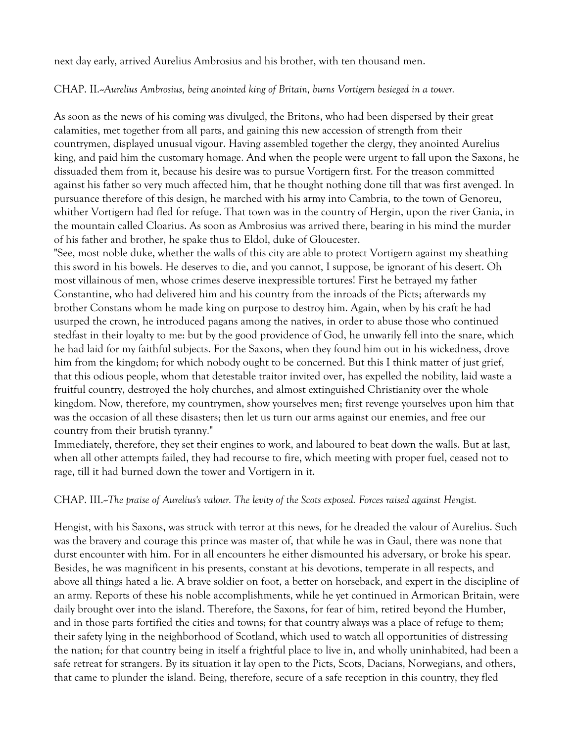next day early, arrived Aurelius Ambrosius and his brother, with ten thousand men.

CHAP. II.--*Aurelius Ambrosius, being anointed king of Britain, burns Vortigern besieged in a tower.* 

As soon as the news of his coming was divulged, the Britons, who had been dispersed by their great calamities, met together from all parts, and gaining this new accession of strength from their countrymen, displayed unusual vigour. Having assembled together the clergy, they anointed Aurelius king, and paid him the customary homage. And when the people were urgent to fall upon the Saxons, he dissuaded them from it, because his desire was to pursue Vortigern first. For the treason committed against his father so very much affected him, that he thought nothing done till that was first avenged. In pursuance therefore of this design, he marched with his army into Cambria, to the town of Genoreu, whither Vortigern had fled for refuge. That town was in the country of Hergin, upon the river Gania, in the mountain called Cloarius. As soon as Ambrosius was arrived there, bearing in his mind the murder of his father and brother, he spake thus to Eldol, duke of Gloucester.

"See, most noble duke, whether the walls of this city are able to protect Vortigern against my sheathing this sword in his bowels. He deserves to die, and you cannot, I suppose, be ignorant of his desert. Oh most villainous of men, whose crimes deserve inexpressible tortures! First he betrayed my father Constantine, who had delivered him and his country from the inroads of the Picts; afterwards my brother Constans whom he made king on purpose to destroy him. Again, when by his craft he had usurped the crown, he introduced pagans among the natives, in order to abuse those who continued stedfast in their loyalty to me: but by the good providence of God, he unwarily fell into the snare, which he had laid for my faithful subjects. For the Saxons, when they found him out in his wickedness, drove him from the kingdom; for which nobody ought to be concerned. But this I think matter of just grief, that this odious people, whom that detestable traitor invited over, has expelled the nobility, laid waste a fruitful country, destroyed the holy churches, and almost extinguished Christianity over the whole kingdom. Now, therefore, my countrymen, show yourselves men; first revenge yourselves upon him that was the occasion of all these disasters; then let us turn our arms against our enemies, and free our country from their brutish tyranny."

Immediately, therefore, they set their engines to work, and laboured to beat down the walls. But at last, when all other attempts failed, they had recourse to fire, which meeting with proper fuel, ceased not to rage, till it had burned down the tower and Vortigern in it.

### CHAP. III.--*The praise of Aurelius's valour. The levity of the Scots exposed. Forces raised against Hengist.*

Hengist, with his Saxons, was struck with terror at this news, for he dreaded the valour of Aurelius. Such was the bravery and courage this prince was master of, that while he was in Gaul, there was none that durst encounter with him. For in all encounters he either dismounted his adversary, or broke his spear. Besides, he was magnificent in his presents, constant at his devotions, temperate in all respects, and above all things hated a lie. A brave soldier on foot, a better on horseback, and expert in the discipline of an army. Reports of these his noble accomplishments, while he yet continued in Armorican Britain, were daily brought over into the island. Therefore, the Saxons, for fear of him, retired beyond the Humber, and in those parts fortified the cities and towns; for that country always was a place of refuge to them; their safety lying in the neighborhood of Scotland, which used to watch all opportunities of distressing the nation; for that country being in itself a frightful place to live in, and wholly uninhabited, had been a safe retreat for strangers. By its situation it lay open to the Picts, Scots, Dacians, Norwegians, and others, that came to plunder the island. Being, therefore, secure of a safe reception in this country, they fled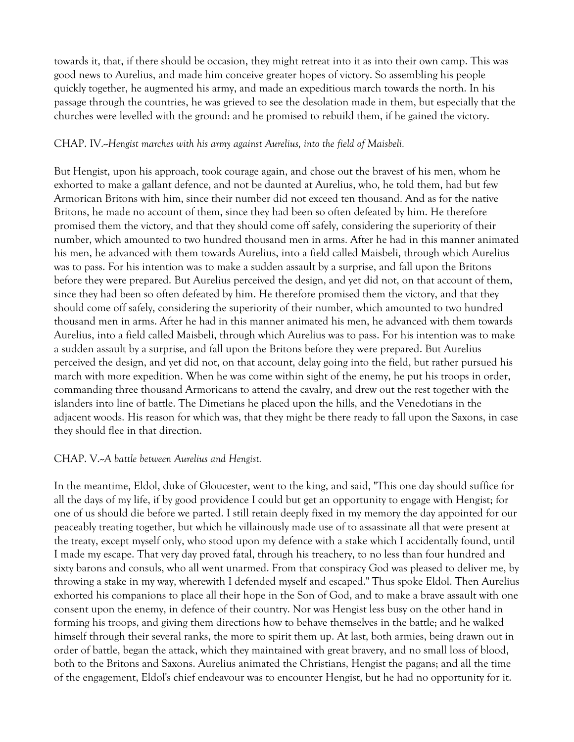towards it, that, if there should be occasion, they might retreat into it as into their own camp. This was good news to Aurelius, and made him conceive greater hopes of victory. So assembling his people quickly together, he augmented his army, and made an expeditious march towards the north. In his passage through the countries, he was grieved to see the desolation made in them, but especially that the churches were levelled with the ground: and he promised to rebuild them, if he gained the victory.

### CHAP. IV.--*Hengist marches with his army against Aurelius, into the field of Maisbeli.*

But Hengist, upon his approach, took courage again, and chose out the bravest of his men, whom he exhorted to make a gallant defence, and not be daunted at Aurelius, who, he told them, had but few Armorican Britons with him, since their number did not exceed ten thousand. And as for the native Britons, he made no account of them, since they had been so often defeated by him. He therefore promised them the victory, and that they should come off safely, considering the superiority of their number, which amounted to two hundred thousand men in arms. After he had in this manner animated his men, he advanced with them towards Aurelius, into a field called Maisbeli, through which Aurelius was to pass. For his intention was to make a sudden assault by a surprise, and fall upon the Britons before they were prepared. But Aurelius perceived the design, and yet did not, on that account of them, since they had been so often defeated by him. He therefore promised them the victory, and that they should come off safely, considering the superiority of their number, which amounted to two hundred thousand men in arms. After he had in this manner animated his men, he advanced with them towards Aurelius, into a field called Maisbeli, through which Aurelius was to pass. For his intention was to make a sudden assault by a surprise, and fall upon the Britons before they were prepared. But Aurelius perceived the design, and yet did not, on that account, delay going into the field, but rather pursued his march with more expedition. When he was come within sight of the enemy, he put his troops in order, commanding three thousand Armoricans to attend the cavalry, and drew out the rest together with the islanders into line of battle. The Dimetians he placed upon the hills, and the Venedotians in the adjacent woods. His reason for which was, that they might be there ready to fall upon the Saxons, in case they should flee in that direction.

### CHAP. V.--*A battle between Aurelius and Hengist.*

In the meantime, Eldol, duke of Gloucester, went to the king, and said, "This one day should suffice for all the days of my life, if by good providence I could but get an opportunity to engage with Hengist; for one of us should die before we parted. I still retain deeply fixed in my memory the day appointed for our peaceably treating together, but which he villainously made use of to assassinate all that were present at the treaty, except myself only, who stood upon my defence with a stake which I accidentally found, until I made my escape. That very day proved fatal, through his treachery, to no less than four hundred and sixty barons and consuls, who all went unarmed. From that conspiracy God was pleased to deliver me, by throwing a stake in my way, wherewith I defended myself and escaped." Thus spoke Eldol. Then Aurelius exhorted his companions to place all their hope in the Son of God, and to make a brave assault with one consent upon the enemy, in defence of their country. Nor was Hengist less busy on the other hand in forming his troops, and giving them directions how to behave themselves in the battle; and he walked himself through their several ranks, the more to spirit them up. At last, both armies, being drawn out in order of battle, began the attack, which they maintained with great bravery, and no small loss of blood, both to the Britons and Saxons. Aurelius animated the Christians, Hengist the pagans; and all the time of the engagement, Eldol's chief endeavour was to encounter Hengist, but he had no opportunity for it.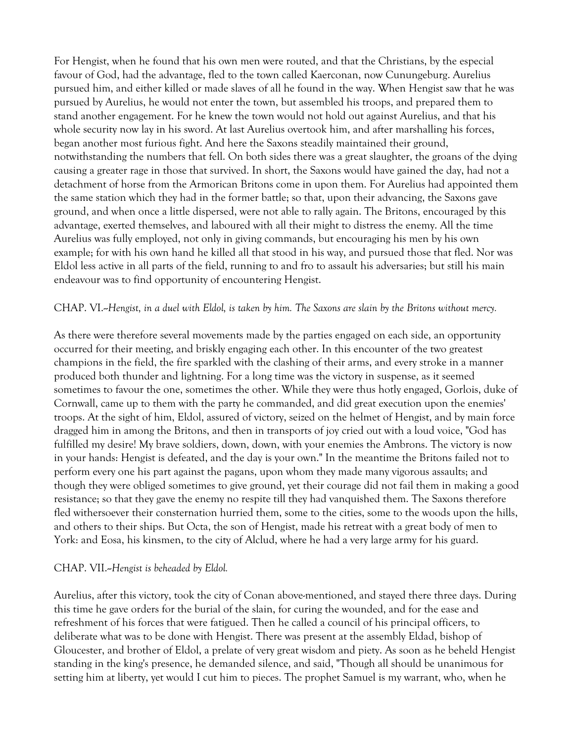For Hengist, when he found that his own men were routed, and that the Christians, by the especial favour of God, had the advantage, fled to the town called Kaerconan, now Cunungeburg. Aurelius pursued him, and either killed or made slaves of all he found in the way. When Hengist saw that he was pursued by Aurelius, he would not enter the town, but assembled his troops, and prepared them to stand another engagement. For he knew the town would not hold out against Aurelius, and that his whole security now lay in his sword. At last Aurelius overtook him, and after marshalling his forces, began another most furious fight. And here the Saxons steadily maintained their ground, notwithstanding the numbers that fell. On both sides there was a great slaughter, the groans of the dying causing a greater rage in those that survived. In short, the Saxons would have gained the day, had not a detachment of horse from the Armorican Britons come in upon them. For Aurelius had appointed them the same station which they had in the former battle; so that, upon their advancing, the Saxons gave ground, and when once a little dispersed, were not able to rally again. The Britons, encouraged by this advantage, exerted themselves, and laboured with all their might to distress the enemy. All the time Aurelius was fully employed, not only in giving commands, but encouraging his men by his own example; for with his own hand he killed all that stood in his way, and pursued those that fled. Nor was Eldol less active in all parts of the field, running to and fro to assault his adversaries; but still his main endeavour was to find opportunity of encountering Hengist.

#### CHAP. VI.--*Hengist, in a duel with Eldol, is taken by him. The Saxons are slain by the Britons without mercy.*

As there were therefore several movements made by the parties engaged on each side, an opportunity occurred for their meeting, and briskly engaging each other. In this encounter of the two greatest champions in the field, the fire sparkled with the clashing of their arms, and every stroke in a manner produced both thunder and lightning. For a long time was the victory in suspense, as it seemed sometimes to favour the one, sometimes the other. While they were thus hotly engaged, Gorlois, duke of Cornwall, came up to them with the party he commanded, and did great execution upon the enemies' troops. At the sight of him, Eldol, assured of victory, seized on the helmet of Hengist, and by main force dragged him in among the Britons, and then in transports of joy cried out with a loud voice, "God has fulfilled my desire! My brave soldiers, down, down, with your enemies the Ambrons. The victory is now in your hands: Hengist is defeated, and the day is your own." In the meantime the Britons failed not to perform every one his part against the pagans, upon whom they made many vigorous assaults; and though they were obliged sometimes to give ground, yet their courage did not fail them in making a good resistance; so that they gave the enemy no respite till they had vanquished them. The Saxons therefore fled withersoever their consternation hurried them, some to the cities, some to the woods upon the hills, and others to their ships. But Octa, the son of Hengist, made his retreat with a great body of men to York: and Eosa, his kinsmen, to the city of Alclud, where he had a very large army for his guard.

#### CHAP. VII.--*Hengist is beheaded by Eldol.*

Aurelius, after this victory, took the city of Conan above-mentioned, and stayed there three days. During this time he gave orders for the burial of the slain, for curing the wounded, and for the ease and refreshment of his forces that were fatigued. Then he called a council of his principal officers, to deliberate what was to be done with Hengist. There was present at the assembly Eldad, bishop of Gloucester, and brother of Eldol, a prelate of very great wisdom and piety. As soon as he beheld Hengist standing in the king's presence, he demanded silence, and said, "Though all should be unanimous for setting him at liberty, yet would I cut him to pieces. The prophet Samuel is my warrant, who, when he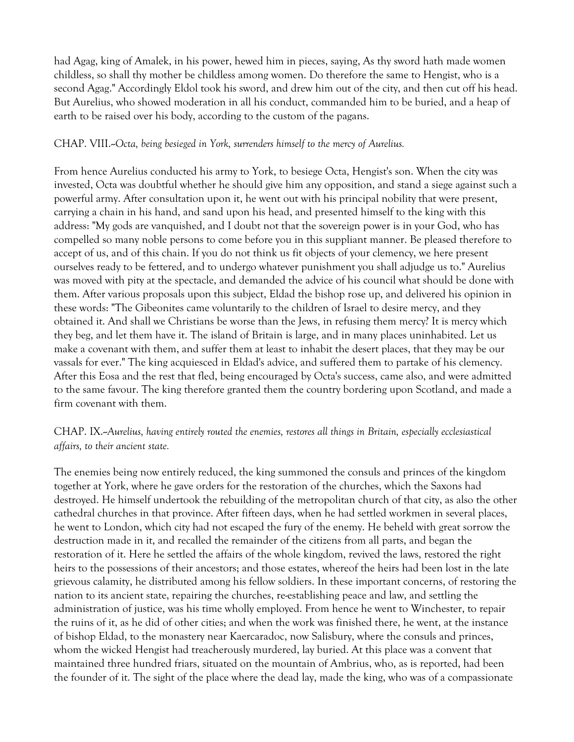had Agag, king of Amalek, in his power, hewed him in pieces, saying, As thy sword hath made women childless, so shall thy mother be childless among women. Do therefore the same to Hengist, who is a second Agag." Accordingly Eldol took his sword, and drew him out of the city, and then cut off his head. But Aurelius, who showed moderation in all his conduct, commanded him to be buried, and a heap of earth to be raised over his body, according to the custom of the pagans.

### CHAP. VIII.--Octa, being besieged in York, surrenders himself to the mercy of Aurelius.

From hence Aurelius conducted his army to York, to besiege Octa, Hengist's son. When the city was invested, Octa was doubtful whether he should give him any opposition, and stand a siege against such a powerful army. After consultation upon it, he went out with his principal nobility that were present, carrying a chain in his hand, and sand upon his head, and presented himself to the king with this address: "My gods are vanquished, and I doubt not that the sovereign power is in your God, who has compelled so many noble persons to come before you in this suppliant manner. Be pleased therefore to accept of us, and of this chain. If you do not think us fit objects of your clemency, we here present ourselves ready to be fettered, and to undergo whatever punishment you shall adjudge us to." Aurelius was moved with pity at the spectacle, and demanded the advice of his council what should be done with them. After various proposals upon this subject, Eldad the bishop rose up, and delivered his opinion in these words: "The Gibeonites came voluntarily to the children of Israel to desire mercy, and they obtained it. And shall we Christians be worse than the Jews, in refusing them mercy? It is mercy which they beg, and let them have it. The island of Britain is large, and in many places uninhabited. Let us make a covenant with them, and suffer them at least to inhabit the desert places, that they may be our vassals for ever." The king acquiesced in Eldad's advice, and suffered them to partake of his clemency. After this Eosa and the rest that fled, being encouraged by Octa's success, came also, and were admitted to the same favour. The king therefore granted them the country bordering upon Scotland, and made a firm covenant with them.

# CHAP. IX.--*Aurelius, having entirely routed the enemies, restores all things in Britain, especially ecclesiastical affairs, to their ancient state.*

The enemies being now entirely reduced, the king summoned the consuls and princes of the kingdom together at York, where he gave orders for the restoration of the churches, which the Saxons had destroyed. He himself undertook the rebuilding of the metropolitan church of that city, as also the other cathedral churches in that province. After fifteen days, when he had settled workmen in several places, he went to London, which city had not escaped the fury of the enemy. He beheld with great sorrow the destruction made in it, and recalled the remainder of the citizens from all parts, and began the restoration of it. Here he settled the affairs of the whole kingdom, revived the laws, restored the right heirs to the possessions of their ancestors; and those estates, whereof the heirs had been lost in the late grievous calamity, he distributed among his fellow soldiers. In these important concerns, of restoring the nation to its ancient state, repairing the churches, re-establishing peace and law, and settling the administration of justice, was his time wholly employed. From hence he went to Winchester, to repair the ruins of it, as he did of other cities; and when the work was finished there, he went, at the instance of bishop Eldad, to the monastery near Kaercaradoc, now Salisbury, where the consuls and princes, whom the wicked Hengist had treacherously murdered, lay buried. At this place was a convent that maintained three hundred friars, situated on the mountain of Ambrius, who, as is reported, had been the founder of it. The sight of the place where the dead lay, made the king, who was of a compassionate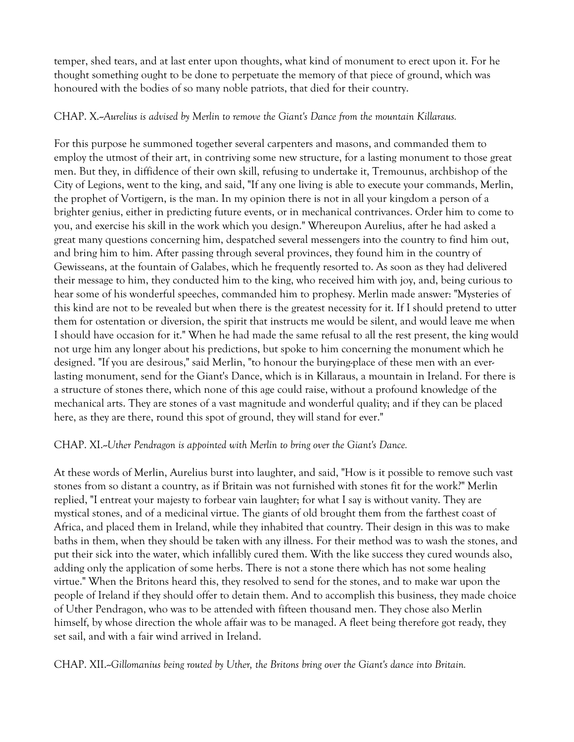temper, shed tears, and at last enter upon thoughts, what kind of monument to erect upon it. For he thought something ought to be done to perpetuate the memory of that piece of ground, which was honoured with the bodies of so many noble patriots, that died for their country.

### CHAP. X.--*Aurelius is advised by Merlin to remove the Giant's Dance from the mountain Killaraus.*

For this purpose he summoned together several carpenters and masons, and commanded them to employ the utmost of their art, in contriving some new structure, for a lasting monument to those great men. But they, in diffidence of their own skill, refusing to undertake it, Tremounus, archbishop of the City of Legions, went to the king, and said, "If any one living is able to execute your commands, Merlin, the prophet of Vortigern, is the man. In my opinion there is not in all your kingdom a person of a brighter genius, either in predicting future events, or in mechanical contrivances. Order him to come to you, and exercise his skill in the work which you design." Whereupon Aurelius, after he had asked a great many questions concerning him, despatched several messengers into the country to find him out, and bring him to him. After passing through several provinces, they found him in the country of Gewisseans, at the fountain of Galabes, which he frequently resorted to. As soon as they had delivered their message to him, they conducted him to the king, who received him with joy, and, being curious to hear some of his wonderful speeches, commanded him to prophesy. Merlin made answer: "Mysteries of this kind are not to be revealed but when there is the greatest necessity for it. If I should pretend to utter them for ostentation or diversion, the spirit that instructs me would be silent, and would leave me when I should have occasion for it." When he had made the same refusal to all the rest present, the king would not urge him any longer about his predictions, but spoke to him concerning the monument which he designed. "If you are desirous," said Merlin, "to honour the burying-place of these men with an everlasting monument, send for the Giant's Dance, which is in Killaraus, a mountain in Ireland. For there is a structure of stones there, which none of this age could raise, without a profound knowledge of the mechanical arts. They are stones of a vast magnitude and wonderful quality; and if they can be placed here, as they are there, round this spot of ground, they will stand for ever."

### CHAP. XI.--*Uther Pendragon is appointed with Merlin to bring over the Giant's Dance.*

At these words of Merlin, Aurelius burst into laughter, and said, "How is it possible to remove such vast stones from so distant a country, as if Britain was not furnished with stones fit for the work?" Merlin replied, "I entreat your majesty to forbear vain laughter; for what I say is without vanity. They are mystical stones, and of a medicinal virtue. The giants of old brought them from the farthest coast of Africa, and placed them in Ireland, while they inhabited that country. Their design in this was to make baths in them, when they should be taken with any illness. For their method was to wash the stones, and put their sick into the water, which infallibly cured them. With the like success they cured wounds also, adding only the application of some herbs. There is not a stone there which has not some healing virtue." When the Britons heard this, they resolved to send for the stones, and to make war upon the people of Ireland if they should offer to detain them. And to accomplish this business, they made choice of Uther Pendragon, who was to be attended with fifteen thousand men. They chose also Merlin himself, by whose direction the whole affair was to be managed. A fleet being therefore got ready, they set sail, and with a fair wind arrived in Ireland.

CHAP. XII.--*Gillomanius being routed by Uther, the Britons bring over the Giant's dance into Britain.*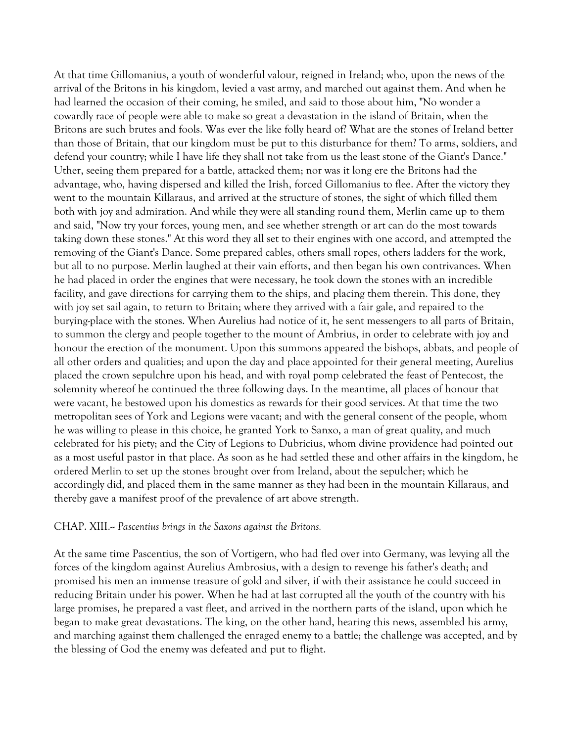At that time Gillomanius, a youth of wonderful valour, reigned in Ireland; who, upon the news of the arrival of the Britons in his kingdom, levied a vast army, and marched out against them. And when he had learned the occasion of their coming, he smiled, and said to those about him, "No wonder a cowardly race of people were able to make so great a devastation in the island of Britain, when the Britons are such brutes and fools. Was ever the like folly heard of? What are the stones of Ireland better than those of Britain, that our kingdom must be put to this disturbance for them? To arms, soldiers, and defend your country; while I have life they shall not take from us the least stone of the Giant's Dance." Uther, seeing them prepared for a battle, attacked them; nor was it long ere the Britons had the advantage, who, having dispersed and killed the Irish, forced Gillomanius to flee. After the victory they went to the mountain Killaraus, and arrived at the structure of stones, the sight of which filled them both with joy and admiration. And while they were all standing round them, Merlin came up to them and said, "Now try your forces, young men, and see whether strength or art can do the most towards taking down these stones." At this word they all set to their engines with one accord, and attempted the removing of the Giant's Dance. Some prepared cables, others small ropes, others ladders for the work, but all to no purpose. Merlin laughed at their vain efforts, and then began his own contrivances. When he had placed in order the engines that were necessary, he took down the stones with an incredible facility, and gave directions for carrying them to the ships, and placing them therein. This done, they with joy set sail again, to return to Britain; where they arrived with a fair gale, and repaired to the burying-place with the stones. When Aurelius had notice of it, he sent messengers to all parts of Britain, to summon the clergy and people together to the mount of Ambrius, in order to celebrate with joy and honour the erection of the monument. Upon this summons appeared the bishops, abbats, and people of all other orders and qualities; and upon the day and place appointed for their general meeting, Aurelius placed the crown sepulchre upon his head, and with royal pomp celebrated the feast of Pentecost, the solemnity whereof he continued the three following days. In the meantime, all places of honour that were vacant, he bestowed upon his domestics as rewards for their good services. At that time the two metropolitan sees of York and Legions were vacant; and with the general consent of the people, whom he was willing to please in this choice, he granted York to Sanxo, a man of great quality, and much celebrated for his piety; and the City of Legions to Dubricius, whom divine providence had pointed out as a most useful pastor in that place. As soon as he had settled these and other affairs in the kingdom, he ordered Merlin to set up the stones brought over from Ireland, about the sepulcher; which he accordingly did, and placed them in the same manner as they had been in the mountain Killaraus, and thereby gave a manifest proof of the prevalence of art above strength.

#### CHAP. XIII.-- *Pascentius brings in the Saxons against the Britons.*

At the same time Pascentius, the son of Vortigern, who had fled over into Germany, was levying all the forces of the kingdom against Aurelius Ambrosius, with a design to revenge his father's death; and promised his men an immense treasure of gold and silver, if with their assistance he could succeed in reducing Britain under his power. When he had at last corrupted all the youth of the country with his large promises, he prepared a vast fleet, and arrived in the northern parts of the island, upon which he began to make great devastations. The king, on the other hand, hearing this news, assembled his army, and marching against them challenged the enraged enemy to a battle; the challenge was accepted, and by the blessing of God the enemy was defeated and put to flight.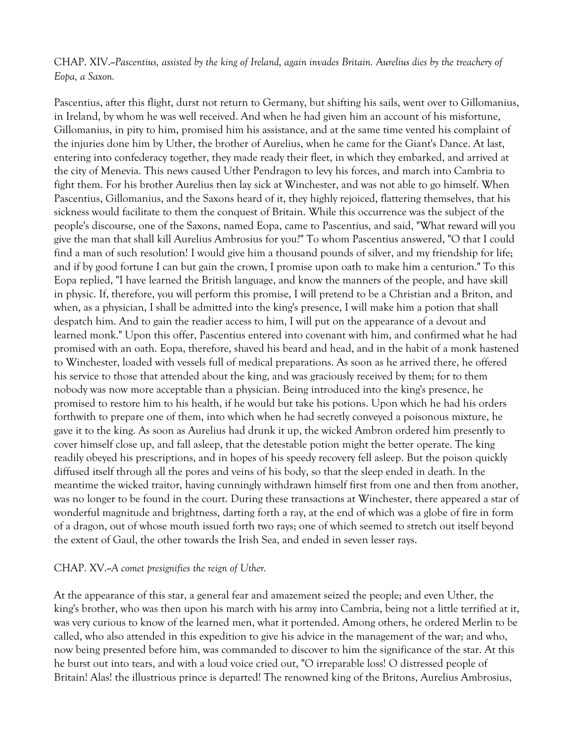CHAP. XIV.--*Pascentius, assisted by the king of Ireland, again invades Britain. Aurelius dies by the treachery of Eopa, a Saxon.*

Pascentius, after this flight, durst not return to Germany, but shifting his sails, went over to Gillomanius, in Ireland, by whom he was well received. And when he had given him an account of his misfortune, Gillomanius, in pity to him, promised him his assistance, and at the same time vented his complaint of the injuries done him by Uther, the brother of Aurelius, when he came for the Giant's Dance. At last, entering into confederacy together, they made ready their fleet, in which they embarked, and arrived at the city of Menevia. This news caused Uther Pendragon to levy his forces, and march into Cambria to fight them. For his brother Aurelius then lay sick at Winchester, and was not able to go himself. When Pascentius, Gillomanius, and the Saxons heard of it, they highly rejoiced, flattering themselves, that his sickness would facilitate to them the conquest of Britain. While this occurrence was the subject of the people's discourse, one of the Saxons, named Eopa, came to Pascentius, and said, "What reward will you give the man that shall kill Aurelius Ambrosius for you?" To whom Pascentius answered, "O that I could find a man of such resolution! I would give him a thousand pounds of silver, and my friendship for life; and if by good fortune I can but gain the crown, I promise upon oath to make him a centurion." To this Eopa replied, "I have learned the British language, and know the manners of the people, and have skill in physic. If, therefore, you will perform this promise, I will pretend to be a Christian and a Briton, and when, as a physician, I shall be admitted into the king's presence, I will make him a potion that shall despatch him. And to gain the readier access to him, I will put on the appearance of a devout and learned monk." Upon this offer, Pascentius entered into covenant with him, and confirmed what he had promised with an oath. Eopa, therefore, shaved his beard and head, and in the habit of a monk hastened to Winchester, loaded with vessels full of medical preparations. As soon as he arrived there, he offered his service to those that attended about the king, and was graciously received by them; for to them nobody was now more acceptable than a physician. Being introduced into the king's presence, he promised to restore him to his health, if he would but take his potions. Upon which he had his orders forthwith to prepare one of them, into which when he had secretly conveyed a poisonous mixture, he gave it to the king. As soon as Aurelius had drunk it up, the wicked Ambron ordered him presently to cover himself close up, and fall asleep, that the detestable potion might the better operate. The king readily obeyed his prescriptions, and in hopes of his speedy recovery fell asleep. But the poison quickly diffused itself through all the pores and veins of his body, so that the sleep ended in death. In the meantime the wicked traitor, having cunningly withdrawn himself first from one and then from another, was no longer to be found in the court. During these transactions at Winchester, there appeared a star of wonderful magnitude and brightness, darting forth a ray, at the end of which was a globe of fire in form of a dragon, out of whose mouth issued forth two rays; one of which seemed to stretch out itself beyond the extent of Gaul, the other towards the Irish Sea, and ended in seven lesser rays.

#### CHAP. XV.--*A comet presignifies the reign of Uther.*

At the appearance of this star, a general fear and amazement seized the people; and even Uther, the king's brother, who was then upon his march with his army into Cambria, being not a little terrified at it, was very curious to know of the learned men, what it portended. Among others, he ordered Merlin to be called, who also attended in this expedition to give his advice in the management of the war; and who, now being presented before him, was commanded to discover to him the significance of the star. At this he burst out into tears, and with a loud voice cried out, "O irreparable loss! O distressed people of Britain! Alas! the illustrious prince is departed! The renowned king of the Britons, Aurelius Ambrosius,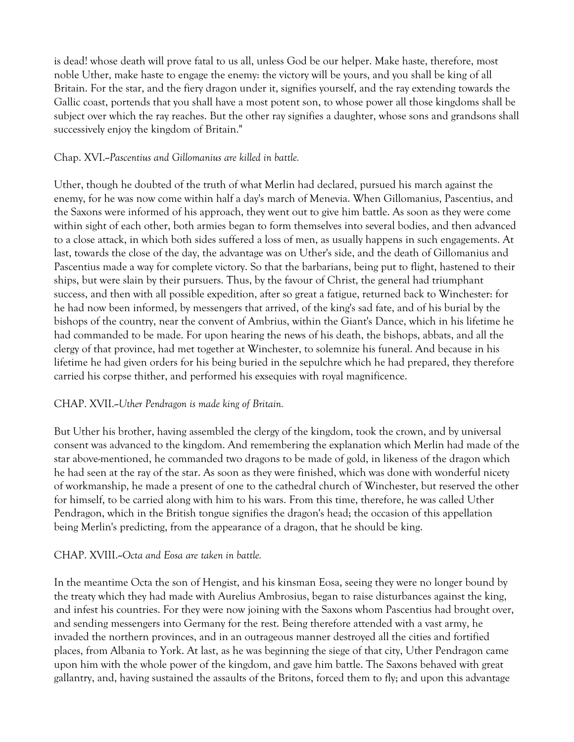is dead! whose death will prove fatal to us all, unless God be our helper. Make haste, therefore, most noble Uther, make haste to engage the enemy: the victory will be yours, and you shall be king of all Britain. For the star, and the fiery dragon under it, signifies yourself, and the ray extending towards the Gallic coast, portends that you shall have a most potent son, to whose power all those kingdoms shall be subject over which the ray reaches. But the other ray signifies a daughter, whose sons and grandsons shall successively enjoy the kingdom of Britain."

# Chap. XVI.--*Pascentius and Gillomanius are killed in battle.*

Uther, though he doubted of the truth of what Merlin had declared, pursued his march against the enemy, for he was now come within half a day's march of Menevia. When Gillomanius, Pascentius, and the Saxons were informed of his approach, they went out to give him battle. As soon as they were come within sight of each other, both armies began to form themselves into several bodies, and then advanced to a close attack, in which both sides suffered a loss of men, as usually happens in such engagements. At last, towards the close of the day, the advantage was on Uther's side, and the death of Gillomanius and Pascentius made a way for complete victory. So that the barbarians, being put to flight, hastened to their ships, but were slain by their pursuers. Thus, by the favour of Christ, the general had triumphant success, and then with all possible expedition, after so great a fatigue, returned back to Winchester: for he had now been informed, by messengers that arrived, of the king's sad fate, and of his burial by the bishops of the country, near the convent of Ambrius, within the Giant's Dance, which in his lifetime he had commanded to be made. For upon hearing the news of his death, the bishops, abbats, and all the clergy of that province, had met together at Winchester, to solemnize his funeral. And because in his lifetime he had given orders for his being buried in the sepulchre which he had prepared, they therefore carried his corpse thither, and performed his exsequies with royal magnificence.

# CHAP. XVII.--*Uther Pendragon is made king of Britain.*

But Uther his brother, having assembled the clergy of the kingdom, took the crown, and by universal consent was advanced to the kingdom. And remembering the explanation which Merlin had made of the star above-mentioned, he commanded two dragons to be made of gold, in likeness of the dragon which he had seen at the ray of the star. As soon as they were finished, which was done with wonderful nicety of workmanship, he made a present of one to the cathedral church of Winchester, but reserved the other for himself, to be carried along with him to his wars. From this time, therefore, he was called Uther Pendragon, which in the British tongue signifies the dragon's head; the occasion of this appellation being Merlin's predicting, from the appearance of a dragon, that he should be king.

### CHAP. XVIII.-Octa and Eosa are taken in battle.

In the meantime Octa the son of Hengist, and his kinsman Eosa, seeing they were no longer bound by the treaty which they had made with Aurelius Ambrosius, began to raise disturbances against the king, and infest his countries. For they were now joining with the Saxons whom Pascentius had brought over, and sending messengers into Germany for the rest. Being therefore attended with a vast army, he invaded the northern provinces, and in an outrageous manner destroyed all the cities and fortified places, from Albania to York. At last, as he was beginning the siege of that city, Uther Pendragon came upon him with the whole power of the kingdom, and gave him battle. The Saxons behaved with great gallantry, and, having sustained the assaults of the Britons, forced them to fly; and upon this advantage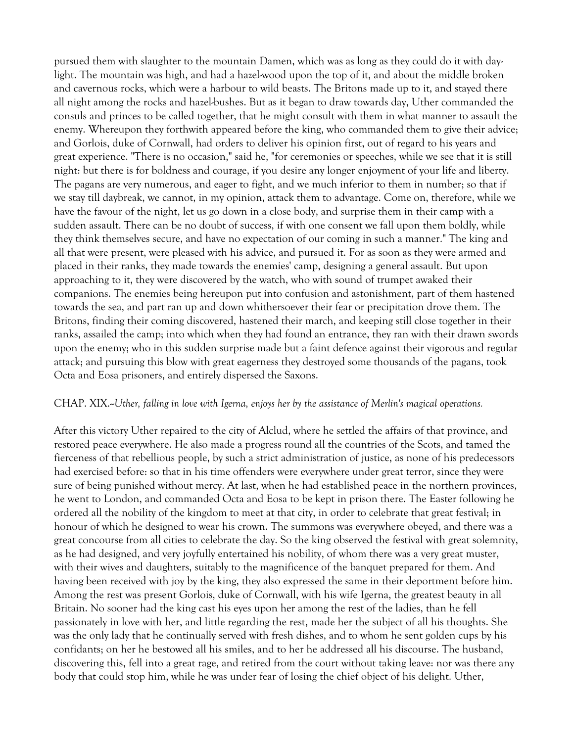pursued them with slaughter to the mountain Damen, which was as long as they could do it with daylight. The mountain was high, and had a hazel-wood upon the top of it, and about the middle broken and cavernous rocks, which were a harbour to wild beasts. The Britons made up to it, and stayed there all night among the rocks and hazel-bushes. But as it began to draw towards day, Uther commanded the consuls and princes to be called together, that he might consult with them in what manner to assault the enemy. Whereupon they forthwith appeared before the king, who commanded them to give their advice; and Gorlois, duke of Cornwall, had orders to deliver his opinion first, out of regard to his years and great experience. "There is no occasion," said he, "for ceremonies or speeches, while we see that it is still night: but there is for boldness and courage, if you desire any longer enjoyment of your life and liberty. The pagans are very numerous, and eager to fight, and we much inferior to them in number; so that if we stay till daybreak, we cannot, in my opinion, attack them to advantage. Come on, therefore, while we have the favour of the night, let us go down in a close body, and surprise them in their camp with a sudden assault. There can be no doubt of success, if with one consent we fall upon them boldly, while they think themselves secure, and have no expectation of our coming in such a manner." The king and all that were present, were pleased with his advice, and pursued it. For as soon as they were armed and placed in their ranks, they made towards the enemies' camp, designing a general assault. But upon approaching to it, they were discovered by the watch, who with sound of trumpet awaked their companions. The enemies being hereupon put into confusion and astonishment, part of them hastened towards the sea, and part ran up and down whithersoever their fear or precipitation drove them. The Britons, finding their coming discovered, hastened their march, and keeping still close together in their ranks, assailed the camp; into which when they had found an entrance, they ran with their drawn swords upon the enemy; who in this sudden surprise made but a faint defence against their vigorous and regular attack; and pursuing this blow with great eagerness they destroyed some thousands of the pagans, took Octa and Eosa prisoners, and entirely dispersed the Saxons.

#### CHAP. XIX.--*Uther, falling in love with Igerna, enjoys her by the assistance of Merlin's magical operations.*

After this victory Uther repaired to the city of Alclud, where he settled the affairs of that province, and restored peace everywhere. He also made a progress round all the countries of the Scots, and tamed the fierceness of that rebellious people, by such a strict administration of justice, as none of his predecessors had exercised before: so that in his time offenders were everywhere under great terror, since they were sure of being punished without mercy. At last, when he had established peace in the northern provinces, he went to London, and commanded Octa and Eosa to be kept in prison there. The Easter following he ordered all the nobility of the kingdom to meet at that city, in order to celebrate that great festival; in honour of which he designed to wear his crown. The summons was everywhere obeyed, and there was a great concourse from all cities to celebrate the day. So the king observed the festival with great solemnity, as he had designed, and very joyfully entertained his nobility, of whom there was a very great muster, with their wives and daughters, suitably to the magnificence of the banquet prepared for them. And having been received with joy by the king, they also expressed the same in their deportment before him. Among the rest was present Gorlois, duke of Cornwall, with his wife Igerna, the greatest beauty in all Britain. No sooner had the king cast his eyes upon her among the rest of the ladies, than he fell passionately in love with her, and little regarding the rest, made her the subject of all his thoughts. She was the only lady that he continually served with fresh dishes, and to whom he sent golden cups by his confidants; on her he bestowed all his smiles, and to her he addressed all his discourse. The husband, discovering this, fell into a great rage, and retired from the court without taking leave: nor was there any body that could stop him, while he was under fear of losing the chief object of his delight. Uther,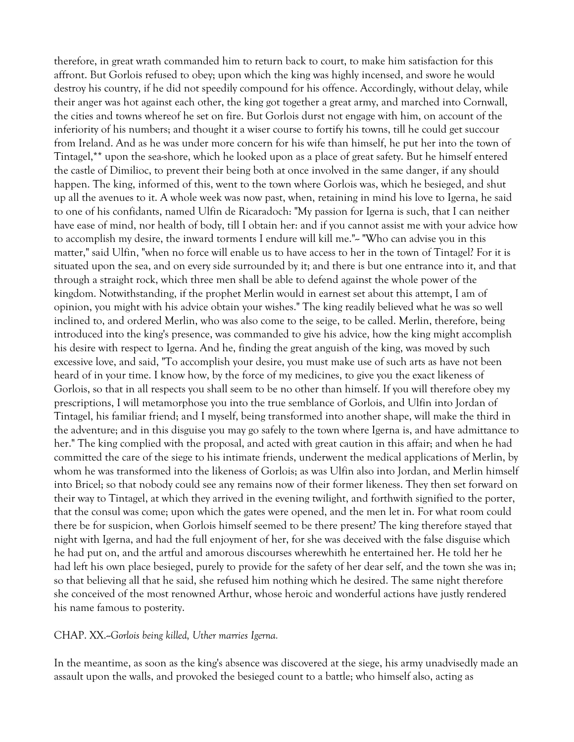therefore, in great wrath commanded him to return back to court, to make him satisfaction for this affront. But Gorlois refused to obey; upon which the king was highly incensed, and swore he would destroy his country, if he did not speedily compound for his offence. Accordingly, without delay, while their anger was hot against each other, the king got together a great army, and marched into Cornwall, the cities and towns whereof he set on fire. But Gorlois durst not engage with him, on account of the inferiority of his numbers; and thought it a wiser course to fortify his towns, till he could get succour from Ireland. And as he was under more concern for his wife than himself, he put her into the town of Tintagel,\*\* upon the sea-shore, which he looked upon as a place of great safety. But he himself entered the castle of Dimilioc, to prevent their being both at once involved in the same danger, if any should happen. The king, informed of this, went to the town where Gorlois was, which he besieged, and shut up all the avenues to it. A whole week was now past, when, retaining in mind his love to Igerna, he said to one of his confidants, named Ulfin de Ricaradoch: "My passion for Igerna is such, that I can neither have ease of mind, nor health of body, till I obtain her: and if you cannot assist me with your advice how to accomplish my desire, the inward torments I endure will kill me."-- "Who can advise you in this matter," said Ulfin, "when no force will enable us to have access to her in the town of Tintagel? For it is situated upon the sea, and on every side surrounded by it; and there is but one entrance into it, and that through a straight rock, which three men shall be able to defend against the whole power of the kingdom. Notwithstanding, if the prophet Merlin would in earnest set about this attempt, I am of opinion, you might with his advice obtain your wishes." The king readily believed what he was so well inclined to, and ordered Merlin, who was also come to the seige, to be called. Merlin, therefore, being introduced into the king's presence, was commanded to give his advice, how the king might accomplish his desire with respect to Igerna. And he, finding the great anguish of the king, was moved by such excessive love, and said, "To accomplish your desire, you must make use of such arts as have not been heard of in your time. I know how, by the force of my medicines, to give you the exact likeness of Gorlois, so that in all respects you shall seem to be no other than himself. If you will therefore obey my prescriptions, I will metamorphose you into the true semblance of Gorlois, and Ulfin into Jordan of Tintagel, his familiar friend; and I myself, being transformed into another shape, will make the third in the adventure; and in this disguise you may go safely to the town where Igerna is, and have admittance to her." The king complied with the proposal, and acted with great caution in this affair; and when he had committed the care of the siege to his intimate friends, underwent the medical applications of Merlin, by whom he was transformed into the likeness of Gorlois; as was Ulfin also into Jordan, and Merlin himself into Bricel; so that nobody could see any remains now of their former likeness. They then set forward on their way to Tintagel, at which they arrived in the evening twilight, and forthwith signified to the porter, that the consul was come; upon which the gates were opened, and the men let in. For what room could there be for suspicion, when Gorlois himself seemed to be there present? The king therefore stayed that night with Igerna, and had the full enjoyment of her, for she was deceived with the false disguise which he had put on, and the artful and amorous discourses wherewhith he entertained her. He told her he had left his own place besieged, purely to provide for the safety of her dear self, and the town she was in; so that believing all that he said, she refused him nothing which he desired. The same night therefore she conceived of the most renowned Arthur, whose heroic and wonderful actions have justly rendered his name famous to posterity.

CHAP. XX.--*Gorlois being killed, Uther marries Igerna.*

In the meantime, as soon as the king's absence was discovered at the siege, his army unadvisedly made an assault upon the walls, and provoked the besieged count to a battle; who himself also, acting as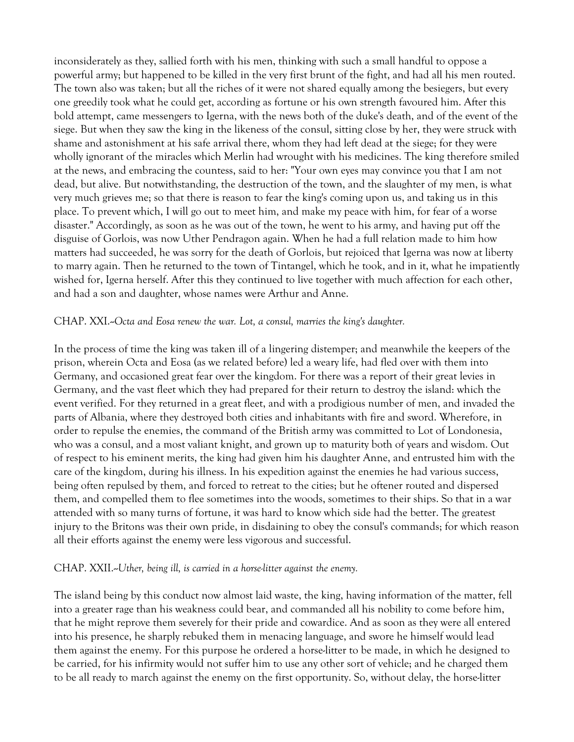inconsiderately as they, sallied forth with his men, thinking with such a small handful to oppose a powerful army; but happened to be killed in the very first brunt of the fight, and had all his men routed. The town also was taken; but all the riches of it were not shared equally among the besiegers, but every one greedily took what he could get, according as fortune or his own strength favoured him. After this bold attempt, came messengers to Igerna, with the news both of the duke's death, and of the event of the siege. But when they saw the king in the likeness of the consul, sitting close by her, they were struck with shame and astonishment at his safe arrival there, whom they had left dead at the siege; for they were wholly ignorant of the miracles which Merlin had wrought with his medicines. The king therefore smiled at the news, and embracing the countess, said to her: "Your own eyes may convince you that I am not dead, but alive. But notwithstanding, the destruction of the town, and the slaughter of my men, is what very much grieves me; so that there is reason to fear the king's coming upon us, and taking us in this place. To prevent which, I will go out to meet him, and make my peace with him, for fear of a worse disaster." Accordingly, as soon as he was out of the town, he went to his army, and having put off the disguise of Gorlois, was now Uther Pendragon again. When he had a full relation made to him how matters had succeeded, he was sorry for the death of Gorlois, but rejoiced that Igerna was now at liberty to marry again. Then he returned to the town of Tintangel, which he took, and in it, what he impatiently wished for, Igerna herself. After this they continued to live together with much affection for each other, and had a son and daughter, whose names were Arthur and Anne.

### CHAP. XXI.--*Octa and Eosa renew the war. Lot, a consul, marries the king's daughter.*

In the process of time the king was taken ill of a lingering distemper; and meanwhile the keepers of the prison, wherein Octa and Eosa (as we related before) led a weary life, had fled over with them into Germany, and occasioned great fear over the kingdom. For there was a report of their great levies in Germany, and the vast fleet which they had prepared for their return to destroy the island: which the event verified. For they returned in a great fleet, and with a prodigious number of men, and invaded the parts of Albania, where they destroyed both cities and inhabitants with fire and sword. Wherefore, in order to repulse the enemies, the command of the British army was committed to Lot of Londonesia, who was a consul, and a most valiant knight, and grown up to maturity both of years and wisdom. Out of respect to his eminent merits, the king had given him his daughter Anne, and entrusted him with the care of the kingdom, during his illness. In his expedition against the enemies he had various success, being often repulsed by them, and forced to retreat to the cities; but he oftener routed and dispersed them, and compelled them to flee sometimes into the woods, sometimes to their ships. So that in a war attended with so many turns of fortune, it was hard to know which side had the better. The greatest injury to the Britons was their own pride, in disdaining to obey the consul's commands; for which reason all their efforts against the enemy were less vigorous and successful.

#### CHAP. XXII.--*Uther, being ill, is carried in a horse-litter against the enemy.*

The island being by this conduct now almost laid waste, the king, having information of the matter, fell into a greater rage than his weakness could bear, and commanded all his nobility to come before him, that he might reprove them severely for their pride and cowardice. And as soon as they were all entered into his presence, he sharply rebuked them in menacing language, and swore he himself would lead them against the enemy. For this purpose he ordered a horse-litter to be made, in which he designed to be carried, for his infirmity would not suffer him to use any other sort of vehicle; and he charged them to be all ready to march against the enemy on the first opportunity. So, without delay, the horse-litter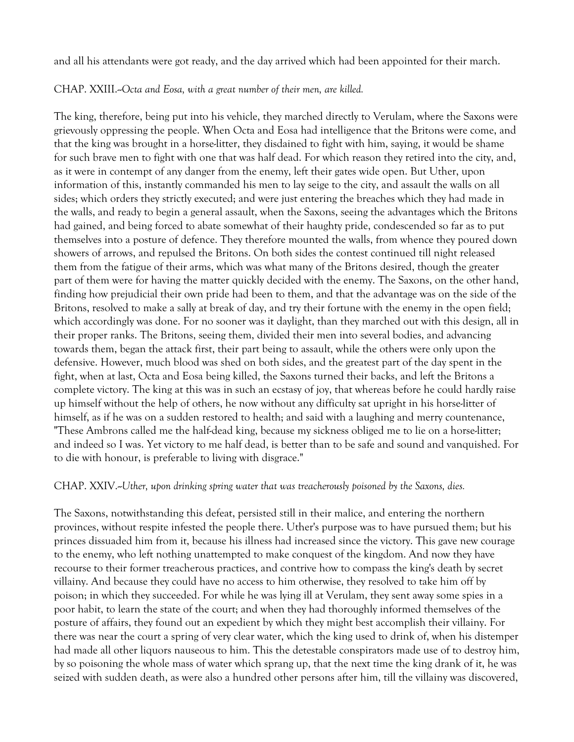and all his attendants were got ready, and the day arrived which had been appointed for their march.

CHAP. XXIII.--*Octa and Eosa, with a great number of their men, are killed.*

The king, therefore, being put into his vehicle, they marched directly to Verulam, where the Saxons were grievously oppressing the people. When Octa and Eosa had intelligence that the Britons were come, and that the king was brought in a horse-litter, they disdained to fight with him, saying, it would be shame for such brave men to fight with one that was half dead. For which reason they retired into the city, and, as it were in contempt of any danger from the enemy, left their gates wide open. But Uther, upon information of this, instantly commanded his men to lay seige to the city, and assault the walls on all sides; which orders they strictly executed; and were just entering the breaches which they had made in the walls, and ready to begin a general assault, when the Saxons, seeing the advantages which the Britons had gained, and being forced to abate somewhat of their haughty pride, condescended so far as to put themselves into a posture of defence. They therefore mounted the walls, from whence they poured down showers of arrows, and repulsed the Britons. On both sides the contest continued till night released them from the fatigue of their arms, which was what many of the Britons desired, though the greater part of them were for having the matter quickly decided with the enemy. The Saxons, on the other hand, finding how prejudicial their own pride had been to them, and that the advantage was on the side of the Britons, resolved to make a sally at break of day, and try their fortune with the enemy in the open field; which accordingly was done. For no sooner was it daylight, than they marched out with this design, all in their proper ranks. The Britons, seeing them, divided their men into several bodies, and advancing towards them, began the attack first, their part being to assault, while the others were only upon the defensive. However, much blood was shed on both sides, and the greatest part of the day spent in the fight, when at last, Octa and Eosa being killed, the Saxons turned their backs, and left the Britons a complete victory. The king at this was in such an ecstasy of joy, that whereas before he could hardly raise up himself without the help of others, he now without any difficulty sat upright in his horse-litter of himself, as if he was on a sudden restored to health; and said with a laughing and merry countenance, "These Ambrons called me the half-dead king, because my sickness obliged me to lie on a horse-litter; and indeed so I was. Yet victory to me half dead, is better than to be safe and sound and vanquished. For to die with honour, is preferable to living with disgrace."

### CHAP. XXIV.--*Uther, upon drinking spring water that was treacherously poisoned by the Saxons, dies.*

The Saxons, notwithstanding this defeat, persisted still in their malice, and entering the northern provinces, without respite infested the people there. Uther's purpose was to have pursued them; but his princes dissuaded him from it, because his illness had increased since the victory. This gave new courage to the enemy, who left nothing unattempted to make conquest of the kingdom. And now they have recourse to their former treacherous practices, and contrive how to compass the king's death by secret villainy. And because they could have no access to him otherwise, they resolved to take him off by poison; in which they succeeded. For while he was lying ill at Verulam, they sent away some spies in a poor habit, to learn the state of the court; and when they had thoroughly informed themselves of the posture of affairs, they found out an expedient by which they might best accomplish their villainy. For there was near the court a spring of very clear water, which the king used to drink of, when his distemper had made all other liquors nauseous to him. This the detestable conspirators made use of to destroy him, by so poisoning the whole mass of water which sprang up, that the next time the king drank of it, he was seized with sudden death, as were also a hundred other persons after him, till the villainy was discovered,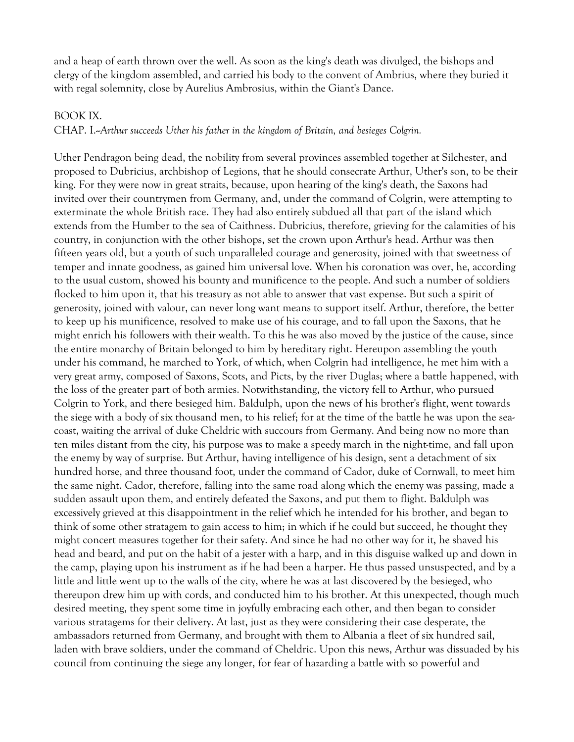and a heap of earth thrown over the well. As soon as the king's death was divulged, the bishops and clergy of the kingdom assembled, and carried his body to the convent of Ambrius, where they buried it with regal solemnity, close by Aurelius Ambrosius, within the Giant's Dance.

#### BOOK IX.

CHAP. I.--*Arthur succeeds Uther his father in the kingdom of Britain, and besieges Colgrin.*

Uther Pendragon being dead, the nobility from several provinces assembled together at Silchester, and proposed to Dubricius, archbishop of Legions, that he should consecrate Arthur, Uther's son, to be their king. For they were now in great straits, because, upon hearing of the king's death, the Saxons had invited over their countrymen from Germany, and, under the command of Colgrin, were attempting to exterminate the whole British race. They had also entirely subdued all that part of the island which extends from the Humber to the sea of Caithness. Dubricius, therefore, grieving for the calamities of his country, in conjunction with the other bishops, set the crown upon Arthur's head. Arthur was then fifteen years old, but a youth of such unparalleled courage and generosity, joined with that sweetness of temper and innate goodness, as gained him universal love. When his coronation was over, he, according to the usual custom, showed his bounty and munificence to the people. And such a number of soldiers flocked to him upon it, that his treasury as not able to answer that vast expense. But such a spirit of generosity, joined with valour, can never long want means to support itself. Arthur, therefore, the better to keep up his munificence, resolved to make use of his courage, and to fall upon the Saxons, that he might enrich his followers with their wealth. To this he was also moved by the justice of the cause, since the entire monarchy of Britain belonged to him by hereditary right. Hereupon assembling the youth under his command, he marched to York, of which, when Colgrin had intelligence, he met him with a very great army, composed of Saxons, Scots, and Picts, by the river Duglas; where a battle happened, with the loss of the greater part of both armies. Notwithstanding, the victory fell to Arthur, who pursued Colgrin to York, and there besieged him. Baldulph, upon the news of his brother's flight, went towards the siege with a body of six thousand men, to his relief; for at the time of the battle he was upon the seacoast, waiting the arrival of duke Cheldric with succours from Germany. And being now no more than ten miles distant from the city, his purpose was to make a speedy march in the night-time, and fall upon the enemy by way of surprise. But Arthur, having intelligence of his design, sent a detachment of six hundred horse, and three thousand foot, under the command of Cador, duke of Cornwall, to meet him the same night. Cador, therefore, falling into the same road along which the enemy was passing, made a sudden assault upon them, and entirely defeated the Saxons, and put them to flight. Baldulph was excessively grieved at this disappointment in the relief which he intended for his brother, and began to think of some other stratagem to gain access to him; in which if he could but succeed, he thought they might concert measures together for their safety. And since he had no other way for it, he shaved his head and beard, and put on the habit of a jester with a harp, and in this disguise walked up and down in the camp, playing upon his instrument as if he had been a harper. He thus passed unsuspected, and by a little and little went up to the walls of the city, where he was at last discovered by the besieged, who thereupon drew him up with cords, and conducted him to his brother. At this unexpected, though much desired meeting, they spent some time in joyfully embracing each other, and then began to consider various stratagems for their delivery. At last, just as they were considering their case desperate, the ambassadors returned from Germany, and brought with them to Albania a fleet of six hundred sail, laden with brave soldiers, under the command of Cheldric. Upon this news, Arthur was dissuaded by his council from continuing the siege any longer, for fear of hazarding a battle with so powerful and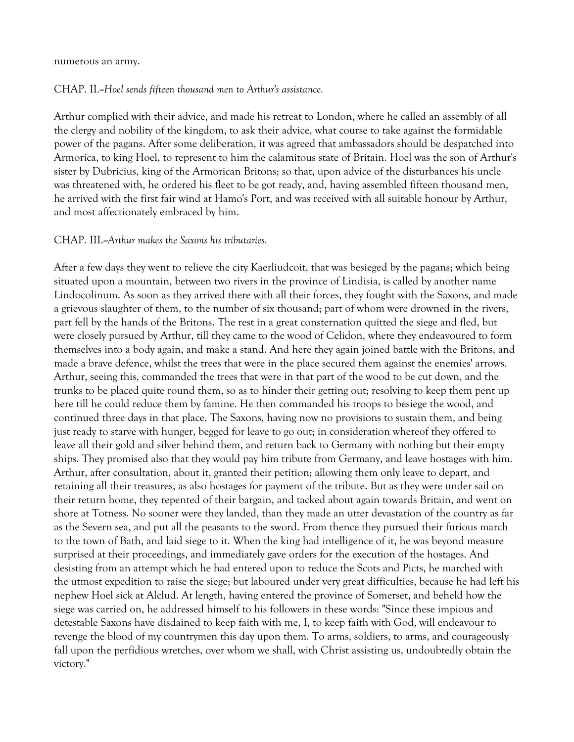#### numerous an army.

#### CHAP. II.--*Hoel sends fifteen thousand men to Arthur's assistance.*

Arthur complied with their advice, and made his retreat to London, where he called an assembly of all the clergy and nobility of the kingdom, to ask their advice, what course to take against the formidable power of the pagans. After some deliberation, it was agreed that ambassadors should be despatched into Armorica, to king Hoel, to represent to him the calamitous state of Britain. Hoel was the son of Arthur's sister by Dubricius, king of the Armorican Britons; so that, upon advice of the disturbances his uncle was threatened with, he ordered his fleet to be got ready, and, having assembled fifteen thousand men, he arrived with the first fair wind at Hamo's Port, and was received with all suitable honour by Arthur, and most affectionately embraced by him.

#### CHAP. III.--*Arthur makes the Saxons his tributaries.*

After a few days they went to relieve the city Kaerliudcoit, that was besieged by the pagans; which being situated upon a mountain, between two rivers in the province of Lindisia, is called by another name Lindocolinum. As soon as they arrived there with all their forces, they fought with the Saxons, and made a grievous slaughter of them, to the number of six thousand; part of whom were drowned in the rivers, part fell by the hands of the Britons. The rest in a great consternation quitted the siege and fled, but were closely pursued by Arthur, till they came to the wood of Celidon, where they endeavoured to form themselves into a body again, and make a stand. And here they again joined battle with the Britons, and made a brave defence, whilst the trees that were in the place secured them against the enemies' arrows. Arthur, seeing this, commanded the trees that were in that part of the wood to be cut down, and the trunks to be placed quite round them, so as to hinder their getting out; resolving to keep them pent up here till he could reduce them by famine. He then commanded his troops to besiege the wood, and continued three days in that place. The Saxons, having now no provisions to sustain them, and being just ready to starve with hunger, begged for leave to go out; in consideration whereof they offered to leave all their gold and silver behind them, and return back to Germany with nothing but their empty ships. They promised also that they would pay him tribute from Germany, and leave hostages with him. Arthur, after consultation, about it, granted their petition; allowing them only leave to depart, and retaining all their treasures, as also hostages for payment of the tribute. But as they were under sail on their return home, they repented of their bargain, and tacked about again towards Britain, and went on shore at Totness. No sooner were they landed, than they made an utter devastation of the country as far as the Severn sea, and put all the peasants to the sword. From thence they pursued their furious march to the town of Bath, and laid siege to it. When the king had intelligence of it, he was beyond measure surprised at their proceedings, and immediately gave orders for the execution of the hostages. And desisting from an attempt which he had entered upon to reduce the Scots and Picts, he marched with the utmost expedition to raise the siege; but laboured under very great difficulties, because he had left his nephew Hoel sick at Alclud. At length, having entered the province of Somerset, and beheld how the siege was carried on, he addressed himself to his followers in these words: "Since these impious and detestable Saxons have disdained to keep faith with me, I, to keep faith with God, will endeavour to revenge the blood of my countrymen this day upon them. To arms, soldiers, to arms, and courageously fall upon the perfidious wretches, over whom we shall, with Christ assisting us, undoubtedly obtain the victory."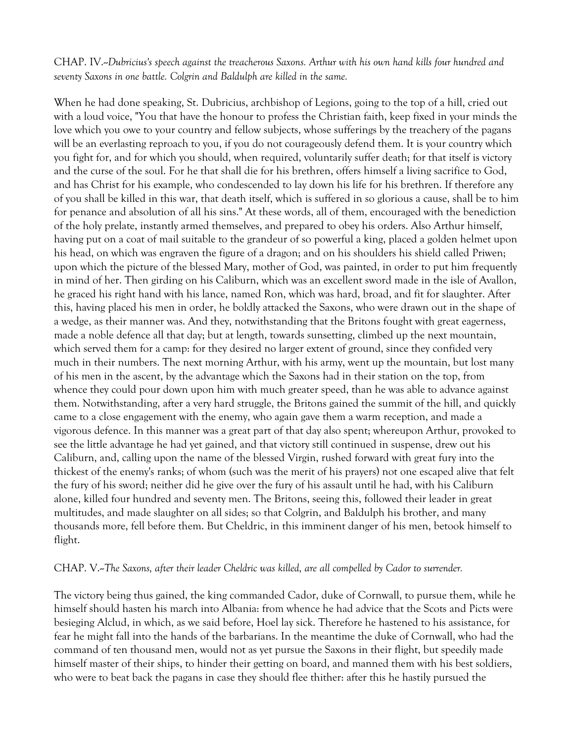CHAP. IV.--*Dubricius's speech against the treacherous Saxons. Arthur with his own hand kills four hundred and seventy Saxons in one battle. Colgrin and Baldulph are killed in the same.*

When he had done speaking, St. Dubricius, archbishop of Legions, going to the top of a hill, cried out with a loud voice, "You that have the honour to profess the Christian faith, keep fixed in your minds the love which you owe to your country and fellow subjects, whose sufferings by the treachery of the pagans will be an everlasting reproach to you, if you do not courageously defend them. It is your country which you fight for, and for which you should, when required, voluntarily suffer death; for that itself is victory and the curse of the soul. For he that shall die for his brethren, offers himself a living sacrifice to God, and has Christ for his example, who condescended to lay down his life for his brethren. If therefore any of you shall be killed in this war, that death itself, which is suffered in so glorious a cause, shall be to him for penance and absolution of all his sins." At these words, all of them, encouraged with the benediction of the holy prelate, instantly armed themselves, and prepared to obey his orders. Also Arthur himself, having put on a coat of mail suitable to the grandeur of so powerful a king, placed a golden helmet upon his head, on which was engraven the figure of a dragon; and on his shoulders his shield called Priwen; upon which the picture of the blessed Mary, mother of God, was painted, in order to put him frequently in mind of her. Then girding on his Caliburn, which was an excellent sword made in the isle of Avallon, he graced his right hand with his lance, named Ron, which was hard, broad, and fit for slaughter. After this, having placed his men in order, he boldly attacked the Saxons, who were drawn out in the shape of a wedge, as their manner was. And they, notwithstanding that the Britons fought with great eagerness, made a noble defence all that day; but at length, towards sunsetting, climbed up the next mountain, which served them for a camp: for they desired no larger extent of ground, since they confided very much in their numbers. The next morning Arthur, with his army, went up the mountain, but lost many of his men in the ascent, by the advantage which the Saxons had in their station on the top, from whence they could pour down upon him with much greater speed, than he was able to advance against them. Notwithstanding, after a very hard struggle, the Britons gained the summit of the hill, and quickly came to a close engagement with the enemy, who again gave them a warm reception, and made a vigorous defence. In this manner was a great part of that day also spent; whereupon Arthur, provoked to see the little advantage he had yet gained, and that victory still continued in suspense, drew out his Caliburn, and, calling upon the name of the blessed Virgin, rushed forward with great fury into the thickest of the enemy's ranks; of whom (such was the merit of his prayers) not one escaped alive that felt the fury of his sword; neither did he give over the fury of his assault until he had, with his Caliburn alone, killed four hundred and seventy men. The Britons, seeing this, followed their leader in great multitudes, and made slaughter on all sides; so that Colgrin, and Baldulph his brother, and many thousands more, fell before them. But Cheldric, in this imminent danger of his men, betook himself to flight.

#### CHAP. V.--*The Saxons, after their leader Cheldric was killed, are all compelled by Cador to surrender.*

The victory being thus gained, the king commanded Cador, duke of Cornwall, to pursue them, while he himself should hasten his march into Albania: from whence he had advice that the Scots and Picts were besieging Alclud, in which, as we said before, Hoel lay sick. Therefore he hastened to his assistance, for fear he might fall into the hands of the barbarians. In the meantime the duke of Cornwall, who had the command of ten thousand men, would not as yet pursue the Saxons in their flight, but speedily made himself master of their ships, to hinder their getting on board, and manned them with his best soldiers, who were to beat back the pagans in case they should flee thither: after this he hastily pursued the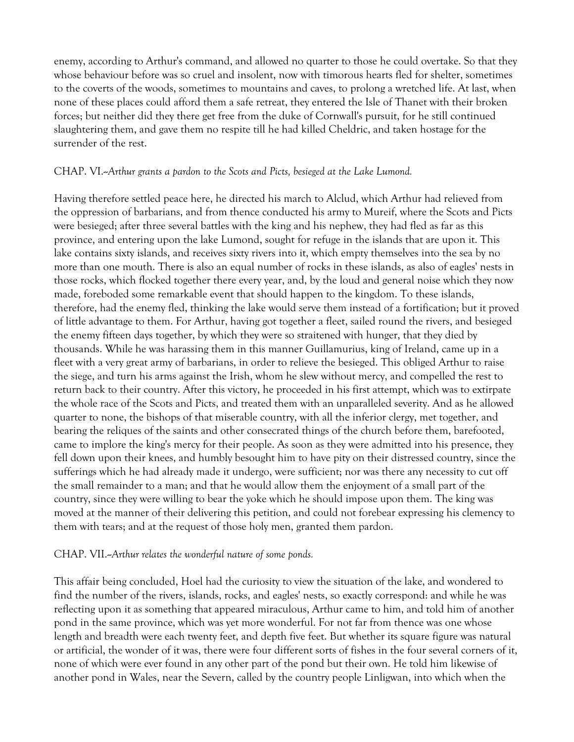enemy, according to Arthur's command, and allowed no quarter to those he could overtake. So that they whose behaviour before was so cruel and insolent, now with timorous hearts fled for shelter, sometimes to the coverts of the woods, sometimes to mountains and caves, to prolong a wretched life. At last, when none of these places could afford them a safe retreat, they entered the Isle of Thanet with their broken forces; but neither did they there get free from the duke of Cornwall's pursuit, for he still continued slaughtering them, and gave them no respite till he had killed Cheldric, and taken hostage for the surrender of the rest.

### CHAP. VI.--*Arthur grants a pardon to the Scots and Picts, besieged at the Lake Lumond.*

Having therefore settled peace here, he directed his march to Alclud, which Arthur had relieved from the oppression of barbarians, and from thence conducted his army to Mureif, where the Scots and Picts were besieged; after three several battles with the king and his nephew, they had fled as far as this province, and entering upon the lake Lumond, sought for refuge in the islands that are upon it. This lake contains sixty islands, and receives sixty rivers into it, which empty themselves into the sea by no more than one mouth. There is also an equal number of rocks in these islands, as also of eagles' nests in those rocks, which flocked together there every year, and, by the loud and general noise which they now made, foreboded some remarkable event that should happen to the kingdom. To these islands, therefore, had the enemy fled, thinking the lake would serve them instead of a fortification; but it proved of little advantage to them. For Arthur, having got together a fleet, sailed round the rivers, and besieged the enemy fifteen days together, by which they were so straitened with hunger, that they died by thousands. While he was harassing them in this manner Guillamurius, king of Ireland, came up in a fleet with a very great army of barbarians, in order to relieve the besieged. This obliged Arthur to raise the siege, and turn his arms against the Irish, whom he slew without mercy, and compelled the rest to return back to their country. After this victory, he proceeded in his first attempt, which was to extirpate the whole race of the Scots and Picts, and treated them with an unparalleled severity. And as he allowed quarter to none, the bishops of that miserable country, with all the inferior clergy, met together, and bearing the reliques of the saints and other consecrated things of the church before them, barefooted, came to implore the king's mercy for their people. As soon as they were admitted into his presence, they fell down upon their knees, and humbly besought him to have pity on their distressed country, since the sufferings which he had already made it undergo, were sufficient; nor was there any necessity to cut off the small remainder to a man; and that he would allow them the enjoyment of a small part of the country, since they were willing to bear the yoke which he should impose upon them. The king was moved at the manner of their delivering this petition, and could not forebear expressing his clemency to them with tears; and at the request of those holy men, granted them pardon.

#### CHAP. VII.--*Arthur relates the wonderful nature of some ponds.*

This affair being concluded, Hoel had the curiosity to view the situation of the lake, and wondered to find the number of the rivers, islands, rocks, and eagles' nests, so exactly correspond: and while he was reflecting upon it as something that appeared miraculous, Arthur came to him, and told him of another pond in the same province, which was yet more wonderful. For not far from thence was one whose length and breadth were each twenty feet, and depth five feet. But whether its square figure was natural or artificial, the wonder of it was, there were four different sorts of fishes in the four several corners of it, none of which were ever found in any other part of the pond but their own. He told him likewise of another pond in Wales, near the Severn, called by the country people Linligwan, into which when the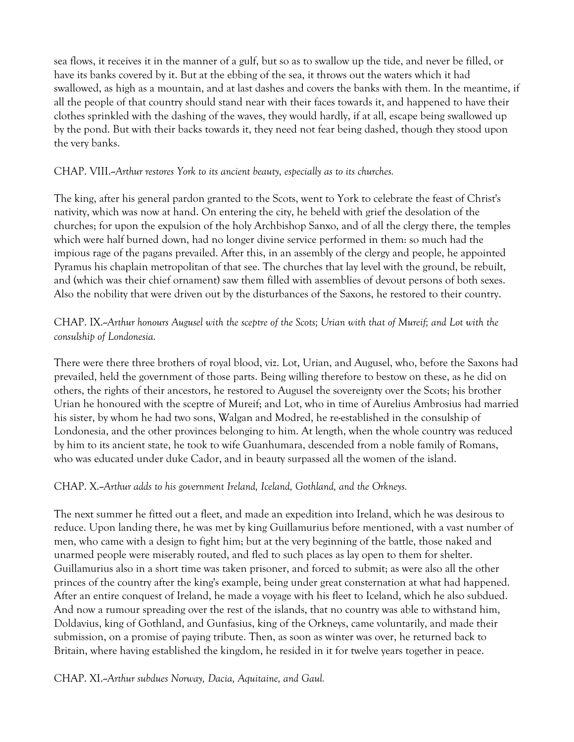sea flows, it receives it in the manner of a gulf, but so as to swallow up the tide, and never be filled, or have its banks covered by it. But at the ebbing of the sea, it throws out the waters which it had swallowed, as high as a mountain, and at last dashes and covers the banks with them. In the meantime, if all the people of that country should stand near with their faces towards it, and happened to have their clothes sprinkled with the dashing of the waves, they would hardly, if at all, escape being swallowed up by the pond. But with their backs towards it, they need not fear being dashed, though they stood upon the very banks.

### CHAP. VIII.--*Arthur restores York to its ancient beauty, especially as to its churches.*

The king, after his general pardon granted to the Scots, went to York to celebrate the feast of Christ's nativity, which was now at hand. On entering the city, he beheld with grief the desolation of the churches; for upon the expulsion of the holy Archbishop Sanxo, and of all the clergy there, the temples which were half burned down, had no longer divine service performed in them: so much had the impious rage of the pagans prevailed. After this, in an assembly of the clergy and people, he appointed Pyramus his chaplain metropolitan of that see. The churches that lay level with the ground, be rebuilt, and (which was their chief ornament) saw them filled with assemblies of devout persons of both sexes. Also the nobility that were driven out by the disturbances of the Saxons, he restored to their country.

# CHAP. IX.--*Arthur honours Augusel with the sceptre of the Scots; Urian with that of Mureif; and Lot with the consulship of Londonesia.*

There were there three brothers of royal blood, viz. Lot, Urian, and Augusel, who, before the Saxons had prevailed, held the government of those parts. Being willing therefore to bestow on these, as he did on others, the rights of their ancestors, he restored to Augusel the sovereignty over the Scots; his brother Urian he honoured with the sceptre of Mureif; and Lot, who in time of Aurelius Ambrosius had married his sister, by whom he had two sons, Walgan and Modred, he re-established in the consulship of Londonesia, and the other provinces belonging to him. At length, when the whole country was reduced by him to its ancient state, he took to wife Guanhumara, descended from a noble family of Romans, who was educated under duke Cador, and in beauty surpassed all the women of the island.

### CHAP. X.--*Arthur adds to his government Ireland, Iceland, Gothland, and the Orkneys.*

The next summer he fitted out a fleet, and made an expedition into Ireland, which he was desirous to reduce. Upon landing there, he was met by king Guillamurius before mentioned, with a vast number of men, who came with a design to fight him; but at the very beginning of the battle, those naked and unarmed people were miserably routed, and fled to such places as lay open to them for shelter. Guillamurius also in a short time was taken prisoner, and forced to submit; as were also all the other princes of the country after the king's example, being under great consternation at what had happened. After an entire conquest of Ireland, he made a voyage with his fleet to Iceland, which he also subdued. And now a rumour spreading over the rest of the islands, that no country was able to withstand him, Doldavius, king of Gothland, and Gunfasius, king of the Orkneys, came voluntarily, and made their submission, on a promise of paying tribute. Then, as soon as winter was over, he returned back to Britain, where having established the kingdom, he resided in it for twelve years together in peace.

### CHAP. XI.--*Arthur subdues Norway, Dacia, Aquitaine, and Gaul.*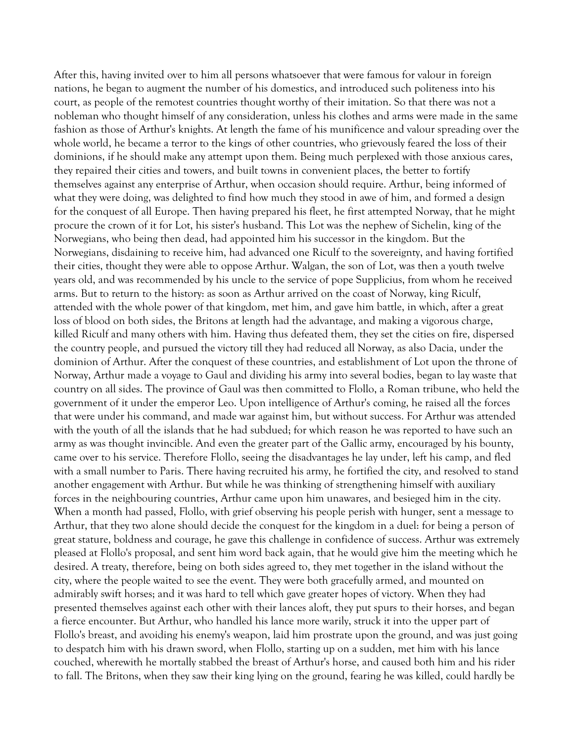After this, having invited over to him all persons whatsoever that were famous for valour in foreign nations, he began to augment the number of his domestics, and introduced such politeness into his court, as people of the remotest countries thought worthy of their imitation. So that there was not a nobleman who thought himself of any consideration, unless his clothes and arms were made in the same fashion as those of Arthur's knights. At length the fame of his munificence and valour spreading over the whole world, he became a terror to the kings of other countries, who grievously feared the loss of their dominions, if he should make any attempt upon them. Being much perplexed with those anxious cares, they repaired their cities and towers, and built towns in convenient places, the better to fortify themselves against any enterprise of Arthur, when occasion should require. Arthur, being informed of what they were doing, was delighted to find how much they stood in awe of him, and formed a design for the conquest of all Europe. Then having prepared his fleet, he first attempted Norway, that he might procure the crown of it for Lot, his sister's husband. This Lot was the nephew of Sichelin, king of the Norwegians, who being then dead, had appointed him his successor in the kingdom. But the Norwegians, disdaining to receive him, had advanced one Riculf to the sovereignty, and having fortified their cities, thought they were able to oppose Arthur. Walgan, the son of Lot, was then a youth twelve years old, and was recommended by his uncle to the service of pope Supplicius, from whom he received arms. But to return to the history: as soon as Arthur arrived on the coast of Norway, king Riculf, attended with the whole power of that kingdom, met him, and gave him battle, in which, after a great loss of blood on both sides, the Britons at length had the advantage, and making a vigorous charge, killed Riculf and many others with him. Having thus defeated them, they set the cities on fire, dispersed the country people, and pursued the victory till they had reduced all Norway, as also Dacia, under the dominion of Arthur. After the conquest of these countries, and establishment of Lot upon the throne of Norway, Arthur made a voyage to Gaul and dividing his army into several bodies, began to lay waste that country on all sides. The province of Gaul was then committed to Flollo, a Roman tribune, who held the government of it under the emperor Leo. Upon intelligence of Arthur's coming, he raised all the forces that were under his command, and made war against him, but without success. For Arthur was attended with the youth of all the islands that he had subdued; for which reason he was reported to have such an army as was thought invincible. And even the greater part of the Gallic army, encouraged by his bounty, came over to his service. Therefore Flollo, seeing the disadvantages he lay under, left his camp, and fled with a small number to Paris. There having recruited his army, he fortified the city, and resolved to stand another engagement with Arthur. But while he was thinking of strengthening himself with auxiliary forces in the neighbouring countries, Arthur came upon him unawares, and besieged him in the city. When a month had passed, Flollo, with grief observing his people perish with hunger, sent a message to Arthur, that they two alone should decide the conquest for the kingdom in a duel: for being a person of great stature, boldness and courage, he gave this challenge in confidence of success. Arthur was extremely pleased at Flollo's proposal, and sent him word back again, that he would give him the meeting which he desired. A treaty, therefore, being on both sides agreed to, they met together in the island without the city, where the people waited to see the event. They were both gracefully armed, and mounted on admirably swift horses; and it was hard to tell which gave greater hopes of victory. When they had presented themselves against each other with their lances aloft, they put spurs to their horses, and began a fierce encounter. But Arthur, who handled his lance more warily, struck it into the upper part of Flollo's breast, and avoiding his enemy's weapon, laid him prostrate upon the ground, and was just going to despatch him with his drawn sword, when Flollo, starting up on a sudden, met him with his lance couched, wherewith he mortally stabbed the breast of Arthur's horse, and caused both him and his rider to fall. The Britons, when they saw their king lying on the ground, fearing he was killed, could hardly be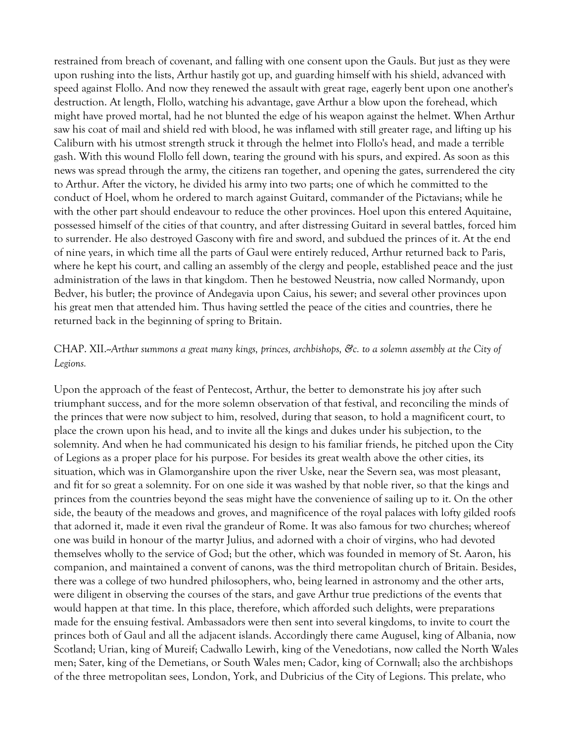restrained from breach of covenant, and falling with one consent upon the Gauls. But just as they were upon rushing into the lists, Arthur hastily got up, and guarding himself with his shield, advanced with speed against Flollo. And now they renewed the assault with great rage, eagerly bent upon one another's destruction. At length, Flollo, watching his advantage, gave Arthur a blow upon the forehead, which might have proved mortal, had he not blunted the edge of his weapon against the helmet. When Arthur saw his coat of mail and shield red with blood, he was inflamed with still greater rage, and lifting up his Caliburn with his utmost strength struck it through the helmet into Flollo's head, and made a terrible gash. With this wound Flollo fell down, tearing the ground with his spurs, and expired. As soon as this news was spread through the army, the citizens ran together, and opening the gates, surrendered the city to Arthur. After the victory, he divided his army into two parts; one of which he committed to the conduct of Hoel, whom he ordered to march against Guitard, commander of the Pictavians; while he with the other part should endeavour to reduce the other provinces. Hoel upon this entered Aquitaine, possessed himself of the cities of that country, and after distressing Guitard in several battles, forced him to surrender. He also destroyed Gascony with fire and sword, and subdued the princes of it. At the end of nine years, in which time all the parts of Gaul were entirely reduced, Arthur returned back to Paris, where he kept his court, and calling an assembly of the clergy and people, established peace and the just administration of the laws in that kingdom. Then he bestowed Neustria, now called Normandy, upon Bedver, his butler; the province of Andegavia upon Caius, his sewer; and several other provinces upon his great men that attended him. Thus having settled the peace of the cities and countries, there he returned back in the beginning of spring to Britain.

### CHAP. XII.--*Arthur summons a great many kings, princes, archbishops, &c. to a solemn assembly at the City of Legions.*

Upon the approach of the feast of Pentecost, Arthur, the better to demonstrate his joy after such triumphant success, and for the more solemn observation of that festival, and reconciling the minds of the princes that were now subject to him, resolved, during that season, to hold a magnificent court, to place the crown upon his head, and to invite all the kings and dukes under his subjection, to the solemnity. And when he had communicated his design to his familiar friends, he pitched upon the City of Legions as a proper place for his purpose. For besides its great wealth above the other cities, its situation, which was in Glamorganshire upon the river Uske, near the Severn sea, was most pleasant, and fit for so great a solemnity. For on one side it was washed by that noble river, so that the kings and princes from the countries beyond the seas might have the convenience of sailing up to it. On the other side, the beauty of the meadows and groves, and magnificence of the royal palaces with lofty gilded roofs that adorned it, made it even rival the grandeur of Rome. It was also famous for two churches; whereof one was build in honour of the martyr Julius, and adorned with a choir of virgins, who had devoted themselves wholly to the service of God; but the other, which was founded in memory of St. Aaron, his companion, and maintained a convent of canons, was the third metropolitan church of Britain. Besides, there was a college of two hundred philosophers, who, being learned in astronomy and the other arts, were diligent in observing the courses of the stars, and gave Arthur true predictions of the events that would happen at that time. In this place, therefore, which afforded such delights, were preparations made for the ensuing festival. Ambassadors were then sent into several kingdoms, to invite to court the princes both of Gaul and all the adjacent islands. Accordingly there came Augusel, king of Albania, now Scotland; Urian, king of Mureif; Cadwallo Lewirh, king of the Venedotians, now called the North Wales men; Sater, king of the Demetians, or South Wales men; Cador, king of Cornwall; also the archbishops of the three metropolitan sees, London, York, and Dubricius of the City of Legions. This prelate, who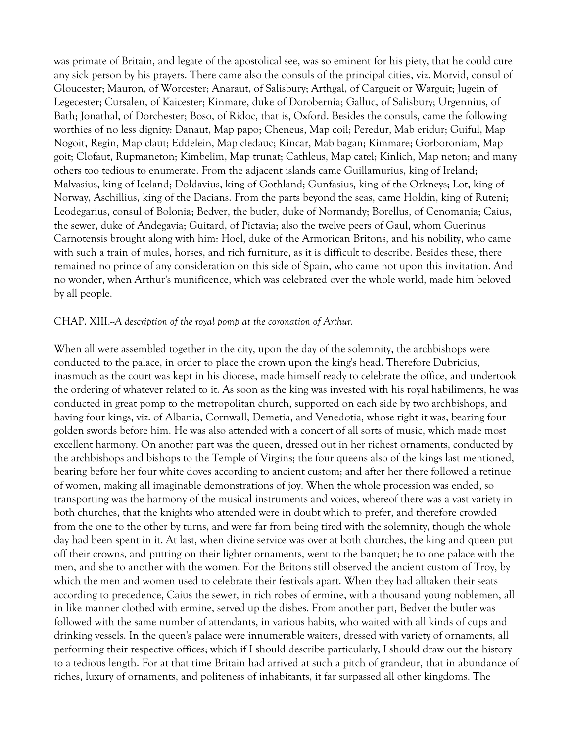was primate of Britain, and legate of the apostolical see, was so eminent for his piety, that he could cure any sick person by his prayers. There came also the consuls of the principal cities, viz. Morvid, consul of Gloucester; Mauron, of Worcester; Anaraut, of Salisbury; Arthgal, of Cargueit or Warguit; Jugein of Legecester; Cursalen, of Kaicester; Kinmare, duke of Dorobernia; Galluc, of Salisbury; Urgennius, of Bath; Jonathal, of Dorchester; Boso, of Ridoc, that is, Oxford. Besides the consuls, came the following worthies of no less dignity: Danaut, Map papo; Cheneus, Map coil; Peredur, Mab eridur; Guiful, Map Nogoit, Regin, Map claut; Eddelein, Map cledauc; Kincar, Mab bagan; Kimmare; Gorboroniam, Map goit; Clofaut, Rupmaneton; Kimbelim, Map trunat; Cathleus, Map catel; Kinlich, Map neton; and many others too tedious to enumerate. From the adjacent islands came Guillamurius, king of Ireland; Malvasius, king of Iceland; Doldavius, king of Gothland; Gunfasius, king of the Orkneys; Lot, king of Norway, Aschillius, king of the Dacians. From the parts beyond the seas, came Holdin, king of Ruteni; Leodegarius, consul of Bolonia; Bedver, the butler, duke of Normandy; Borellus, of Cenomania; Caius, the sewer, duke of Andegavia; Guitard, of Pictavia; also the twelve peers of Gaul, whom Guerinus Carnotensis brought along with him: Hoel, duke of the Armorican Britons, and his nobility, who came with such a train of mules, horses, and rich furniture, as it is difficult to describe. Besides these, there remained no prince of any consideration on this side of Spain, who came not upon this invitation. And no wonder, when Arthur's munificence, which was celebrated over the whole world, made him beloved by all people.

#### CHAP. XIII.--*A description of the royal pomp at the coronation of Arthur.*

When all were assembled together in the city, upon the day of the solemnity, the archbishops were conducted to the palace, in order to place the crown upon the king's head. Therefore Dubricius, inasmuch as the court was kept in his diocese, made himself ready to celebrate the office, and undertook the ordering of whatever related to it. As soon as the king was invested with his royal habiliments, he was conducted in great pomp to the metropolitan church, supported on each side by two archbishops, and having four kings, viz. of Albania, Cornwall, Demetia, and Venedotia, whose right it was, bearing four golden swords before him. He was also attended with a concert of all sorts of music, which made most excellent harmony. On another part was the queen, dressed out in her richest ornaments, conducted by the archbishops and bishops to the Temple of Virgins; the four queens also of the kings last mentioned, bearing before her four white doves according to ancient custom; and after her there followed a retinue of women, making all imaginable demonstrations of joy. When the whole procession was ended, so transporting was the harmony of the musical instruments and voices, whereof there was a vast variety in both churches, that the knights who attended were in doubt which to prefer, and therefore crowded from the one to the other by turns, and were far from being tired with the solemnity, though the whole day had been spent in it. At last, when divine service was over at both churches, the king and queen put off their crowns, and putting on their lighter ornaments, went to the banquet; he to one palace with the men, and she to another with the women. For the Britons still observed the ancient custom of Troy, by which the men and women used to celebrate their festivals apart. When they had alltaken their seats according to precedence, Caius the sewer, in rich robes of ermine, with a thousand young noblemen, all in like manner clothed with ermine, served up the dishes. From another part, Bedver the butler was followed with the same number of attendants, in various habits, who waited with all kinds of cups and drinking vessels. In the queen's palace were innumerable waiters, dressed with variety of ornaments, all performing their respective offices; which if I should describe particularly, I should draw out the history to a tedious length. For at that time Britain had arrived at such a pitch of grandeur, that in abundance of riches, luxury of ornaments, and politeness of inhabitants, it far surpassed all other kingdoms. The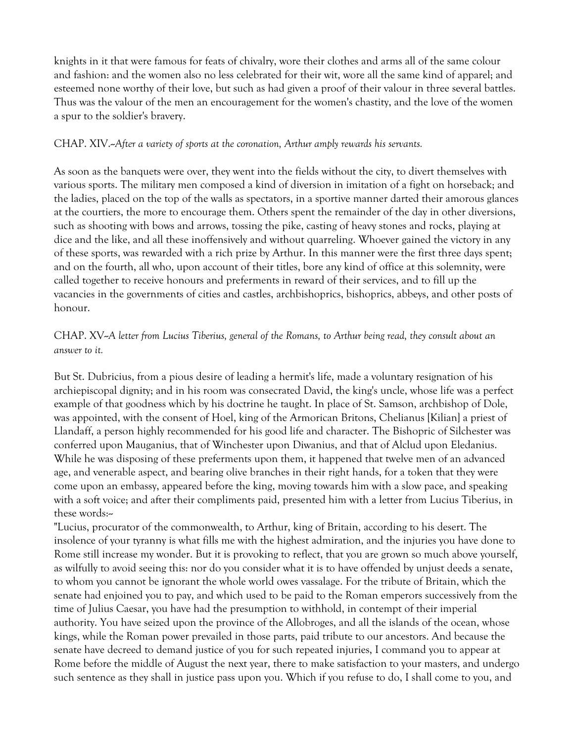knights in it that were famous for feats of chivalry, wore their clothes and arms all of the same colour and fashion: and the women also no less celebrated for their wit, wore all the same kind of apparel; and esteemed none worthy of their love, but such as had given a proof of their valour in three several battles. Thus was the valour of the men an encouragement for the women's chastity, and the love of the women a spur to the soldier's bravery.

### CHAP. XIV.--*After a variety of sports at the coronation, Arthur amply rewards his servants.*

As soon as the banquets were over, they went into the fields without the city, to divert themselves with various sports. The military men composed a kind of diversion in imitation of a fight on horseback; and the ladies, placed on the top of the walls as spectators, in a sportive manner darted their amorous glances at the courtiers, the more to encourage them. Others spent the remainder of the day in other diversions, such as shooting with bows and arrows, tossing the pike, casting of heavy stones and rocks, playing at dice and the like, and all these inoffensively and without quarreling. Whoever gained the victory in any of these sports, was rewarded with a rich prize by Arthur. In this manner were the first three days spent; and on the fourth, all who, upon account of their titles, bore any kind of office at this solemnity, were called together to receive honours and preferments in reward of their services, and to fill up the vacancies in the governments of cities and castles, archbishoprics, bishoprics, abbeys, and other posts of honour.

# CHAP. XV--*A letter from Lucius Tiberius, general of the Romans, to Arthur being read, they consult about an answer to it.*

But St. Dubricius, from a pious desire of leading a hermit's life, made a voluntary resignation of his archiepiscopal dignity; and in his room was consecrated David, the king's uncle, whose life was a perfect example of that goodness which by his doctrine he taught. In place of St. Samson, archbishop of Dole, was appointed, with the consent of Hoel, king of the Armorican Britons, Chelianus [Kilian] a priest of Llandaff, a person highly recommended for his good life and character. The Bishopric of Silchester was conferred upon Mauganius, that of Winchester upon Diwanius, and that of Alclud upon Eledanius. While he was disposing of these preferments upon them, it happened that twelve men of an advanced age, and venerable aspect, and bearing olive branches in their right hands, for a token that they were come upon an embassy, appeared before the king, moving towards him with a slow pace, and speaking with a soft voice; and after their compliments paid, presented him with a letter from Lucius Tiberius, in these words:~

"Lucius, procurator of the commonwealth, to Arthur, king of Britain, according to his desert. The insolence of your tyranny is what fills me with the highest admiration, and the injuries you have done to Rome still increase my wonder. But it is provoking to reflect, that you are grown so much above yourself, as wilfully to avoid seeing this: nor do you consider what it is to have offended by unjust deeds a senate, to whom you cannot be ignorant the whole world owes vassalage. For the tribute of Britain, which the senate had enjoined you to pay, and which used to be paid to the Roman emperors successively from the time of Julius Caesar, you have had the presumption to withhold, in contempt of their imperial authority. You have seized upon the province of the Allobroges, and all the islands of the ocean, whose kings, while the Roman power prevailed in those parts, paid tribute to our ancestors. And because the senate have decreed to demand justice of you for such repeated injuries, I command you to appear at Rome before the middle of August the next year, there to make satisfaction to your masters, and undergo such sentence as they shall in justice pass upon you. Which if you refuse to do, I shall come to you, and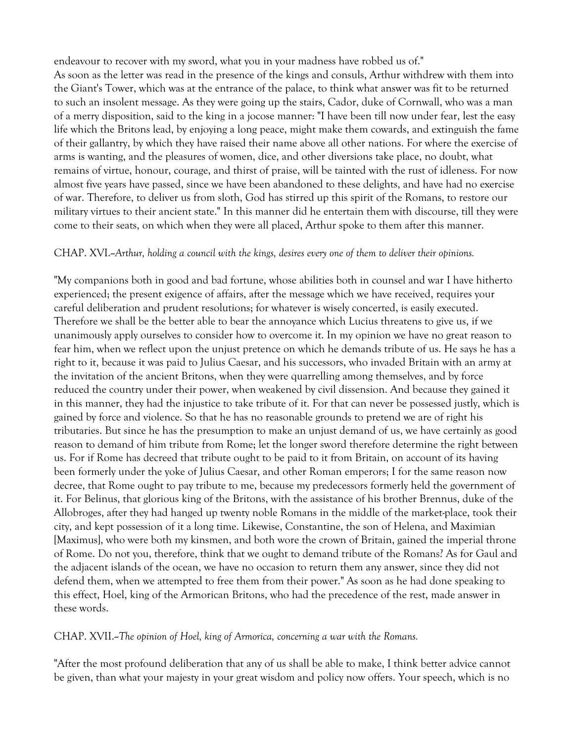endeavour to recover with my sword, what you in your madness have robbed us of."

As soon as the letter was read in the presence of the kings and consuls, Arthur withdrew with them into the Giant's Tower, which was at the entrance of the palace, to think what answer was fit to be returned to such an insolent message. As they were going up the stairs, Cador, duke of Cornwall, who was a man of a merry disposition, said to the king in a jocose manner: "I have been till now under fear, lest the easy life which the Britons lead, by enjoying a long peace, might make them cowards, and extinguish the fame of their gallantry, by which they have raised their name above all other nations. For where the exercise of arms is wanting, and the pleasures of women, dice, and other diversions take place, no doubt, what remains of virtue, honour, courage, and thirst of praise, will be tainted with the rust of idleness. For now almost five years have passed, since we have been abandoned to these delights, and have had no exercise of war. Therefore, to deliver us from sloth, God has stirred up this spirit of the Romans, to restore our military virtues to their ancient state." In this manner did he entertain them with discourse, till they were come to their seats, on which when they were all placed, Arthur spoke to them after this manner.

### CHAP. XVI.--*Arthur, holding a council with the kings, desires every one of them to deliver their opinions.*

"My companions both in good and bad fortune, whose abilities both in counsel and war I have hitherto experienced; the present exigence of affairs, after the message which we have received, requires your careful deliberation and prudent resolutions; for whatever is wisely concerted, is easily executed. Therefore we shall be the better able to bear the annoyance which Lucius threatens to give us, if we unanimously apply ourselves to consider how to overcome it. In my opinion we have no great reason to fear him, when we reflect upon the unjust pretence on which he demands tribute of us. He says he has a right to it, because it was paid to Julius Caesar, and his successors, who invaded Britain with an army at the invitation of the ancient Britons, when they were quarrelling among themselves, and by force reduced the country under their power, when weakened by civil dissension. And because they gained it in this manner, they had the injustice to take tribute of it. For that can never be possessed justly, which is gained by force and violence. So that he has no reasonable grounds to pretend we are of right his tributaries. But since he has the presumption to make an unjust demand of us, we have certainly as good reason to demand of him tribute from Rome; let the longer sword therefore determine the right between us. For if Rome has decreed that tribute ought to be paid to it from Britain, on account of its having been formerly under the yoke of Julius Caesar, and other Roman emperors; I for the same reason now decree, that Rome ought to pay tribute to me, because my predecessors formerly held the government of it. For Belinus, that glorious king of the Britons, with the assistance of his brother Brennus, duke of the Allobroges, after they had hanged up twenty noble Romans in the middle of the market-place, took their city, and kept possession of it a long time. Likewise, Constantine, the son of Helena, and Maximian [Maximus], who were both my kinsmen, and both wore the crown of Britain, gained the imperial throne of Rome. Do not you, therefore, think that we ought to demand tribute of the Romans? As for Gaul and the adjacent islands of the ocean, we have no occasion to return them any answer, since they did not defend them, when we attempted to free them from their power." As soon as he had done speaking to this effect, Hoel, king of the Armorican Britons, who had the precedence of the rest, made answer in these words.

CHAP. XVII.--*The opinion of Hoel, king of Armorica, concerning a war with the Romans.*

"After the most profound deliberation that any of us shall be able to make, I think better advice cannot be given, than what your majesty in your great wisdom and policy now offers. Your speech, which is no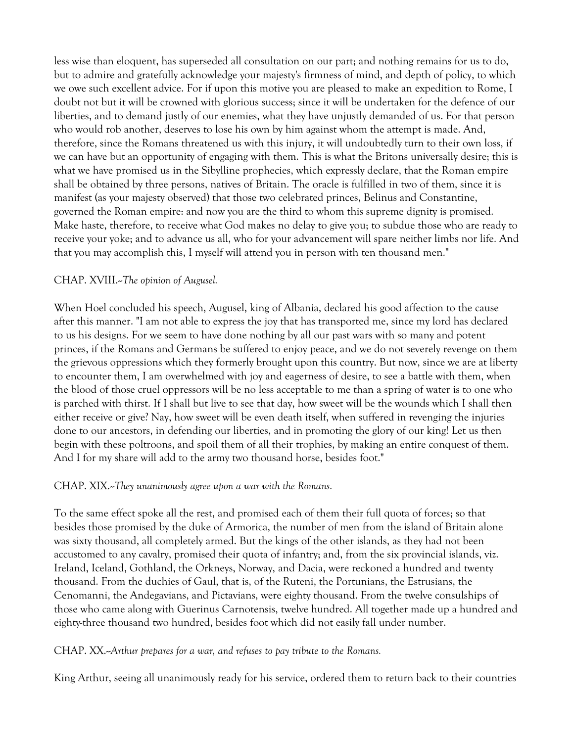less wise than eloquent, has superseded all consultation on our part; and nothing remains for us to do, but to admire and gratefully acknowledge your majesty's firmness of mind, and depth of policy, to which we owe such excellent advice. For if upon this motive you are pleased to make an expedition to Rome, I doubt not but it will be crowned with glorious success; since it will be undertaken for the defence of our liberties, and to demand justly of our enemies, what they have unjustly demanded of us. For that person who would rob another, deserves to lose his own by him against whom the attempt is made. And, therefore, since the Romans threatened us with this injury, it will undoubtedly turn to their own loss, if we can have but an opportunity of engaging with them. This is what the Britons universally desire; this is what we have promised us in the Sibylline prophecies, which expressly declare, that the Roman empire shall be obtained by three persons, natives of Britain. The oracle is fulfilled in two of them, since it is manifest (as your majesty observed) that those two celebrated princes, Belinus and Constantine, governed the Roman empire: and now you are the third to whom this supreme dignity is promised. Make haste, therefore, to receive what God makes no delay to give you; to subdue those who are ready to receive your yoke; and to advance us all, who for your advancement will spare neither limbs nor life. And that you may accomplish this, I myself will attend you in person with ten thousand men."

# CHAP. XVIII.--*The opinion of Augusel.*

When Hoel concluded his speech, Augusel, king of Albania, declared his good affection to the cause after this manner. "I am not able to express the joy that has transported me, since my lord has declared to us his designs. For we seem to have done nothing by all our past wars with so many and potent princes, if the Romans and Germans be suffered to enjoy peace, and we do not severely revenge on them the grievous oppressions which they formerly brought upon this country. But now, since we are at liberty to encounter them, I am overwhelmed with joy and eagerness of desire, to see a battle with them, when the blood of those cruel oppressors will be no less acceptable to me than a spring of water is to one who is parched with thirst. If I shall but live to see that day, how sweet will be the wounds which I shall then either receive or give? Nay, how sweet will be even death itself, when suffered in revenging the injuries done to our ancestors, in defending our liberties, and in promoting the glory of our king! Let us then begin with these poltroons, and spoil them of all their trophies, by making an entire conquest of them. And I for my share will add to the army two thousand horse, besides foot."

### CHAP. XIX.--*They unanimously agree upon a war with the Romans.*

To the same effect spoke all the rest, and promised each of them their full quota of forces; so that besides those promised by the duke of Armorica, the number of men from the island of Britain alone was sixty thousand, all completely armed. But the kings of the other islands, as they had not been accustomed to any cavalry, promised their quota of infantry; and, from the six provincial islands, viz. Ireland, Iceland, Gothland, the Orkneys, Norway, and Dacia, were reckoned a hundred and twenty thousand. From the duchies of Gaul, that is, of the Ruteni, the Portunians, the Estrusians, the Cenomanni, the Andegavians, and Pictavians, were eighty thousand. From the twelve consulships of those who came along with Guerinus Carnotensis, twelve hundred. All together made up a hundred and eighty-three thousand two hundred, besides foot which did not easily fall under number.

CHAP. XX.--*Arthur prepares for a war, and refuses to pay tribute to the Romans.*

King Arthur, seeing all unanimously ready for his service, ordered them to return back to their countries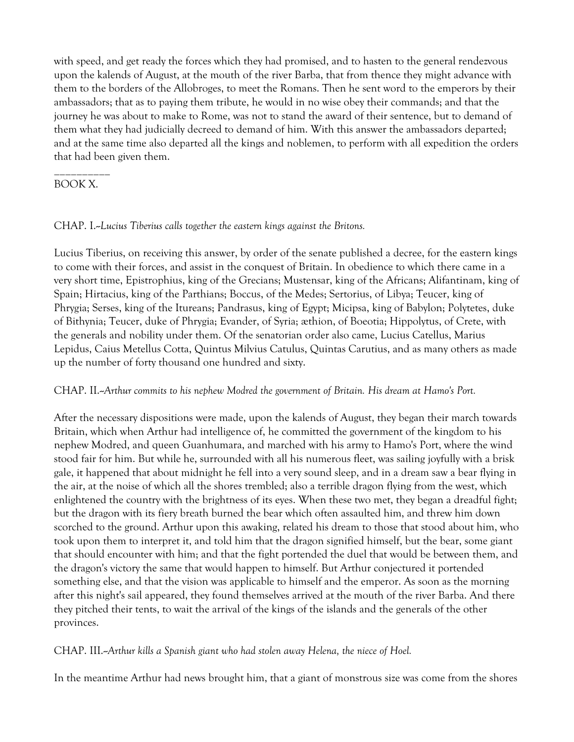with speed, and get ready the forces which they had promised, and to hasten to the general rendezvous upon the kalends of August, at the mouth of the river Barba, that from thence they might advance with them to the borders of the Allobroges, to meet the Romans. Then he sent word to the emperors by their ambassadors; that as to paying them tribute, he would in no wise obey their commands; and that the journey he was about to make to Rome, was not to stand the award of their sentence, but to demand of them what they had judicially decreed to demand of him. With this answer the ambassadors departed; and at the same time also departed all the kings and noblemen, to perform with all expedition the orders that had been given them.

# BOOK X.

\_\_\_\_\_\_\_\_\_\_

### CHAP. I.--*Lucius Tiberius calls together the eastern kings against the Britons.*

Lucius Tiberius, on receiving this answer, by order of the senate published a decree, for the eastern kings to come with their forces, and assist in the conquest of Britain. In obedience to which there came in a very short time, Epistrophius, king of the Grecians; Mustensar, king of the Africans; Alifantinam, king of Spain; Hirtacius, king of the Parthians; Boccus, of the Medes; Sertorius, of Libya; Teucer, king of Phrygia; Serses, king of the Itureans; Pandrasus, king of Egypt; Micipsa, king of Babylon; Polytetes, duke of Bithynia; Teucer, duke of Phrygia; Evander, of Syria; æthion, of Boeotia; Hippolytus, of Crete, with the generals and nobility under them. Of the senatorian order also came, Lucius Catellus, Marius Lepidus, Caius Metellus Cotta, Quintus Milvius Catulus, Quintas Carutius, and as many others as made up the number of forty thousand one hundred and sixty.

### CHAP. II.--*Arthur commits to his nephew Modred the government of Britain. His dream at Hamo's Port.*

After the necessary dispositions were made, upon the kalends of August, they began their march towards Britain, which when Arthur had intelligence of, he committed the government of the kingdom to his nephew Modred, and queen Guanhumara, and marched with his army to Hamo's Port, where the wind stood fair for him. But while he, surrounded with all his numerous fleet, was sailing joyfully with a brisk gale, it happened that about midnight he fell into a very sound sleep, and in a dream saw a bear flying in the air, at the noise of which all the shores trembled; also a terrible dragon flying from the west, which enlightened the country with the brightness of its eyes. When these two met, they began a dreadful fight; but the dragon with its fiery breath burned the bear which often assaulted him, and threw him down scorched to the ground. Arthur upon this awaking, related his dream to those that stood about him, who took upon them to interpret it, and told him that the dragon signified himself, but the bear, some giant that should encounter with him; and that the fight portended the duel that would be between them, and the dragon's victory the same that would happen to himself. But Arthur conjectured it portended something else, and that the vision was applicable to himself and the emperor. As soon as the morning after this night's sail appeared, they found themselves arrived at the mouth of the river Barba. And there they pitched their tents, to wait the arrival of the kings of the islands and the generals of the other provinces.

CHAP. III.--*Arthur kills a Spanish giant who had stolen away Helena, the niece of Hoel.*

In the meantime Arthur had news brought him, that a giant of monstrous size was come from the shores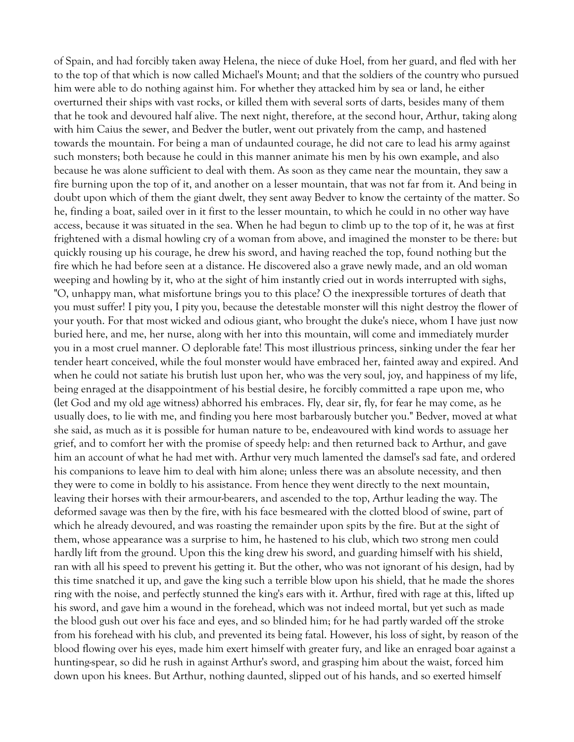of Spain, and had forcibly taken away Helena, the niece of duke Hoel, from her guard, and fled with her to the top of that which is now called Michael's Mount; and that the soldiers of the country who pursued him were able to do nothing against him. For whether they attacked him by sea or land, he either overturned their ships with vast rocks, or killed them with several sorts of darts, besides many of them that he took and devoured half alive. The next night, therefore, at the second hour, Arthur, taking along with him Caius the sewer, and Bedver the butler, went out privately from the camp, and hastened towards the mountain. For being a man of undaunted courage, he did not care to lead his army against such monsters; both because he could in this manner animate his men by his own example, and also because he was alone sufficient to deal with them. As soon as they came near the mountain, they saw a fire burning upon the top of it, and another on a lesser mountain, that was not far from it. And being in doubt upon which of them the giant dwelt, they sent away Bedver to know the certainty of the matter. So he, finding a boat, sailed over in it first to the lesser mountain, to which he could in no other way have access, because it was situated in the sea. When he had begun to climb up to the top of it, he was at first frightened with a dismal howling cry of a woman from above, and imagined the monster to be there: but quickly rousing up his courage, he drew his sword, and having reached the top, found nothing but the fire which he had before seen at a distance. He discovered also a grave newly made, and an old woman weeping and howling by it, who at the sight of him instantly cried out in words interrupted with sighs, "O, unhappy man, what misfortune brings you to this place? O the inexpressible tortures of death that you must suffer! I pity you, I pity you, because the detestable monster will this night destroy the flower of your youth. For that most wicked and odious giant, who brought the duke's niece, whom I have just now buried here, and me, her nurse, along with her into this mountain, will come and immediately murder you in a most cruel manner. O deplorable fate! This most illustrious princess, sinking under the fear her tender heart conceived, while the foul monster would have embraced her, fainted away and expired. And when he could not satiate his brutish lust upon her, who was the very soul, joy, and happiness of my life, being enraged at the disappointment of his bestial desire, he forcibly committed a rape upon me, who (let God and my old age witness) abhorred his embraces. Fly, dear sir, fly, for fear he may come, as he usually does, to lie with me, and finding you here most barbarously butcher you." Bedver, moved at what she said, as much as it is possible for human nature to be, endeavoured with kind words to assuage her grief, and to comfort her with the promise of speedy help: and then returned back to Arthur, and gave him an account of what he had met with. Arthur very much lamented the damsel's sad fate, and ordered his companions to leave him to deal with him alone; unless there was an absolute necessity, and then they were to come in boldly to his assistance. From hence they went directly to the next mountain, leaving their horses with their armour-bearers, and ascended to the top, Arthur leading the way. The deformed savage was then by the fire, with his face besmeared with the clotted blood of swine, part of which he already devoured, and was roasting the remainder upon spits by the fire. But at the sight of them, whose appearance was a surprise to him, he hastened to his club, which two strong men could hardly lift from the ground. Upon this the king drew his sword, and guarding himself with his shield, ran with all his speed to prevent his getting it. But the other, who was not ignorant of his design, had by this time snatched it up, and gave the king such a terrible blow upon his shield, that he made the shores ring with the noise, and perfectly stunned the king's ears with it. Arthur, fired with rage at this, lifted up his sword, and gave him a wound in the forehead, which was not indeed mortal, but yet such as made the blood gush out over his face and eyes, and so blinded him; for he had partly warded off the stroke from his forehead with his club, and prevented its being fatal. However, his loss of sight, by reason of the blood flowing over his eyes, made him exert himself with greater fury, and like an enraged boar against a hunting-spear, so did he rush in against Arthur's sword, and grasping him about the waist, forced him down upon his knees. But Arthur, nothing daunted, slipped out of his hands, and so exerted himself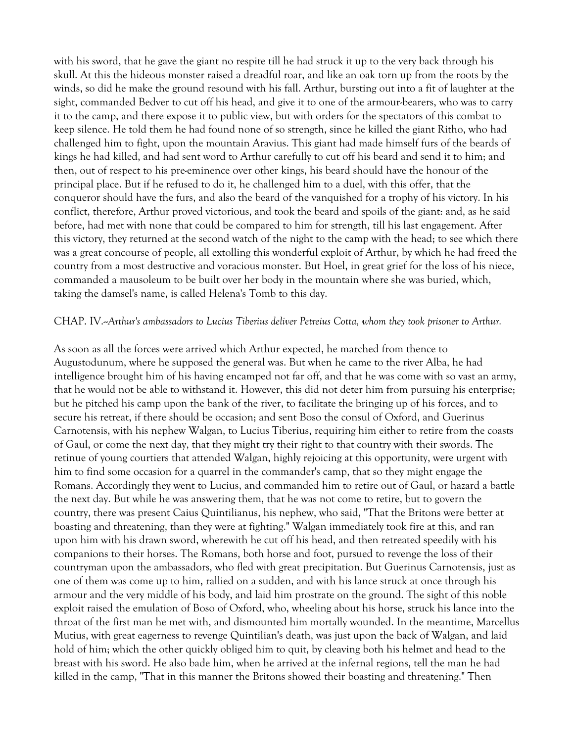with his sword, that he gave the giant no respite till he had struck it up to the very back through his skull. At this the hideous monster raised a dreadful roar, and like an oak torn up from the roots by the winds, so did he make the ground resound with his fall. Arthur, bursting out into a fit of laughter at the sight, commanded Bedver to cut off his head, and give it to one of the armour-bearers, who was to carry it to the camp, and there expose it to public view, but with orders for the spectators of this combat to keep silence. He told them he had found none of so strength, since he killed the giant Ritho, who had challenged him to fight, upon the mountain Aravius. This giant had made himself furs of the beards of kings he had killed, and had sent word to Arthur carefully to cut off his beard and send it to him; and then, out of respect to his pre-eminence over other kings, his beard should have the honour of the principal place. But if he refused to do it, he challenged him to a duel, with this offer, that the conqueror should have the furs, and also the beard of the vanquished for a trophy of his victory. In his conflict, therefore, Arthur proved victorious, and took the beard and spoils of the giant: and, as he said before, had met with none that could be compared to him for strength, till his last engagement. After this victory, they returned at the second watch of the night to the camp with the head; to see which there was a great concourse of people, all extolling this wonderful exploit of Arthur, by which he had freed the country from a most destructive and voracious monster. But Hoel, in great grief for the loss of his niece, commanded a mausoleum to be built over her body in the mountain where she was buried, which, taking the damsel's name, is called Helena's Tomb to this day.

#### CHAP. IV.--*Arthur's ambassadors to Lucius Tiberius deliver Petreius Cotta, whom they took prisoner to Arthur.*

As soon as all the forces were arrived which Arthur expected, he marched from thence to Augustodunum, where he supposed the general was. But when he came to the river Alba, he had intelligence brought him of his having encamped not far off, and that he was come with so vast an army, that he would not be able to withstand it. However, this did not deter him from pursuing his enterprise; but he pitched his camp upon the bank of the river, to facilitate the bringing up of his forces, and to secure his retreat, if there should be occasion; and sent Boso the consul of Oxford, and Guerinus Carnotensis, with his nephew Walgan, to Lucius Tiberius, requiring him either to retire from the coasts of Gaul, or come the next day, that they might try their right to that country with their swords. The retinue of young courtiers that attended Walgan, highly rejoicing at this opportunity, were urgent with him to find some occasion for a quarrel in the commander's camp, that so they might engage the Romans. Accordingly they went to Lucius, and commanded him to retire out of Gaul, or hazard a battle the next day. But while he was answering them, that he was not come to retire, but to govern the country, there was present Caius Quintilianus, his nephew, who said, "That the Britons were better at boasting and threatening, than they were at fighting." Walgan immediately took fire at this, and ran upon him with his drawn sword, wherewith he cut off his head, and then retreated speedily with his companions to their horses. The Romans, both horse and foot, pursued to revenge the loss of their countryman upon the ambassadors, who fled with great precipitation. But Guerinus Carnotensis, just as one of them was come up to him, rallied on a sudden, and with his lance struck at once through his armour and the very middle of his body, and laid him prostrate on the ground. The sight of this noble exploit raised the emulation of Boso of Oxford, who, wheeling about his horse, struck his lance into the throat of the first man he met with, and dismounted him mortally wounded. In the meantime, Marcellus Mutius, with great eagerness to revenge Quintilian's death, was just upon the back of Walgan, and laid hold of him; which the other quickly obliged him to quit, by cleaving both his helmet and head to the breast with his sword. He also bade him, when he arrived at the infernal regions, tell the man he had killed in the camp, "That in this manner the Britons showed their boasting and threatening." Then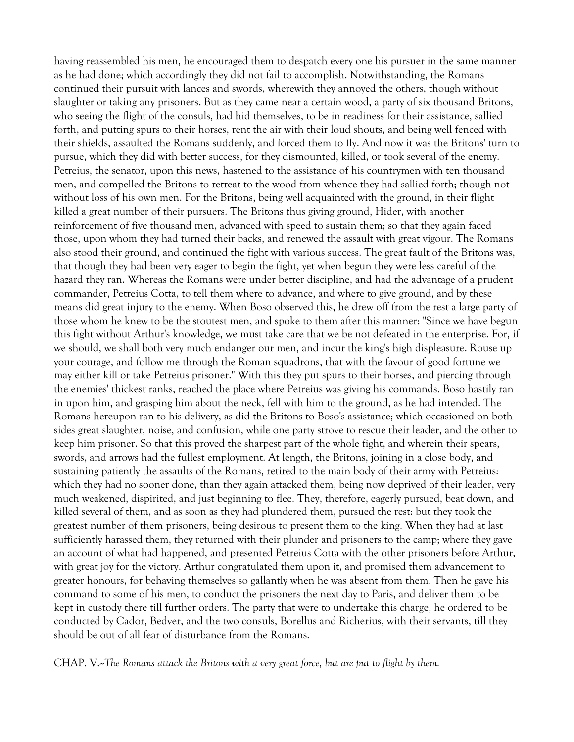having reassembled his men, he encouraged them to despatch every one his pursuer in the same manner as he had done; which accordingly they did not fail to accomplish. Notwithstanding, the Romans continued their pursuit with lances and swords, wherewith they annoyed the others, though without slaughter or taking any prisoners. But as they came near a certain wood, a party of six thousand Britons, who seeing the flight of the consuls, had hid themselves, to be in readiness for their assistance, sallied forth, and putting spurs to their horses, rent the air with their loud shouts, and being well fenced with their shields, assaulted the Romans suddenly, and forced them to fly. And now it was the Britons' turn to pursue, which they did with better success, for they dismounted, killed, or took several of the enemy. Petreius, the senator, upon this news, hastened to the assistance of his countrymen with ten thousand men, and compelled the Britons to retreat to the wood from whence they had sallied forth; though not without loss of his own men. For the Britons, being well acquainted with the ground, in their flight killed a great number of their pursuers. The Britons thus giving ground, Hider, with another reinforcement of five thousand men, advanced with speed to sustain them; so that they again faced those, upon whom they had turned their backs, and renewed the assault with great vigour. The Romans also stood their ground, and continued the fight with various success. The great fault of the Britons was, that though they had been very eager to begin the fight, yet when begun they were less careful of the hazard they ran. Whereas the Romans were under better discipline, and had the advantage of a prudent commander, Petreius Cotta, to tell them where to advance, and where to give ground, and by these means did great injury to the enemy. When Boso observed this, he drew off from the rest a large party of those whom he knew to be the stoutest men, and spoke to them after this manner: "Since we have begun this fight without Arthur's knowledge, we must take care that we be not defeated in the enterprise. For, if we should, we shall both very much endanger our men, and incur the king's high displeasure. Rouse up your courage, and follow me through the Roman squadrons, that with the favour of good fortune we may either kill or take Petreius prisoner." With this they put spurs to their horses, and piercing through the enemies' thickest ranks, reached the place where Petreius was giving his commands. Boso hastily ran in upon him, and grasping him about the neck, fell with him to the ground, as he had intended. The Romans hereupon ran to his delivery, as did the Britons to Boso's assistance; which occasioned on both sides great slaughter, noise, and confusion, while one party strove to rescue their leader, and the other to keep him prisoner. So that this proved the sharpest part of the whole fight, and wherein their spears, swords, and arrows had the fullest employment. At length, the Britons, joining in a close body, and sustaining patiently the assaults of the Romans, retired to the main body of their army with Petreius: which they had no sooner done, than they again attacked them, being now deprived of their leader, very much weakened, dispirited, and just beginning to flee. They, therefore, eagerly pursued, beat down, and killed several of them, and as soon as they had plundered them, pursued the rest: but they took the greatest number of them prisoners, being desirous to present them to the king. When they had at last sufficiently harassed them, they returned with their plunder and prisoners to the camp; where they gave an account of what had happened, and presented Petreius Cotta with the other prisoners before Arthur, with great joy for the victory. Arthur congratulated them upon it, and promised them advancement to greater honours, for behaving themselves so gallantly when he was absent from them. Then he gave his command to some of his men, to conduct the prisoners the next day to Paris, and deliver them to be kept in custody there till further orders. The party that were to undertake this charge, he ordered to be conducted by Cador, Bedver, and the two consuls, Borellus and Richerius, with their servants, till they should be out of all fear of disturbance from the Romans.

CHAP. V.--*The Romans attack the Britons with a very great force, but are put to flight by them.*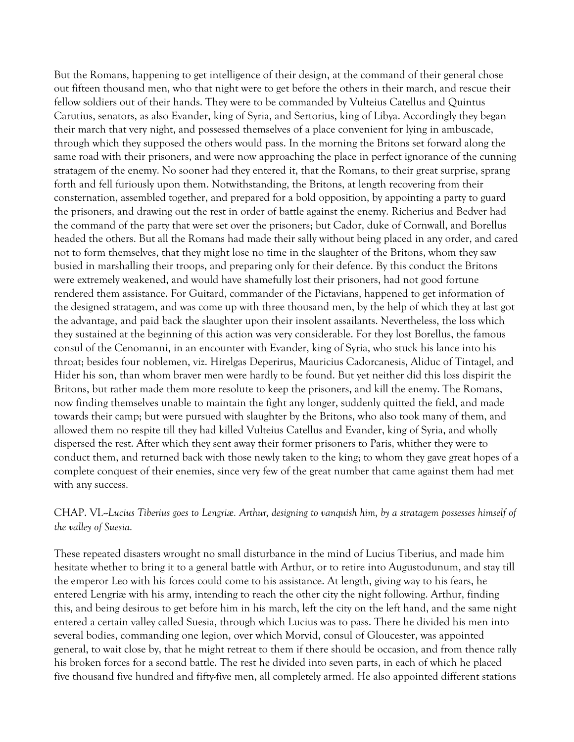But the Romans, happening to get intelligence of their design, at the command of their general chose out fifteen thousand men, who that night were to get before the others in their march, and rescue their fellow soldiers out of their hands. They were to be commanded by Vulteius Catellus and Quintus Carutius, senators, as also Evander, king of Syria, and Sertorius, king of Libya. Accordingly they began their march that very night, and possessed themselves of a place convenient for lying in ambuscade, through which they supposed the others would pass. In the morning the Britons set forward along the same road with their prisoners, and were now approaching the place in perfect ignorance of the cunning stratagem of the enemy. No sooner had they entered it, that the Romans, to their great surprise, sprang forth and fell furiously upon them. Notwithstanding, the Britons, at length recovering from their consternation, assembled together, and prepared for a bold opposition, by appointing a party to guard the prisoners, and drawing out the rest in order of battle against the enemy. Richerius and Bedver had the command of the party that were set over the prisoners; but Cador, duke of Cornwall, and Borellus headed the others. But all the Romans had made their sally without being placed in any order, and cared not to form themselves, that they might lose no time in the slaughter of the Britons, whom they saw busied in marshalling their troops, and preparing only for their defence. By this conduct the Britons were extremely weakened, and would have shamefully lost their prisoners, had not good fortune rendered them assistance. For Guitard, commander of the Pictavians, happened to get information of the designed stratagem, and was come up with three thousand men, by the help of which they at last got the advantage, and paid back the slaughter upon their insolent assailants. Nevertheless, the loss which they sustained at the beginning of this action was very considerable. For they lost Borellus, the famous consul of the Cenomanni, in an encounter with Evander, king of Syria, who stuck his lance into his throat; besides four noblemen, viz. Hirelgas Deperirus, Mauricius Cadorcanesis, Aliduc of Tintagel, and Hider his son, than whom braver men were hardly to be found. But yet neither did this loss dispirit the Britons, but rather made them more resolute to keep the prisoners, and kill the enemy. The Romans, now finding themselves unable to maintain the fight any longer, suddenly quitted the field, and made towards their camp; but were pursued with slaughter by the Britons, who also took many of them, and allowed them no respite till they had killed Vulteius Catellus and Evander, king of Syria, and wholly dispersed the rest. After which they sent away their former prisoners to Paris, whither they were to conduct them, and returned back with those newly taken to the king; to whom they gave great hopes of a complete conquest of their enemies, since very few of the great number that came against them had met with any success.

### CHAP. VI.--*Lucius Tiberius goes to Lengriæ. Arthur, designing to vanquish him, by a stratagem possesses himself of the valley of Suesia.*

These repeated disasters wrought no small disturbance in the mind of Lucius Tiberius, and made him hesitate whether to bring it to a general battle with Arthur, or to retire into Augustodunum, and stay till the emperor Leo with his forces could come to his assistance. At length, giving way to his fears, he entered Lengriæ with his army, intending to reach the other city the night following. Arthur, finding this, and being desirous to get before him in his march, left the city on the left hand, and the same night entered a certain valley called Suesia, through which Lucius was to pass. There he divided his men into several bodies, commanding one legion, over which Morvid, consul of Gloucester, was appointed general, to wait close by, that he might retreat to them if there should be occasion, and from thence rally his broken forces for a second battle. The rest he divided into seven parts, in each of which he placed five thousand five hundred and fifty-five men, all completely armed. He also appointed different stations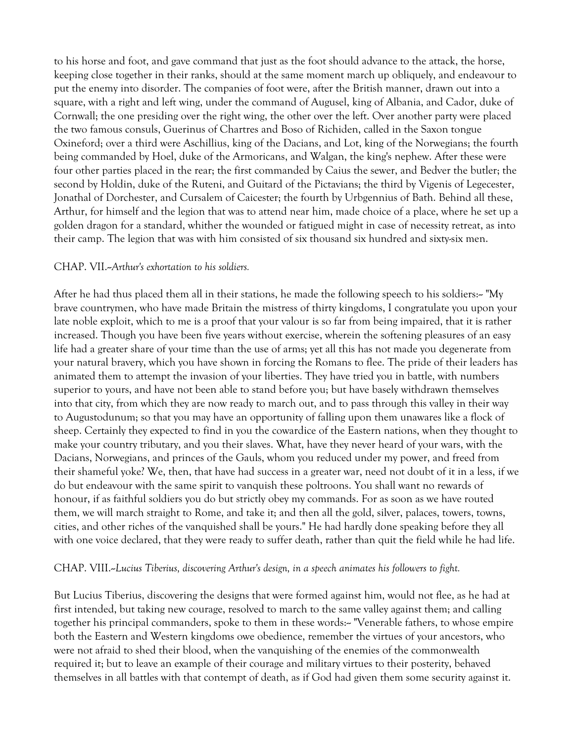to his horse and foot, and gave command that just as the foot should advance to the attack, the horse, keeping close together in their ranks, should at the same moment march up obliquely, and endeavour to put the enemy into disorder. The companies of foot were, after the British manner, drawn out into a square, with a right and left wing, under the command of Augusel, king of Albania, and Cador, duke of Cornwall; the one presiding over the right wing, the other over the left. Over another party were placed the two famous consuls, Guerinus of Chartres and Boso of Richiden, called in the Saxon tongue Oxineford; over a third were Aschillius, king of the Dacians, and Lot, king of the Norwegians; the fourth being commanded by Hoel, duke of the Armoricans, and Walgan, the king's nephew. After these were four other parties placed in the rear; the first commanded by Caius the sewer, and Bedver the butler; the second by Holdin, duke of the Ruteni, and Guitard of the Pictavians; the third by Vigenis of Legecester, Jonathal of Dorchester, and Cursalem of Caicester; the fourth by Urbgennius of Bath. Behind all these, Arthur, for himself and the legion that was to attend near him, made choice of a place, where he set up a golden dragon for a standard, whither the wounded or fatigued might in case of necessity retreat, as into their camp. The legion that was with him consisted of six thousand six hundred and sixty-six men.

#### CHAP. VII.--*Arthur's exhortation to his soldiers.*

After he had thus placed them all in their stations, he made the following speech to his soldiers:-- "My brave countrymen, who have made Britain the mistress of thirty kingdoms, I congratulate you upon your late noble exploit, which to me is a proof that your valour is so far from being impaired, that it is rather increased. Though you have been five years without exercise, wherein the softening pleasures of an easy life had a greater share of your time than the use of arms; yet all this has not made you degenerate from your natural bravery, which you have shown in forcing the Romans to flee. The pride of their leaders has animated them to attempt the invasion of your liberties. They have tried you in battle, with numbers superior to yours, and have not been able to stand before you; but have basely withdrawn themselves into that city, from which they are now ready to march out, and to pass through this valley in their way to Augustodunum; so that you may have an opportunity of falling upon them unawares like a flock of sheep. Certainly they expected to find in you the cowardice of the Eastern nations, when they thought to make your country tributary, and you their slaves. What, have they never heard of your wars, with the Dacians, Norwegians, and princes of the Gauls, whom you reduced under my power, and freed from their shameful yoke? We, then, that have had success in a greater war, need not doubt of it in a less, if we do but endeavour with the same spirit to vanquish these poltroons. You shall want no rewards of honour, if as faithful soldiers you do but strictly obey my commands. For as soon as we have routed them, we will march straight to Rome, and take it; and then all the gold, silver, palaces, towers, towns, cities, and other riches of the vanquished shall be yours." He had hardly done speaking before they all with one voice declared, that they were ready to suffer death, rather than quit the field while he had life.

#### CHAP. VIII.--*Lucius Tiberius, discovering Arthur's design, in a speech animates his followers to fight.*

But Lucius Tiberius, discovering the designs that were formed against him, would not flee, as he had at first intended, but taking new courage, resolved to march to the same valley against them; and calling together his principal commanders, spoke to them in these words:-- "Venerable fathers, to whose empire both the Eastern and Western kingdoms owe obedience, remember the virtues of your ancestors, who were not afraid to shed their blood, when the vanquishing of the enemies of the commonwealth required it; but to leave an example of their courage and military virtues to their posterity, behaved themselves in all battles with that contempt of death, as if God had given them some security against it.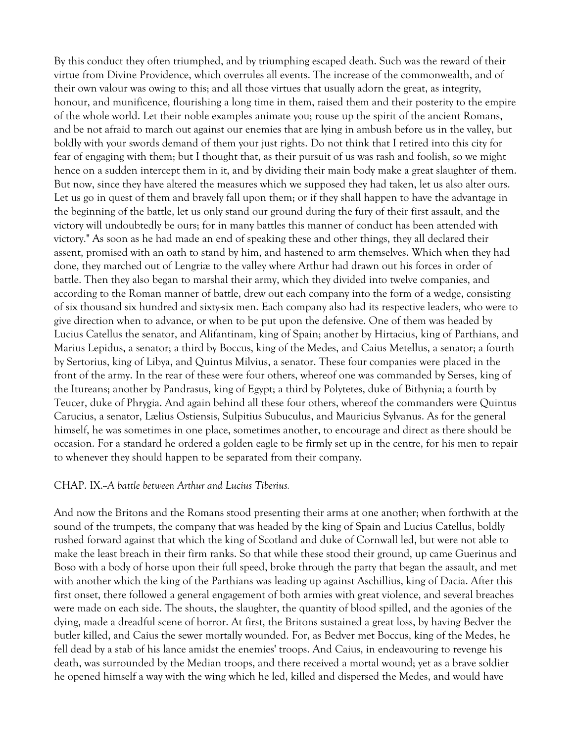By this conduct they often triumphed, and by triumphing escaped death. Such was the reward of their virtue from Divine Providence, which overrules all events. The increase of the commonwealth, and of their own valour was owing to this; and all those virtues that usually adorn the great, as integrity, honour, and munificence, flourishing a long time in them, raised them and their posterity to the empire of the whole world. Let their noble examples animate you; rouse up the spirit of the ancient Romans, and be not afraid to march out against our enemies that are lying in ambush before us in the valley, but boldly with your swords demand of them your just rights. Do not think that I retired into this city for fear of engaging with them; but I thought that, as their pursuit of us was rash and foolish, so we might hence on a sudden intercept them in it, and by dividing their main body make a great slaughter of them. But now, since they have altered the measures which we supposed they had taken, let us also alter ours. Let us go in quest of them and bravely fall upon them; or if they shall happen to have the advantage in the beginning of the battle, let us only stand our ground during the fury of their first assault, and the victory will undoubtedly be ours; for in many battles this manner of conduct has been attended with victory." As soon as he had made an end of speaking these and other things, they all declared their assent, promised with an oath to stand by him, and hastened to arm themselves. Which when they had done, they marched out of Lengriæ to the valley where Arthur had drawn out his forces in order of battle. Then they also began to marshal their army, which they divided into twelve companies, and according to the Roman manner of battle, drew out each company into the form of a wedge, consisting of six thousand six hundred and sixty-six men. Each company also had its respective leaders, who were to give direction when to advance, or when to be put upon the defensive. One of them was headed by Lucius Catellus the senator, and Alifantinam, king of Spain; another by Hirtacius, king of Parthians, and Marius Lepidus, a senator; a third by Boccus, king of the Medes, and Caius Metellus, a senator; a fourth by Sertorius, king of Libya, and Quintus Milvius, a senator. These four companies were placed in the front of the army. In the rear of these were four others, whereof one was commanded by Serses, king of the Itureans; another by Pandrasus, king of Egypt; a third by Polytetes, duke of Bithynia; a fourth by Teucer, duke of Phrygia. And again behind all these four others, whereof the commanders were Quintus Carucius, a senator, Lælius Ostiensis, Sulpitius Subuculus, and Mauricius Sylvanus. As for the general himself, he was sometimes in one place, sometimes another, to encourage and direct as there should be occasion. For a standard he ordered a golden eagle to be firmly set up in the centre, for his men to repair to whenever they should happen to be separated from their company.

#### CHAP. IX.--*A battle between Arthur and Lucius Tiberius.*

And now the Britons and the Romans stood presenting their arms at one another; when forthwith at the sound of the trumpets, the company that was headed by the king of Spain and Lucius Catellus, boldly rushed forward against that which the king of Scotland and duke of Cornwall led, but were not able to make the least breach in their firm ranks. So that while these stood their ground, up came Guerinus and Boso with a body of horse upon their full speed, broke through the party that began the assault, and met with another which the king of the Parthians was leading up against Aschillius, king of Dacia. After this first onset, there followed a general engagement of both armies with great violence, and several breaches were made on each side. The shouts, the slaughter, the quantity of blood spilled, and the agonies of the dying, made a dreadful scene of horror. At first, the Britons sustained a great loss, by having Bedver the butler killed, and Caius the sewer mortally wounded. For, as Bedver met Boccus, king of the Medes, he fell dead by a stab of his lance amidst the enemies' troops. And Caius, in endeavouring to revenge his death, was surrounded by the Median troops, and there received a mortal wound; yet as a brave soldier he opened himself a way with the wing which he led, killed and dispersed the Medes, and would have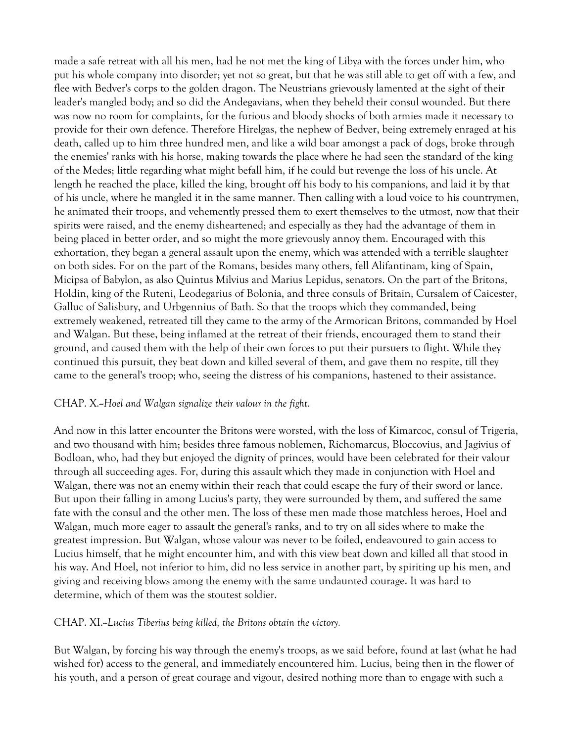made a safe retreat with all his men, had he not met the king of Libya with the forces under him, who put his whole company into disorder; yet not so great, but that he was still able to get off with a few, and flee with Bedver's corps to the golden dragon. The Neustrians grievously lamented at the sight of their leader's mangled body; and so did the Andegavians, when they beheld their consul wounded. But there was now no room for complaints, for the furious and bloody shocks of both armies made it necessary to provide for their own defence. Therefore Hirelgas, the nephew of Bedver, being extremely enraged at his death, called up to him three hundred men, and like a wild boar amongst a pack of dogs, broke through the enemies' ranks with his horse, making towards the place where he had seen the standard of the king of the Medes; little regarding what might befall him, if he could but revenge the loss of his uncle. At length he reached the place, killed the king, brought off his body to his companions, and laid it by that of his uncle, where he mangled it in the same manner. Then calling with a loud voice to his countrymen, he animated their troops, and vehemently pressed them to exert themselves to the utmost, now that their spirits were raised, and the enemy disheartened; and especially as they had the advantage of them in being placed in better order, and so might the more grievously annoy them. Encouraged with this exhortation, they began a general assault upon the enemy, which was attended with a terrible slaughter on both sides. For on the part of the Romans, besides many others, fell Alifantinam, king of Spain, Micipsa of Babylon, as also Quintus Milvius and Marius Lepidus, senators. On the part of the Britons, Holdin, king of the Ruteni, Leodegarius of Bolonia, and three consuls of Britain, Cursalem of Caicester, Galluc of Salisbury, and Urbgennius of Bath. So that the troops which they commanded, being extremely weakened, retreated till they came to the army of the Armorican Britons, commanded by Hoel and Walgan. But these, being inflamed at the retreat of their friends, encouraged them to stand their ground, and caused them with the help of their own forces to put their pursuers to flight. While they continued this pursuit, they beat down and killed several of them, and gave them no respite, till they came to the general's troop; who, seeing the distress of his companions, hastened to their assistance.

#### CHAP. X.--*Hoel and Walgan signalize their valour in the fight.*

And now in this latter encounter the Britons were worsted, with the loss of Kimarcoc, consul of Trigeria, and two thousand with him; besides three famous noblemen, Richomarcus, Bloccovius, and Jagivius of Bodloan, who, had they but enjoyed the dignity of princes, would have been celebrated for their valour through all succeeding ages. For, during this assault which they made in conjunction with Hoel and Walgan, there was not an enemy within their reach that could escape the fury of their sword or lance. But upon their falling in among Lucius's party, they were surrounded by them, and suffered the same fate with the consul and the other men. The loss of these men made those matchless heroes, Hoel and Walgan, much more eager to assault the general's ranks, and to try on all sides where to make the greatest impression. But Walgan, whose valour was never to be foiled, endeavoured to gain access to Lucius himself, that he might encounter him, and with this view beat down and killed all that stood in his way. And Hoel, not inferior to him, did no less service in another part, by spiriting up his men, and giving and receiving blows among the enemy with the same undaunted courage. It was hard to determine, which of them was the stoutest soldier.

#### CHAP. XI.--*Lucius Tiberius being killed, the Britons obtain the victory.*

But Walgan, by forcing his way through the enemy's troops, as we said before, found at last (what he had wished for) access to the general, and immediately encountered him. Lucius, being then in the flower of his youth, and a person of great courage and vigour, desired nothing more than to engage with such a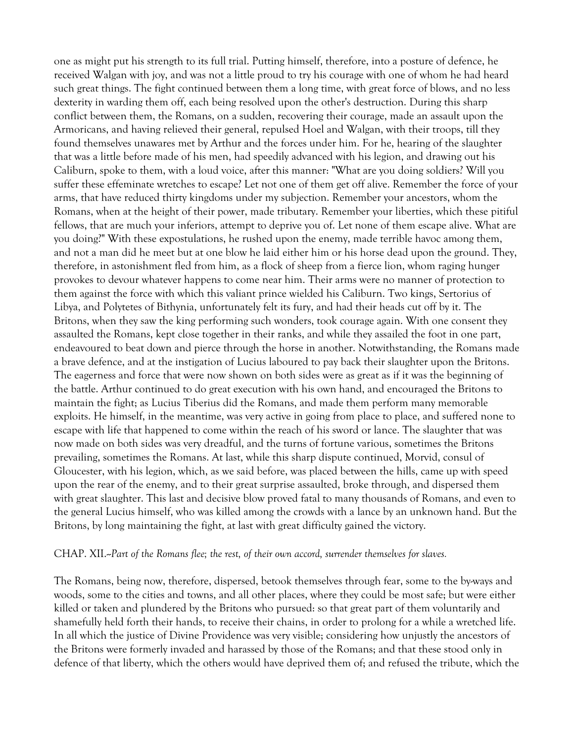one as might put his strength to its full trial. Putting himself, therefore, into a posture of defence, he received Walgan with joy, and was not a little proud to try his courage with one of whom he had heard such great things. The fight continued between them a long time, with great force of blows, and no less dexterity in warding them off, each being resolved upon the other's destruction. During this sharp conflict between them, the Romans, on a sudden, recovering their courage, made an assault upon the Armoricans, and having relieved their general, repulsed Hoel and Walgan, with their troops, till they found themselves unawares met by Arthur and the forces under him. For he, hearing of the slaughter that was a little before made of his men, had speedily advanced with his legion, and drawing out his Caliburn, spoke to them, with a loud voice, after this manner: "What are you doing soldiers? Will you suffer these effeminate wretches to escape? Let not one of them get off alive. Remember the force of your arms, that have reduced thirty kingdoms under my subjection. Remember your ancestors, whom the Romans, when at the height of their power, made tributary. Remember your liberties, which these pitiful fellows, that are much your inferiors, attempt to deprive you of. Let none of them escape alive. What are you doing?" With these expostulations, he rushed upon the enemy, made terrible havoc among them, and not a man did he meet but at one blow he laid either him or his horse dead upon the ground. They, therefore, in astonishment fled from him, as a flock of sheep from a fierce lion, whom raging hunger provokes to devour whatever happens to come near him. Their arms were no manner of protection to them against the force with which this valiant prince wielded his Caliburn. Two kings, Sertorius of Libya, and Polytetes of Bithynia, unfortunately felt its fury, and had their heads cut off by it. The Britons, when they saw the king performing such wonders, took courage again. With one consent they assaulted the Romans, kept close together in their ranks, and while they assailed the foot in one part, endeavoured to beat down and pierce through the horse in another. Notwithstanding, the Romans made a brave defence, and at the instigation of Lucius laboured to pay back their slaughter upon the Britons. The eagerness and force that were now shown on both sides were as great as if it was the beginning of the battle. Arthur continued to do great execution with his own hand, and encouraged the Britons to maintain the fight; as Lucius Tiberius did the Romans, and made them perform many memorable exploits. He himself, in the meantime, was very active in going from place to place, and suffered none to escape with life that happened to come within the reach of his sword or lance. The slaughter that was now made on both sides was very dreadful, and the turns of fortune various, sometimes the Britons prevailing, sometimes the Romans. At last, while this sharp dispute continued, Morvid, consul of Gloucester, with his legion, which, as we said before, was placed between the hills, came up with speed upon the rear of the enemy, and to their great surprise assaulted, broke through, and dispersed them with great slaughter. This last and decisive blow proved fatal to many thousands of Romans, and even to the general Lucius himself, who was killed among the crowds with a lance by an unknown hand. But the Britons, by long maintaining the fight, at last with great difficulty gained the victory.

#### CHAP. XII.--*Part of the Romans flee; the rest, of their own accord, surrender themselves for slaves.*

The Romans, being now, therefore, dispersed, betook themselves through fear, some to the by-ways and woods, some to the cities and towns, and all other places, where they could be most safe; but were either killed or taken and plundered by the Britons who pursued: so that great part of them voluntarily and shamefully held forth their hands, to receive their chains, in order to prolong for a while a wretched life. In all which the justice of Divine Providence was very visible; considering how unjustly the ancestors of the Britons were formerly invaded and harassed by those of the Romans; and that these stood only in defence of that liberty, which the others would have deprived them of; and refused the tribute, which the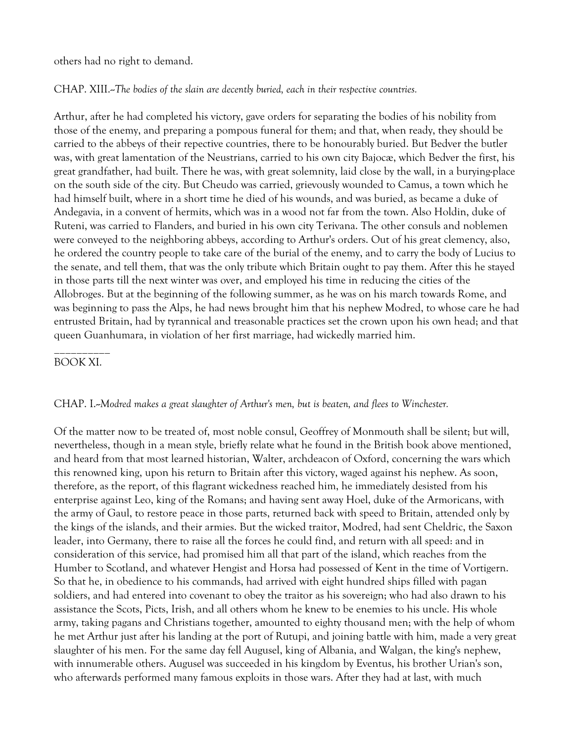others had no right to demand.

CHAP. XIII.--*The bodies of the slain are decently buried, each in their respective countries.*

Arthur, after he had completed his victory, gave orders for separating the bodies of his nobility from those of the enemy, and preparing a pompous funeral for them; and that, when ready, they should be carried to the abbeys of their repective countries, there to be honourably buried. But Bedver the butler was, with great lamentation of the Neustrians, carried to his own city Bajocæ, which Bedver the first, his great grandfather, had built. There he was, with great solemnity, laid close by the wall, in a burying-place on the south side of the city. But Cheudo was carried, grievously wounded to Camus, a town which he had himself built, where in a short time he died of his wounds, and was buried, as became a duke of Andegavia, in a convent of hermits, which was in a wood not far from the town. Also Holdin, duke of Ruteni, was carried to Flanders, and buried in his own city Terivana. The other consuls and noblemen were conveyed to the neighboring abbeys, according to Arthur's orders. Out of his great clemency, also, he ordered the country people to take care of the burial of the enemy, and to carry the body of Lucius to the senate, and tell them, that was the only tribute which Britain ought to pay them. After this he stayed in those parts till the next winter was over, and employed his time in reducing the cities of the Allobroges. But at the beginning of the following summer, as he was on his march towards Rome, and was beginning to pass the Alps, he had news brought him that his nephew Modred, to whose care he had entrusted Britain, had by tyrannical and treasonable practices set the crown upon his own head; and that queen Guanhumara, in violation of her first marriage, had wickedly married him.

### \_\_\_\_\_\_\_\_\_\_ BOOK XI.

#### CHAP. I.--*Modred makes a great slaughter of Arthur's men, but is beaten, and flees to Winchester.*

Of the matter now to be treated of, most noble consul, Geoffrey of Monmouth shall be silent; but will, nevertheless, though in a mean style, briefly relate what he found in the British book above mentioned, and heard from that most learned historian, Walter, archdeacon of Oxford, concerning the wars which this renowned king, upon his return to Britain after this victory, waged against his nephew. As soon, therefore, as the report, of this flagrant wickedness reached him, he immediately desisted from his enterprise against Leo, king of the Romans; and having sent away Hoel, duke of the Armoricans, with the army of Gaul, to restore peace in those parts, returned back with speed to Britain, attended only by the kings of the islands, and their armies. But the wicked traitor, Modred, had sent Cheldric, the Saxon leader, into Germany, there to raise all the forces he could find, and return with all speed: and in consideration of this service, had promised him all that part of the island, which reaches from the Humber to Scotland, and whatever Hengist and Horsa had possessed of Kent in the time of Vortigern. So that he, in obedience to his commands, had arrived with eight hundred ships filled with pagan soldiers, and had entered into covenant to obey the traitor as his sovereign; who had also drawn to his assistance the Scots, Picts, Irish, and all others whom he knew to be enemies to his uncle. His whole army, taking pagans and Christians together, amounted to eighty thousand men; with the help of whom he met Arthur just after his landing at the port of Rutupi, and joining battle with him, made a very great slaughter of his men. For the same day fell Augusel, king of Albania, and Walgan, the king's nephew, with innumerable others. Augusel was succeeded in his kingdom by Eventus, his brother Urian's son, who afterwards performed many famous exploits in those wars. After they had at last, with much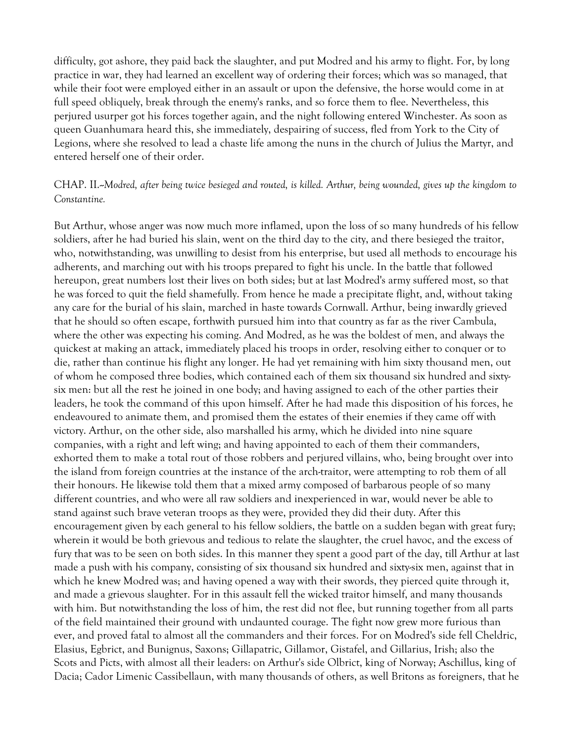difficulty, got ashore, they paid back the slaughter, and put Modred and his army to flight. For, by long practice in war, they had learned an excellent way of ordering their forces; which was so managed, that while their foot were employed either in an assault or upon the defensive, the horse would come in at full speed obliquely, break through the enemy's ranks, and so force them to flee. Nevertheless, this perjured usurper got his forces together again, and the night following entered Winchester. As soon as queen Guanhumara heard this, she immediately, despairing of success, fled from York to the City of Legions, where she resolved to lead a chaste life among the nuns in the church of Julius the Martyr, and entered herself one of their order.

CHAP. II.--*Modred, after being twice besieged and routed, is killed. Arthur, being wounded, gives up the kingdom to Constantine.*

But Arthur, whose anger was now much more inflamed, upon the loss of so many hundreds of his fellow soldiers, after he had buried his slain, went on the third day to the city, and there besieged the traitor, who, notwithstanding, was unwilling to desist from his enterprise, but used all methods to encourage his adherents, and marching out with his troops prepared to fight his uncle. In the battle that followed hereupon, great numbers lost their lives on both sides; but at last Modred's army suffered most, so that he was forced to quit the field shamefully. From hence he made a precipitate flight, and, without taking any care for the burial of his slain, marched in haste towards Cornwall. Arthur, being inwardly grieved that he should so often escape, forthwith pursued him into that country as far as the river Cambula, where the other was expecting his coming. And Modred, as he was the boldest of men, and always the quickest at making an attack, immediately placed his troops in order, resolving either to conquer or to die, rather than continue his flight any longer. He had yet remaining with him sixty thousand men, out of whom he composed three bodies, which contained each of them six thousand six hundred and sixtysix men: but all the rest he joined in one body; and having assigned to each of the other parties their leaders, he took the command of this upon himself. After he had made this disposition of his forces, he endeavoured to animate them, and promised them the estates of their enemies if they came off with victory. Arthur, on the other side, also marshalled his army, which he divided into nine square companies, with a right and left wing; and having appointed to each of them their commanders, exhorted them to make a total rout of those robbers and perjured villains, who, being brought over into the island from foreign countries at the instance of the arch-traitor, were attempting to rob them of all their honours. He likewise told them that a mixed army composed of barbarous people of so many different countries, and who were all raw soldiers and inexperienced in war, would never be able to stand against such brave veteran troops as they were, provided they did their duty. After this encouragement given by each general to his fellow soldiers, the battle on a sudden began with great fury; wherein it would be both grievous and tedious to relate the slaughter, the cruel havoc, and the excess of fury that was to be seen on both sides. In this manner they spent a good part of the day, till Arthur at last made a push with his company, consisting of six thousand six hundred and sixty-six men, against that in which he knew Modred was; and having opened a way with their swords, they pierced quite through it, and made a grievous slaughter. For in this assault fell the wicked traitor himself, and many thousands with him. But notwithstanding the loss of him, the rest did not flee, but running together from all parts of the field maintained their ground with undaunted courage. The fight now grew more furious than ever, and proved fatal to almost all the commanders and their forces. For on Modred's side fell Cheldric, Elasius, Egbrict, and Bunignus, Saxons; Gillapatric, Gillamor, Gistafel, and Gillarius, Irish; also the Scots and Picts, with almost all their leaders: on Arthur's side Olbrict, king of Norway; Aschillus, king of Dacia; Cador Limenic Cassibellaun, with many thousands of others, as well Britons as foreigners, that he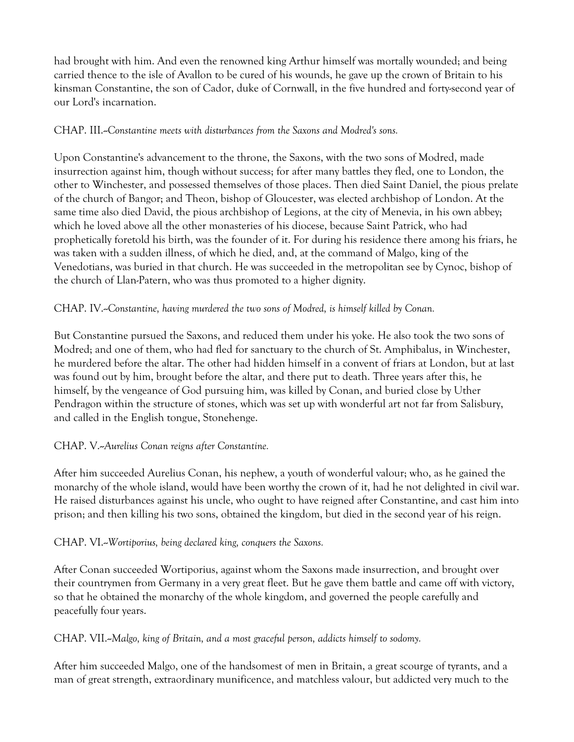had brought with him. And even the renowned king Arthur himself was mortally wounded; and being carried thence to the isle of Avallon to be cured of his wounds, he gave up the crown of Britain to his kinsman Constantine, the son of Cador, duke of Cornwall, in the five hundred and forty-second year of our Lord's incarnation.

# CHAP. III.--*Constantine meets with disturbances from the Saxons and Modred's sons.*

Upon Constantine's advancement to the throne, the Saxons, with the two sons of Modred, made insurrection against him, though without success; for after many battles they fled, one to London, the other to Winchester, and possessed themselves of those places. Then died Saint Daniel, the pious prelate of the church of Bangor; and Theon, bishop of Gloucester, was elected archbishop of London. At the same time also died David, the pious archbishop of Legions, at the city of Menevia, in his own abbey; which he loved above all the other monasteries of his diocese, because Saint Patrick, who had prophetically foretold his birth, was the founder of it. For during his residence there among his friars, he was taken with a sudden illness, of which he died, and, at the command of Malgo, king of the Venedotians, was buried in that church. He was succeeded in the metropolitan see by Cynoc, bishop of the church of Llan-Patern, who was thus promoted to a higher dignity.

# CHAP. IV.--*Constantine, having murdered the two sons of Modred, is himself killed by Conan.*

But Constantine pursued the Saxons, and reduced them under his yoke. He also took the two sons of Modred; and one of them, who had fled for sanctuary to the church of St. Amphibalus, in Winchester, he murdered before the altar. The other had hidden himself in a convent of friars at London, but at last was found out by him, brought before the altar, and there put to death. Three years after this, he himself, by the vengeance of God pursuing him, was killed by Conan, and buried close by Uther Pendragon within the structure of stones, which was set up with wonderful art not far from Salisbury, and called in the English tongue, Stonehenge.

# CHAP. V.--*Aurelius Conan reigns after Constantine.*

After him succeeded Aurelius Conan, his nephew, a youth of wonderful valour; who, as he gained the monarchy of the whole island, would have been worthy the crown of it, had he not delighted in civil war. He raised disturbances against his uncle, who ought to have reigned after Constantine, and cast him into prison; and then killing his two sons, obtained the kingdom, but died in the second year of his reign.

# CHAP. VI.--*Wortiporius, being declared king, conquers the Saxons.*

After Conan succeeded Wortiporius, against whom the Saxons made insurrection, and brought over their countrymen from Germany in a very great fleet. But he gave them battle and came off with victory, so that he obtained the monarchy of the whole kingdom, and governed the people carefully and peacefully four years.

# CHAP. VII.--*Malgo, king of Britain, and a most graceful person, addicts himself to sodomy.*

After him succeeded Malgo, one of the handsomest of men in Britain, a great scourge of tyrants, and a man of great strength, extraordinary munificence, and matchless valour, but addicted very much to the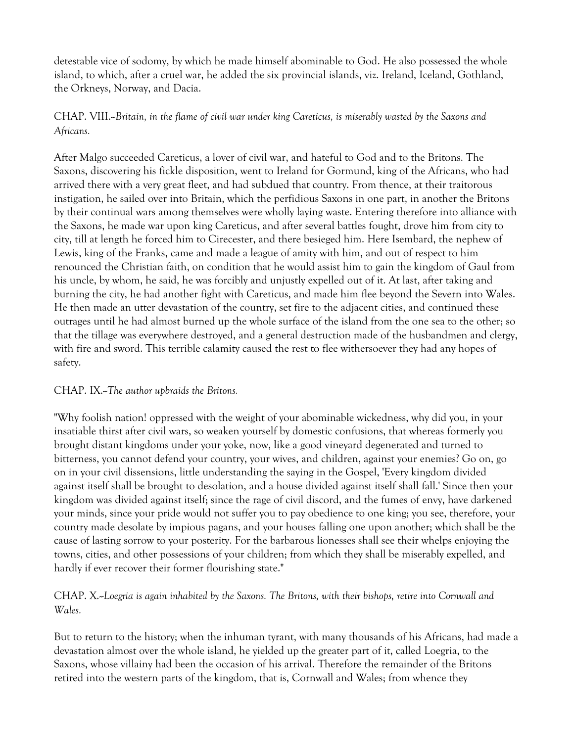detestable vice of sodomy, by which he made himself abominable to God. He also possessed the whole island, to which, after a cruel war, he added the six provincial islands, viz. Ireland, Iceland, Gothland, the Orkneys, Norway, and Dacia.

# CHAP. VIII.--*Britain, in the flame of civil war under king Careticus, is miserably wasted by the Saxons and Africans.*

After Malgo succeeded Careticus, a lover of civil war, and hateful to God and to the Britons. The Saxons, discovering his fickle disposition, went to Ireland for Gormund, king of the Africans, who had arrived there with a very great fleet, and had subdued that country. From thence, at their traitorous instigation, he sailed over into Britain, which the perfidious Saxons in one part, in another the Britons by their continual wars among themselves were wholly laying waste. Entering therefore into alliance with the Saxons, he made war upon king Careticus, and after several battles fought, drove him from city to city, till at length he forced him to Cirecester, and there besieged him. Here Isembard, the nephew of Lewis, king of the Franks, came and made a league of amity with him, and out of respect to him renounced the Christian faith, on condition that he would assist him to gain the kingdom of Gaul from his uncle, by whom, he said, he was forcibly and unjustly expelled out of it. At last, after taking and burning the city, he had another fight with Careticus, and made him flee beyond the Severn into Wales. He then made an utter devastation of the country, set fire to the adjacent cities, and continued these outrages until he had almost burned up the whole surface of the island from the one sea to the other; so that the tillage was everywhere destroyed, and a general destruction made of the husbandmen and clergy, with fire and sword. This terrible calamity caused the rest to flee withersoever they had any hopes of safety.

### CHAP. IX.--*The author upbraids the Britons.*

"Why foolish nation! oppressed with the weight of your abominable wickedness, why did you, in your insatiable thirst after civil wars, so weaken yourself by domestic confusions, that whereas formerly you brought distant kingdoms under your yoke, now, like a good vineyard degenerated and turned to bitterness, you cannot defend your country, your wives, and children, against your enemies? Go on, go on in your civil dissensions, little understanding the saying in the Gospel, 'Every kingdom divided against itself shall be brought to desolation, and a house divided against itself shall fall.' Since then your kingdom was divided against itself; since the rage of civil discord, and the fumes of envy, have darkened your minds, since your pride would not suffer you to pay obedience to one king; you see, therefore, your country made desolate by impious pagans, and your houses falling one upon another; which shall be the cause of lasting sorrow to your posterity. For the barbarous lionesses shall see their whelps enjoying the towns, cities, and other possessions of your children; from which they shall be miserably expelled, and hardly if ever recover their former flourishing state."

# CHAP. X.--*Loegria is again inhabited by the Saxons. The Britons, with their bishops, retire into Cornwall and Wales.*

But to return to the history; when the inhuman tyrant, with many thousands of his Africans, had made a devastation almost over the whole island, he yielded up the greater part of it, called Loegria, to the Saxons, whose villainy had been the occasion of his arrival. Therefore the remainder of the Britons retired into the western parts of the kingdom, that is, Cornwall and Wales; from whence they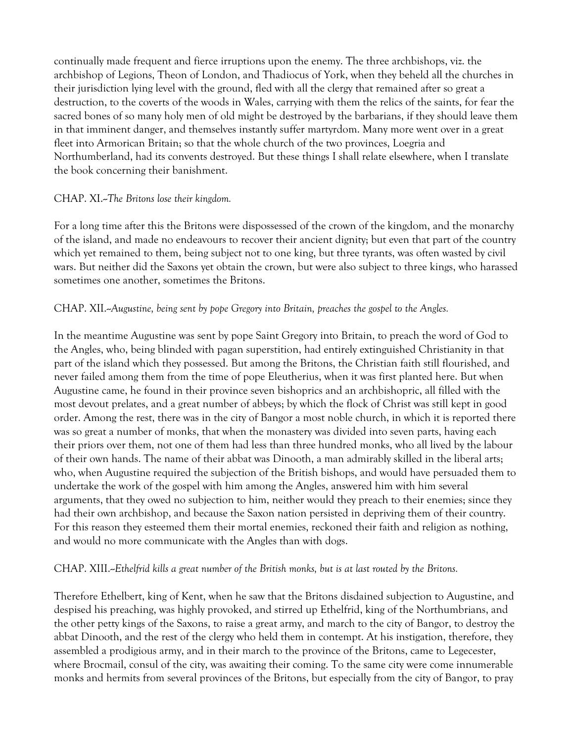continually made frequent and fierce irruptions upon the enemy. The three archbishops, viz. the archbishop of Legions, Theon of London, and Thadiocus of York, when they beheld all the churches in their jurisdiction lying level with the ground, fled with all the clergy that remained after so great a destruction, to the coverts of the woods in Wales, carrying with them the relics of the saints, for fear the sacred bones of so many holy men of old might be destroyed by the barbarians, if they should leave them in that imminent danger, and themselves instantly suffer martyrdom. Many more went over in a great fleet into Armorican Britain; so that the whole church of the two provinces, Loegria and Northumberland, had its convents destroyed. But these things I shall relate elsewhere, when I translate the book concerning their banishment.

### CHAP. XI.--*The Britons lose their kingdom.*

For a long time after this the Britons were dispossessed of the crown of the kingdom, and the monarchy of the island, and made no endeavours to recover their ancient dignity; but even that part of the country which yet remained to them, being subject not to one king, but three tyrants, was often wasted by civil wars. But neither did the Saxons yet obtain the crown, but were also subject to three kings, who harassed sometimes one another, sometimes the Britons.

### CHAP. XII.--*Augustine, being sent by pope Gregory into Britain, preaches the gospel to the Angles.*

In the meantime Augustine was sent by pope Saint Gregory into Britain, to preach the word of God to the Angles, who, being blinded with pagan superstition, had entirely extinguished Christianity in that part of the island which they possessed. But among the Britons, the Christian faith still flourished, and never failed among them from the time of pope Eleutherius, when it was first planted here. But when Augustine came, he found in their province seven bishoprics and an archbishopric, all filled with the most devout prelates, and a great number of abbeys; by which the flock of Christ was still kept in good order. Among the rest, there was in the city of Bangor a most noble church, in which it is reported there was so great a number of monks, that when the monastery was divided into seven parts, having each their priors over them, not one of them had less than three hundred monks, who all lived by the labour of their own hands. The name of their abbat was Dinooth, a man admirably skilled in the liberal arts; who, when Augustine required the subjection of the British bishops, and would have persuaded them to undertake the work of the gospel with him among the Angles, answered him with him several arguments, that they owed no subjection to him, neither would they preach to their enemies; since they had their own archbishop, and because the Saxon nation persisted in depriving them of their country. For this reason they esteemed them their mortal enemies, reckoned their faith and religion as nothing, and would no more communicate with the Angles than with dogs.

#### CHAP. XIII.--*Ethelfrid kills a great number of the British monks, but is at last routed by the Britons.*

Therefore Ethelbert, king of Kent, when he saw that the Britons disdained subjection to Augustine, and despised his preaching, was highly provoked, and stirred up Ethelfrid, king of the Northumbrians, and the other petty kings of the Saxons, to raise a great army, and march to the city of Bangor, to destroy the abbat Dinooth, and the rest of the clergy who held them in contempt. At his instigation, therefore, they assembled a prodigious army, and in their march to the province of the Britons, came to Legecester, where Brocmail, consul of the city, was awaiting their coming. To the same city were come innumerable monks and hermits from several provinces of the Britons, but especially from the city of Bangor, to pray